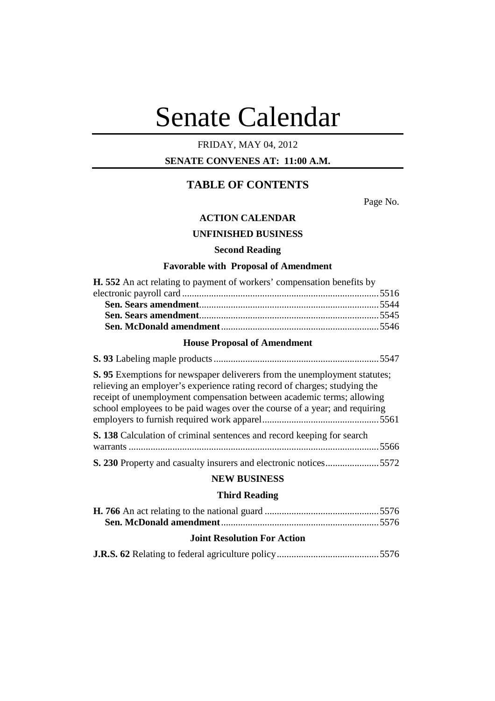# Senate Calendar

# FRIDAY, MAY 04, 2012

**SENATE CONVENES AT: 11:00 A.M.**

# **TABLE OF CONTENTS**

Page No.

# **ACTION CALENDAR**

# **UNFINISHED BUSINESS**

# **Second Reading**

# **Favorable with Proposal of Amendment**

| <b>H.</b> 552 An act relating to payment of workers' compensation benefits by |  |
|-------------------------------------------------------------------------------|--|
|                                                                               |  |
|                                                                               |  |
|                                                                               |  |
|                                                                               |  |

# **House Proposal of Amendment**

| S. 95 Exemptions for newspaper deliverers from the unemployment statutes;<br>relieving an employer's experience rating record of charges; studying the<br>receipt of unemployment compensation between academic terms; allowing<br>school employees to be paid wages over the course of a year; and requiring |
|---------------------------------------------------------------------------------------------------------------------------------------------------------------------------------------------------------------------------------------------------------------------------------------------------------------|
| S. 138 Calculation of criminal sentences and record keeping for search                                                                                                                                                                                                                                        |
| <b>S. 230</b> Property and casualty insurers and electronic notices5572                                                                                                                                                                                                                                       |

# **NEW BUSINESS**

# **Third Reading**

| <b>Joint Resolution For Action</b> |  |
|------------------------------------|--|

|--|--|--|--|--|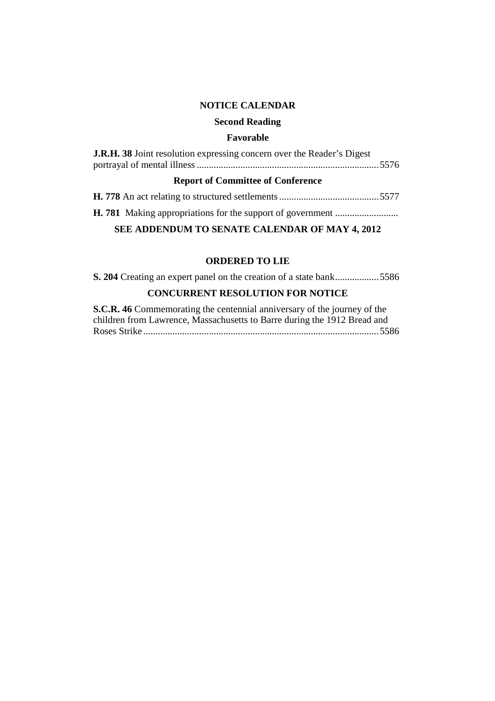# **NOTICE CALENDAR**

## **Second Reading**

# **Favorable**

| <b>J.R.H. 38</b> Joint resolution expressing concern over the Reader's Digest |  |  |  |  |
|-------------------------------------------------------------------------------|--|--|--|--|
| <b>Report of Committee of Conference</b>                                      |  |  |  |  |
|                                                                               |  |  |  |  |
|                                                                               |  |  |  |  |

# **SEE ADDENDUM TO SENATE CALENDAR OF MAY 4, 2012**

# **ORDERED TO LIE**

**S. 204** Creating an expert panel on the creation of a state bank..................5586 **CONCURRENT RESOLUTION FOR NOTICE**

**S.C.R. 46** Commemorating the centennial anniversary of the journey of the children from Lawrence, Massachusetts to Barre during the 1912 Bread and Roses Strike .................................................................................................5586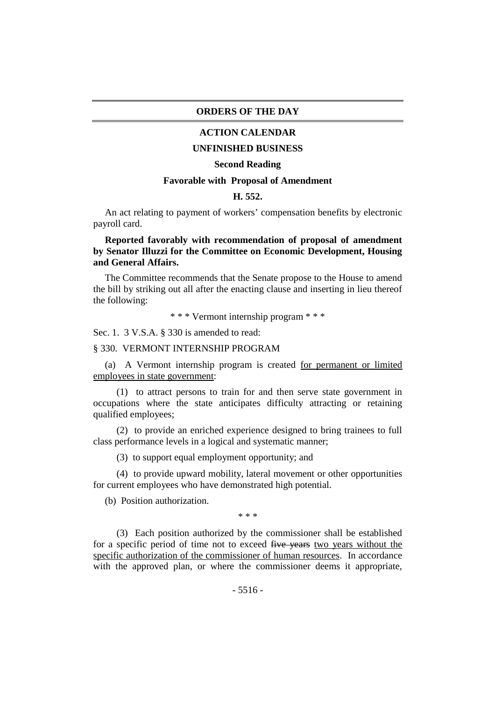#### **ORDERS OF THE DAY**

# **ACTION CALENDAR**

# **UNFINISHED BUSINESS**

#### **Second Reading**

## **Favorable with Proposal of Amendment**

## **H. 552.**

An act relating to payment of workers' compensation benefits by electronic payroll card.

# **Reported favorably with recommendation of proposal of amendment by Senator Illuzzi for the Committee on Economic Development, Housing and General Affairs.**

The Committee recommends that the Senate propose to the House to amend the bill by striking out all after the enacting clause and inserting in lieu thereof the following:

\* \* \* Vermont internship program \* \* \*

Sec. 1. 3 V.S.A. § 330 is amended to read:

#### § 330. VERMONT INTERNSHIP PROGRAM

(a) A Vermont internship program is created for permanent or limited employees in state government:

(1) to attract persons to train for and then serve state government in occupations where the state anticipates difficulty attracting or retaining qualified employees;

(2) to provide an enriched experience designed to bring trainees to full class performance levels in a logical and systematic manner;

(3) to support equal employment opportunity; and

(4) to provide upward mobility, lateral movement or other opportunities for current employees who have demonstrated high potential.

(b) Position authorization.

\* \* \*

(3) Each position authorized by the commissioner shall be established for a specific period of time not to exceed five years two years without the specific authorization of the commissioner of human resources. In accordance with the approved plan, or where the commissioner deems it appropriate,

 $-5516-$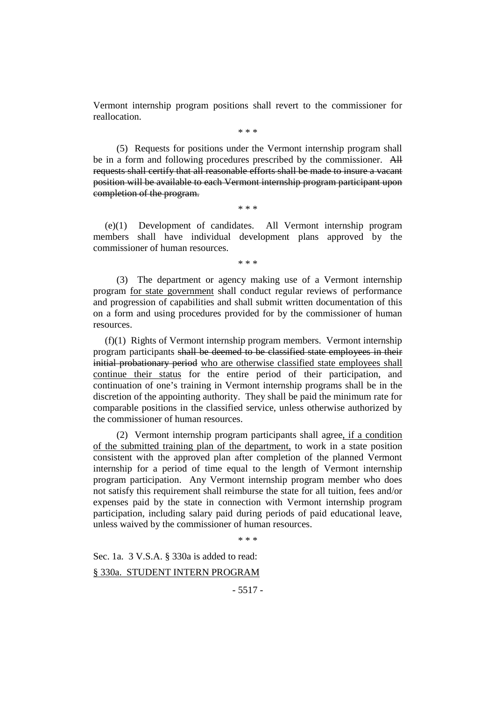Vermont internship program positions shall revert to the commissioner for reallocation.

\* \* \*

(5) Requests for positions under the Vermont internship program shall be in a form and following procedures prescribed by the commissioner. All requests shall certify that all reasonable efforts shall be made to insure a vacant position will be available to each Vermont internship program participant upon completion of the program.

\* \* \*

(e)(1) Development of candidates. All Vermont internship program members shall have individual development plans approved by the commissioner of human resources.

\* \* \*

(3) The department or agency making use of a Vermont internship program for state government shall conduct regular reviews of performance and progression of capabilities and shall submit written documentation of this on a form and using procedures provided for by the commissioner of human resources.

(f)(1) Rights of Vermont internship program members. Vermont internship program participants shall be deemed to be classified state employees in their initial probationary period who are otherwise classified state employees shall continue their status for the entire period of their participation, and continuation of one's training in Vermont internship programs shall be in the discretion of the appointing authority. They shall be paid the minimum rate for comparable positions in the classified service, unless otherwise authorized by the commissioner of human resources.

(2) Vermont internship program participants shall agree, if a condition of the submitted training plan of the department, to work in a state position consistent with the approved plan after completion of the planned Vermont internship for a period of time equal to the length of Vermont internship program participation. Any Vermont internship program member who does not satisfy this requirement shall reimburse the state for all tuition, fees and/or expenses paid by the state in connection with Vermont internship program participation, including salary paid during periods of paid educational leave, unless waived by the commissioner of human resources.

\* \* \*

Sec. 1a. 3 V.S.A. § 330a is added to read: § 330a. STUDENT INTERN PROGRAM

- 5517 -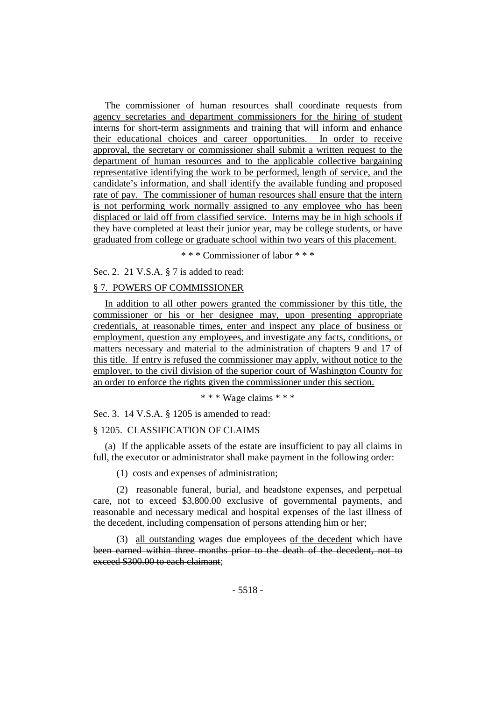The commissioner of human resources shall coordinate requests from agency secretaries and department commissioners for the hiring of student interns for short-term assignments and training that will inform and enhance their educational choices and career opportunities. In order to receive approval, the secretary or commissioner shall submit a written request to the department of human resources and to the applicable collective bargaining representative identifying the work to be performed, length of service, and the candidate's information, and shall identify the available funding and proposed rate of pay. The commissioner of human resources shall ensure that the intern is not performing work normally assigned to any employee who has been displaced or laid off from classified service. Interns may be in high schools if they have completed at least their junior year, may be college students, or have graduated from college or graduate school within two years of this placement.

\* \* \* Commissioner of labor \* \* \*

Sec. 2. 21 V.S.A. § 7 is added to read:

# § 7. POWERS OF COMMISSIONER

In addition to all other powers granted the commissioner by this title, the commissioner or his or her designee may, upon presenting appropriate credentials, at reasonable times, enter and inspect any place of business or employment, question any employees, and investigate any facts, conditions, or matters necessary and material to the administration of chapters 9 and 17 of this title. If entry is refused the commissioner may apply, without notice to the employer, to the civil division of the superior court of Washington County for an order to enforce the rights given the commissioner under this section.

\* \* \* Wage claims \* \* \*

Sec. 3. 14 V.S.A. § 1205 is amended to read:

#### § 1205. CLASSIFICATION OF CLAIMS

(a) If the applicable assets of the estate are insufficient to pay all claims in full, the executor or administrator shall make payment in the following order:

(1) costs and expenses of administration;

(2) reasonable funeral, burial, and headstone expenses, and perpetual care, not to exceed \$3,800.00 exclusive of governmental payments, and reasonable and necessary medical and hospital expenses of the last illness of the decedent, including compensation of persons attending him or her;

(3) all outstanding wages due employees of the decedent which have been earned within three months prior to the death of the decedent, not to exceed \$300.00 to each claimant;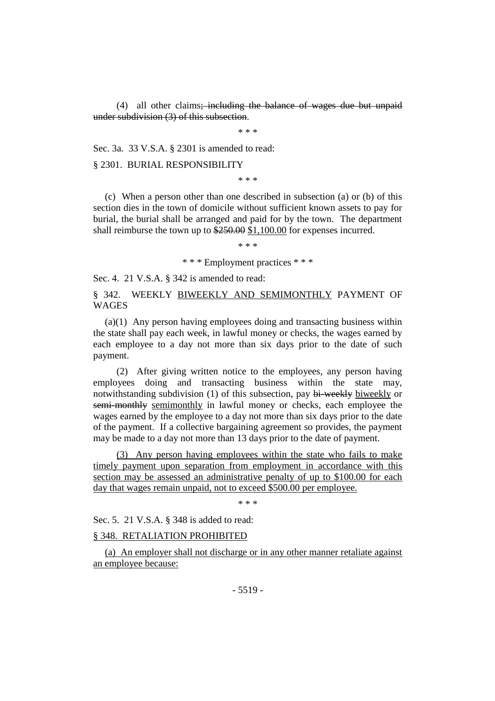(4) all other claims; including the balance of wages due but unpaid under subdivision (3) of this subsection.

\* \* \*

Sec. 3a. 33 V.S.A. § 2301 is amended to read:

§ 2301. BURIAL RESPONSIBILITY

\* \* \*

(c) When a person other than one described in subsection (a) or (b) of this section dies in the town of domicile without sufficient known assets to pay for burial, the burial shall be arranged and paid for by the town. The department shall reimburse the town up to \$250.00 \$1,100.00 for expenses incurred.

\* \* \*

\* \* \* Employment practices \* \* \*

Sec. 4. 21 V.S.A. § 342 is amended to read:

§ 342. WEEKLY BIWEEKLY AND SEMIMONTHLY PAYMENT OF WAGES

(a)(1) Any person having employees doing and transacting business within the state shall pay each week, in lawful money or checks, the wages earned by each employee to a day not more than six days prior to the date of such payment.

(2) After giving written notice to the employees, any person having employees doing and transacting business within the state may, notwithstanding subdivision (1) of this subsection, pay bi-weekly biweekly or semi-monthly semimonthly in lawful money or checks, each employee the wages earned by the employee to a day not more than six days prior to the date of the payment. If a collective bargaining agreement so provides, the payment may be made to a day not more than 13 days prior to the date of payment.

(3) Any person having employees within the state who fails to make timely payment upon separation from employment in accordance with this section may be assessed an administrative penalty of up to \$100.00 for each day that wages remain unpaid, not to exceed \$500.00 per employee.

\* \* \*

Sec. 5. 21 V.S.A. § 348 is added to read:

# § 348. RETALIATION PROHIBITED

(a) An employer shall not discharge or in any other manner retaliate against an employee because: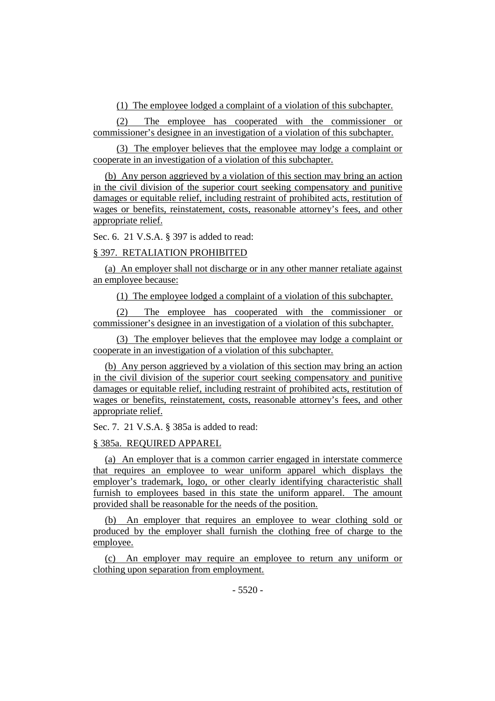(1) The employee lodged a complaint of a violation of this subchapter.

(2) The employee has cooperated with the commissioner or commissioner's designee in an investigation of a violation of this subchapter.

(3) The employer believes that the employee may lodge a complaint or cooperate in an investigation of a violation of this subchapter.

(b) Any person aggrieved by a violation of this section may bring an action in the civil division of the superior court seeking compensatory and punitive damages or equitable relief, including restraint of prohibited acts, restitution of wages or benefits, reinstatement, costs, reasonable attorney's fees, and other appropriate relief.

Sec. 6. 21 V.S.A. § 397 is added to read:

# § 397. RETALIATION PROHIBITED

(a) An employer shall not discharge or in any other manner retaliate against an employee because:

(1) The employee lodged a complaint of a violation of this subchapter.

(2) The employee has cooperated with the commissioner or commissioner's designee in an investigation of a violation of this subchapter.

(3) The employer believes that the employee may lodge a complaint or cooperate in an investigation of a violation of this subchapter.

(b) Any person aggrieved by a violation of this section may bring an action in the civil division of the superior court seeking compensatory and punitive damages or equitable relief, including restraint of prohibited acts, restitution of wages or benefits, reinstatement, costs, reasonable attorney's fees, and other appropriate relief.

Sec. 7. 21 V.S.A. § 385a is added to read:

# § 385a. REQUIRED APPAREL

(a) An employer that is a common carrier engaged in interstate commerce that requires an employee to wear uniform apparel which displays the employer's trademark, logo, or other clearly identifying characteristic shall furnish to employees based in this state the uniform apparel. The amount provided shall be reasonable for the needs of the position.

(b) An employer that requires an employee to wear clothing sold or produced by the employer shall furnish the clothing free of charge to the employee.

(c) An employer may require an employee to return any uniform or clothing upon separation from employment.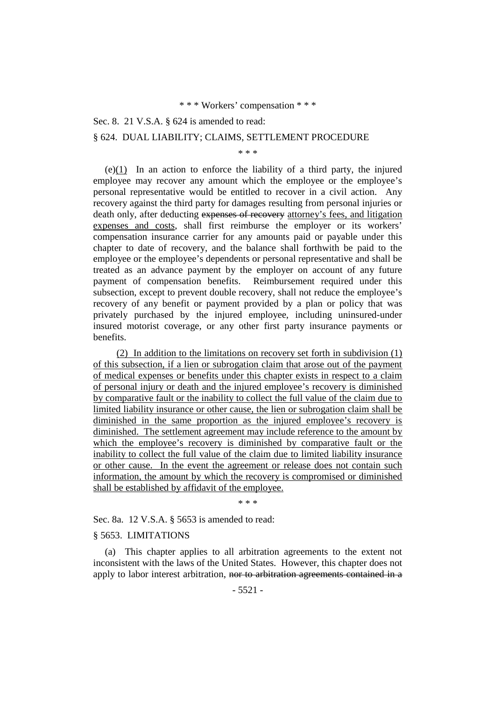Sec. 8. 21 V.S.A. § 624 is amended to read:

## § 624. DUAL LIABILITY; CLAIMS, SETTLEMENT PROCEDURE

\* \* \*

(e)(1) In an action to enforce the liability of a third party, the injured employee may recover any amount which the employee or the employee's personal representative would be entitled to recover in a civil action. Any recovery against the third party for damages resulting from personal injuries or death only, after deducting expenses of recovery attorney's fees, and litigation expenses and costs, shall first reimburse the employer or its workers' compensation insurance carrier for any amounts paid or payable under this chapter to date of recovery, and the balance shall forthwith be paid to the employee or the employee's dependents or personal representative and shall be treated as an advance payment by the employer on account of any future payment of compensation benefits. Reimbursement required under this subsection, except to prevent double recovery, shall not reduce the employee's recovery of any benefit or payment provided by a plan or policy that was privately purchased by the injured employee, including uninsured-under insured motorist coverage, or any other first party insurance payments or benefits.

(2) In addition to the limitations on recovery set forth in subdivision (1) of this subsection, if a lien or subrogation claim that arose out of the payment of medical expenses or benefits under this chapter exists in respect to a claim of personal injury or death and the injured employee's recovery is diminished by comparative fault or the inability to collect the full value of the claim due to limited liability insurance or other cause, the lien or subrogation claim shall be diminished in the same proportion as the injured employee's recovery is diminished. The settlement agreement may include reference to the amount by which the employee's recovery is diminished by comparative fault or the inability to collect the full value of the claim due to limited liability insurance or other cause. In the event the agreement or release does not contain such information, the amount by which the recovery is compromised or diminished shall be established by affidavit of the employee.

\* \* \*

Sec. 8a. 12 V.S.A. § 5653 is amended to read:

#### § 5653. LIMITATIONS

(a) This chapter applies to all arbitration agreements to the extent not inconsistent with the laws of the United States. However, this chapter does not apply to labor interest arbitration, nor to arbitration agreements contained in a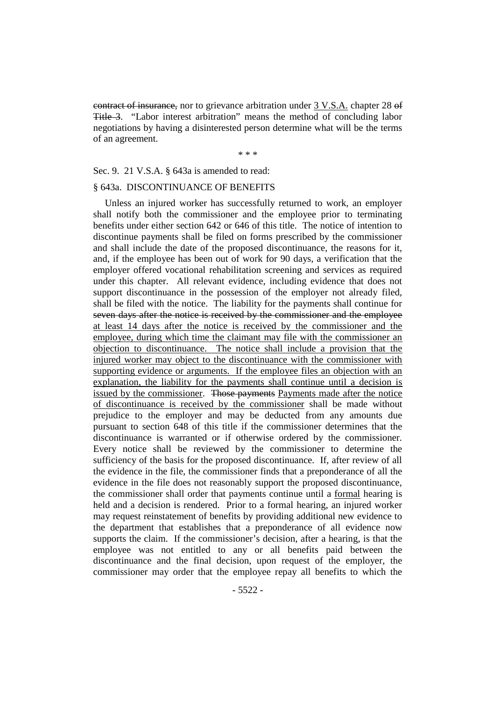contract of insurance, nor to grievance arbitration under 3 V.S.A. chapter 28 of Title 3. "Labor interest arbitration" means the method of concluding labor negotiations by having a disinterested person determine what will be the terms of an agreement.

\* \* \*

# Sec. 9. 21 V.S.A. § 643a is amended to read:

## § 643a. DISCONTINUANCE OF BENEFITS

Unless an injured worker has successfully returned to work, an employer shall notify both the commissioner and the employee prior to terminating benefits under either section 642 or 646 of this title. The notice of intention to discontinue payments shall be filed on forms prescribed by the commissioner and shall include the date of the proposed discontinuance, the reasons for it, and, if the employee has been out of work for 90 days, a verification that the employer offered vocational rehabilitation screening and services as required under this chapter. All relevant evidence, including evidence that does not support discontinuance in the possession of the employer not already filed, shall be filed with the notice. The liability for the payments shall continue for seven days after the notice is received by the commissioner and the employee at least 14 days after the notice is received by the commissioner and the employee, during which time the claimant may file with the commissioner an objection to discontinuance. The notice shall include a provision that the injured worker may object to the discontinuance with the commissioner with supporting evidence or arguments. If the employee files an objection with an explanation, the liability for the payments shall continue until a decision is issued by the commissioner. Those payments Payments made after the notice of discontinuance is received by the commissioner shall be made without prejudice to the employer and may be deducted from any amounts due pursuant to section 648 of this title if the commissioner determines that the discontinuance is warranted or if otherwise ordered by the commissioner. Every notice shall be reviewed by the commissioner to determine the sufficiency of the basis for the proposed discontinuance. If, after review of all the evidence in the file, the commissioner finds that a preponderance of all the evidence in the file does not reasonably support the proposed discontinuance, the commissioner shall order that payments continue until a formal hearing is held and a decision is rendered. Prior to a formal hearing, an injured worker may request reinstatement of benefits by providing additional new evidence to the department that establishes that a preponderance of all evidence now supports the claim. If the commissioner's decision, after a hearing, is that the employee was not entitled to any or all benefits paid between the discontinuance and the final decision, upon request of the employer, the commissioner may order that the employee repay all benefits to which the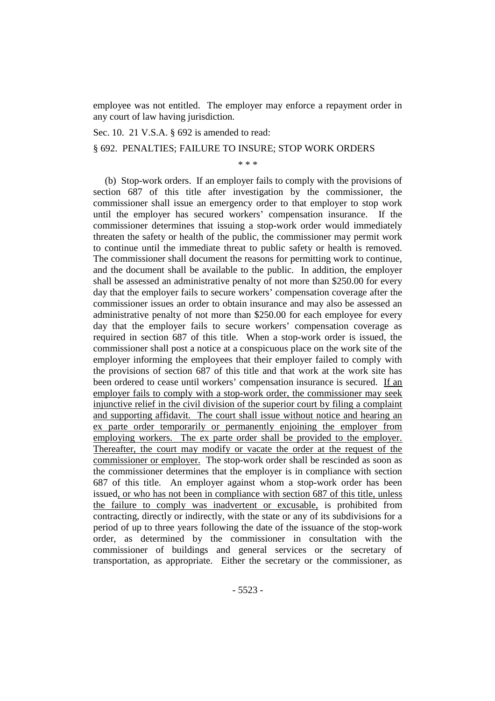employee was not entitled. The employer may enforce a repayment order in any court of law having jurisdiction.

Sec. 10. 21 V.S.A. § 692 is amended to read:

§ 692. PENALTIES; FAILURE TO INSURE; STOP WORK ORDERS

\* \* \*

(b) Stop-work orders. If an employer fails to comply with the provisions of section 687 of this title after investigation by the commissioner, the commissioner shall issue an emergency order to that employer to stop work until the employer has secured workers' compensation insurance. If the commissioner determines that issuing a stop-work order would immediately threaten the safety or health of the public, the commissioner may permit work to continue until the immediate threat to public safety or health is removed. The commissioner shall document the reasons for permitting work to continue, and the document shall be available to the public. In addition, the employer shall be assessed an administrative penalty of not more than \$250.00 for every day that the employer fails to secure workers' compensation coverage after the commissioner issues an order to obtain insurance and may also be assessed an administrative penalty of not more than \$250.00 for each employee for every day that the employer fails to secure workers' compensation coverage as required in section 687 of this title. When a stop-work order is issued, the commissioner shall post a notice at a conspicuous place on the work site of the employer informing the employees that their employer failed to comply with the provisions of section 687 of this title and that work at the work site has been ordered to cease until workers' compensation insurance is secured. If an employer fails to comply with a stop-work order, the commissioner may seek injunctive relief in the civil division of the superior court by filing a complaint and supporting affidavit. The court shall issue without notice and hearing an ex parte order temporarily or permanently enjoining the employer from employing workers. The ex parte order shall be provided to the employer. Thereafter, the court may modify or vacate the order at the request of the commissioner or employer. The stop-work order shall be rescinded as soon as the commissioner determines that the employer is in compliance with section 687 of this title. An employer against whom a stop-work order has been issued, or who has not been in compliance with section 687 of this title, unless the failure to comply was inadvertent or excusable, is prohibited from contracting, directly or indirectly, with the state or any of its subdivisions for a period of up to three years following the date of the issuance of the stop-work order, as determined by the commissioner in consultation with the commissioner of buildings and general services or the secretary of transportation, as appropriate. Either the secretary or the commissioner, as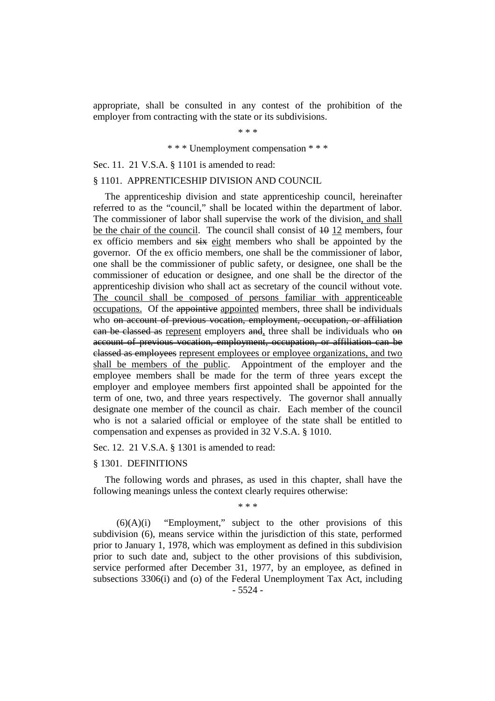appropriate, shall be consulted in any contest of the prohibition of the employer from contracting with the state or its subdivisions.

\* \* \*

#### \* \* \* Unemployment compensation \* \* \*

Sec. 11. 21 V.S.A. § 1101 is amended to read:

#### § 1101. APPRENTICESHIP DIVISION AND COUNCIL

The apprenticeship division and state apprenticeship council, hereinafter referred to as the "council," shall be located within the department of labor. The commissioner of labor shall supervise the work of the division, and shall be the chair of the council. The council shall consist of  $\overline{10}$  12 members, four ex officio members and six eight members who shall be appointed by the governor. Of the ex officio members, one shall be the commissioner of labor, one shall be the commissioner of public safety, or designee, one shall be the commissioner of education or designee, and one shall be the director of the apprenticeship division who shall act as secretary of the council without vote. The council shall be composed of persons familiar with apprenticeable occupations. Of the appointive appointed members, three shall be individuals who on account of previous vocation, employment, occupation, or affiliation can be classed as represent employers and, three shall be individuals who on account of previous vocation, employment, occupation, or affiliation can be classed as employees represent employees or employee organizations, and two shall be members of the public. Appointment of the employer and the employee members shall be made for the term of three years except the employer and employee members first appointed shall be appointed for the term of one, two, and three years respectively. The governor shall annually designate one member of the council as chair. Each member of the council who is not a salaried official or employee of the state shall be entitled to compensation and expenses as provided in 32 V.S.A. § 1010.

Sec. 12. 21 V.S.A. § 1301 is amended to read:

#### § 1301. DEFINITIONS

The following words and phrases, as used in this chapter, shall have the following meanings unless the context clearly requires otherwise:

\* \* \*

 $(6)(A)(i)$  "Employment," subject to the other provisions of this subdivision (6), means service within the jurisdiction of this state, performed prior to January 1, 1978, which was employment as defined in this subdivision prior to such date and, subject to the other provisions of this subdivision, service performed after December 31, 1977, by an employee, as defined in subsections 3306(i) and (o) of the Federal Unemployment Tax Act, including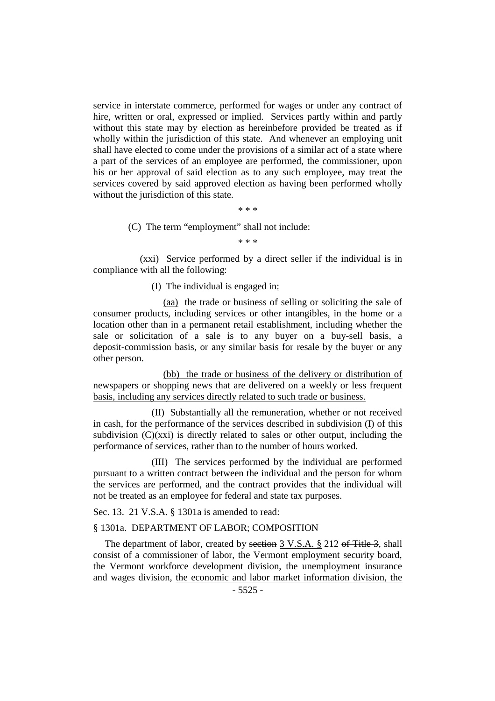service in interstate commerce, performed for wages or under any contract of hire, written or oral, expressed or implied. Services partly within and partly without this state may by election as hereinbefore provided be treated as if wholly within the jurisdiction of this state. And whenever an employing unit shall have elected to come under the provisions of a similar act of a state where a part of the services of an employee are performed, the commissioner, upon his or her approval of said election as to any such employee, may treat the services covered by said approved election as having been performed wholly without the jurisdiction of this state.

\* \* \*

(C) The term "employment" shall not include:

\* \* \*

(xxi) Service performed by a direct seller if the individual is in compliance with all the following:

(I) The individual is engaged in:

(aa) the trade or business of selling or soliciting the sale of consumer products, including services or other intangibles, in the home or a location other than in a permanent retail establishment, including whether the sale or solicitation of a sale is to any buyer on a buy-sell basis, a deposit-commission basis, or any similar basis for resale by the buyer or any other person.

(bb) the trade or business of the delivery or distribution of newspapers or shopping news that are delivered on a weekly or less frequent basis, including any services directly related to such trade or business.

(II) Substantially all the remuneration, whether or not received in cash, for the performance of the services described in subdivision (I) of this subdivision  $(C)(xx)$  is directly related to sales or other output, including the performance of services, rather than to the number of hours worked.

(III) The services performed by the individual are performed pursuant to a written contract between the individual and the person for whom the services are performed, and the contract provides that the individual will not be treated as an employee for federal and state tax purposes.

Sec. 13. 21 V.S.A. § 1301a is amended to read:

## § 1301a. DEPARTMENT OF LABOR; COMPOSITION

The department of labor, created by section 3 V.S.A. § 212 of Title 3, shall consist of a commissioner of labor, the Vermont employment security board, the Vermont workforce development division, the unemployment insurance and wages division, the economic and labor market information division, the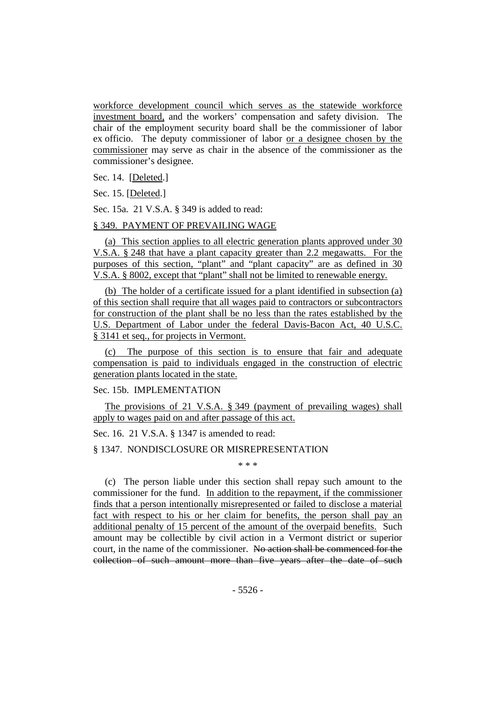workforce development council which serves as the statewide workforce investment board, and the workers' compensation and safety division. The chair of the employment security board shall be the commissioner of labor ex officio. The deputy commissioner of labor or a designee chosen by the commissioner may serve as chair in the absence of the commissioner as the commissioner's designee.

Sec. 14. [Deleted.]

Sec. 15. [Deleted.]

Sec. 15a. 21 V.S.A. § 349 is added to read:

# § 349. PAYMENT OF PREVAILING WAGE

(a) This section applies to all electric generation plants approved under 30 V.S.A. § 248 that have a plant capacity greater than 2.2 megawatts. For the purposes of this section, "plant" and "plant capacity" are as defined in 30 V.S.A. § 8002, except that "plant" shall not be limited to renewable energy.

(b) The holder of a certificate issued for a plant identified in subsection (a) of this section shall require that all wages paid to contractors or subcontractors for construction of the plant shall be no less than the rates established by the U.S. Department of Labor under the federal Davis-Bacon Act, 40 U.S.C. § 3141 et seq., for projects in Vermont.

(c) The purpose of this section is to ensure that fair and adequate compensation is paid to individuals engaged in the construction of electric generation plants located in the state.

# Sec. 15b. IMPLEMENTATION

The provisions of 21 V.S.A. § 349 (payment of prevailing wages) shall apply to wages paid on and after passage of this act.

Sec. 16. 21 V.S.A. § 1347 is amended to read:

#### § 1347. NONDISCLOSURE OR MISREPRESENTATION

\* \* \*

(c) The person liable under this section shall repay such amount to the commissioner for the fund. In addition to the repayment, if the commissioner finds that a person intentionally misrepresented or failed to disclose a material fact with respect to his or her claim for benefits, the person shall pay an additional penalty of 15 percent of the amount of the overpaid benefits. Such amount may be collectible by civil action in a Vermont district or superior court, in the name of the commissioner. No action shall be commenced for the collection of such amount more than five years after the date of such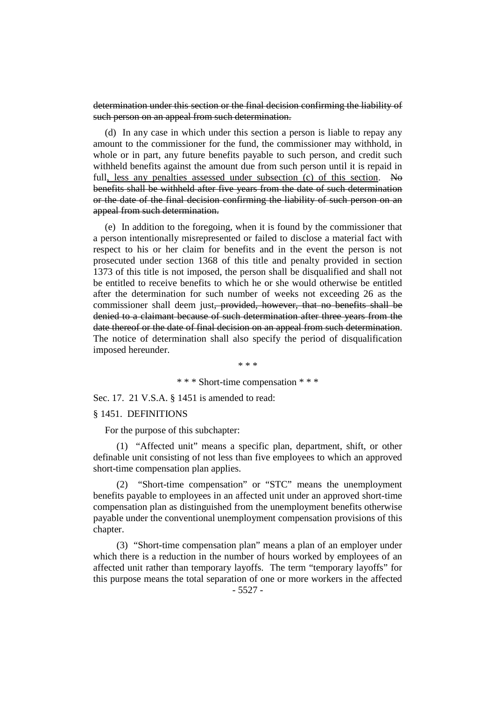determination under this section or the final decision confirming the liability of such person on an appeal from such determination.

(d) In any case in which under this section a person is liable to repay any amount to the commissioner for the fund, the commissioner may withhold, in whole or in part, any future benefits payable to such person, and credit such withheld benefits against the amount due from such person until it is repaid in full, less any penalties assessed under subsection (c) of this section. No benefits shall be withheld after five years from the date of such determination or the date of the final decision confirming the liability of such person on an appeal from such determination.

(e) In addition to the foregoing, when it is found by the commissioner that a person intentionally misrepresented or failed to disclose a material fact with respect to his or her claim for benefits and in the event the person is not prosecuted under section 1368 of this title and penalty provided in section 1373 of this title is not imposed, the person shall be disqualified and shall not be entitled to receive benefits to which he or she would otherwise be entitled after the determination for such number of weeks not exceeding 26 as the commissioner shall deem just<del>, provided, however, that no benefits shall be</del> denied to a claimant because of such determination after three years from the date thereof or the date of final decision on an appeal from such determination. The notice of determination shall also specify the period of disqualification imposed hereunder.

\* \* \*

## \* \* \* Short-time compensation \* \* \*

Sec. 17. 21 V.S.A. § 1451 is amended to read:

#### § 1451. DEFINITIONS

For the purpose of this subchapter:

(1) "Affected unit" means a specific plan, department, shift, or other definable unit consisting of not less than five employees to which an approved short-time compensation plan applies.

(2) "Short-time compensation" or "STC" means the unemployment benefits payable to employees in an affected unit under an approved short-time compensation plan as distinguished from the unemployment benefits otherwise payable under the conventional unemployment compensation provisions of this chapter.

(3) "Short-time compensation plan" means a plan of an employer under which there is a reduction in the number of hours worked by employees of an affected unit rather than temporary layoffs. The term "temporary layoffs" for this purpose means the total separation of one or more workers in the affected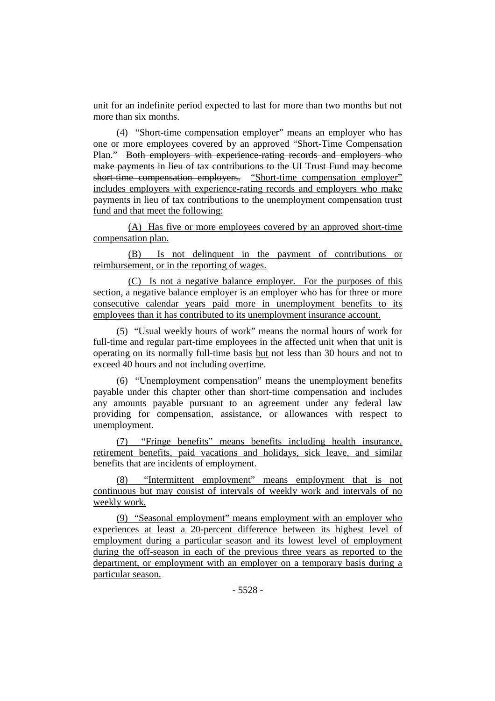unit for an indefinite period expected to last for more than two months but not more than six months.

(4) "Short-time compensation employer" means an employer who has one or more employees covered by an approved "Short-Time Compensation Plan." Both employers with experience-rating records and employers who make payments in lieu of tax contributions to the UI Trust Fund may become short-time compensation employers. "Short-time compensation employer" includes employers with experience-rating records and employers who make payments in lieu of tax contributions to the unemployment compensation trust fund and that meet the following:

(A) Has five or more employees covered by an approved short-time compensation plan.

(B) Is not delinquent in the payment of contributions or reimbursement, or in the reporting of wages.

(C) Is not a negative balance employer. For the purposes of this section, a negative balance employer is an employer who has for three or more consecutive calendar years paid more in unemployment benefits to its employees than it has contributed to its unemployment insurance account.

(5) "Usual weekly hours of work" means the normal hours of work for full-time and regular part-time employees in the affected unit when that unit is operating on its normally full-time basis but not less than 30 hours and not to exceed 40 hours and not including overtime.

(6) "Unemployment compensation" means the unemployment benefits payable under this chapter other than short-time compensation and includes any amounts payable pursuant to an agreement under any federal law providing for compensation, assistance, or allowances with respect to unemployment.

(7) "Fringe benefits" means benefits including health insurance, retirement benefits, paid vacations and holidays, sick leave, and similar benefits that are incidents of employment.

(8) "Intermittent employment" means employment that is not continuous but may consist of intervals of weekly work and intervals of no weekly work.

(9) "Seasonal employment" means employment with an employer who experiences at least a 20-percent difference between its highest level of employment during a particular season and its lowest level of employment during the off-season in each of the previous three years as reported to the department, or employment with an employer on a temporary basis during a particular season.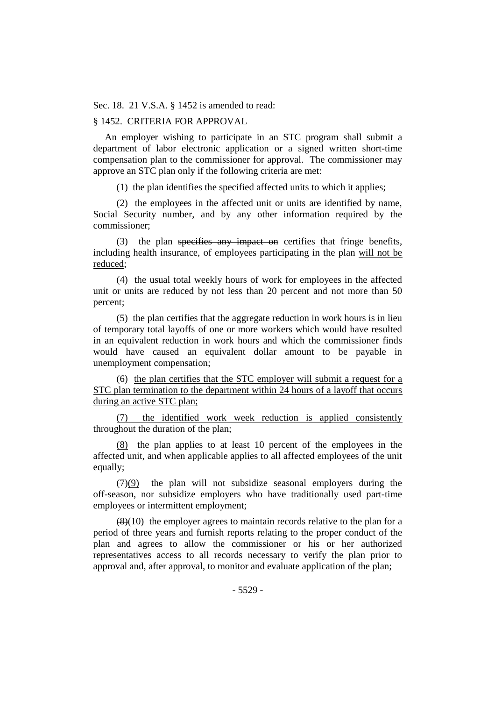Sec. 18. 21 V.S.A. § 1452 is amended to read:

#### § 1452. CRITERIA FOR APPROVAL

An employer wishing to participate in an STC program shall submit a department of labor electronic application or a signed written short-time compensation plan to the commissioner for approval. The commissioner may approve an STC plan only if the following criteria are met:

(1) the plan identifies the specified affected units to which it applies;

(2) the employees in the affected unit or units are identified by name, Social Security number, and by any other information required by the commissioner;

(3) the plan specifies any impact on certifies that fringe benefits, including health insurance, of employees participating in the plan will not be reduced;

(4) the usual total weekly hours of work for employees in the affected unit or units are reduced by not less than 20 percent and not more than 50 percent;

(5) the plan certifies that the aggregate reduction in work hours is in lieu of temporary total layoffs of one or more workers which would have resulted in an equivalent reduction in work hours and which the commissioner finds would have caused an equivalent dollar amount to be payable in unemployment compensation;

(6) the plan certifies that the STC employer will submit a request for a STC plan termination to the department within 24 hours of a layoff that occurs during an active STC plan;

(7) the identified work week reduction is applied consistently throughout the duration of the plan;

(8) the plan applies to at least 10 percent of the employees in the affected unit, and when applicable applies to all affected employees of the unit equally;

 $(7)(9)$  the plan will not subsidize seasonal employers during the off-season, nor subsidize employers who have traditionally used part-time employees or intermittent employment;

 $\left(\frac{8}{10}\right)$  the employer agrees to maintain records relative to the plan for a period of three years and furnish reports relating to the proper conduct of the plan and agrees to allow the commissioner or his or her authorized representatives access to all records necessary to verify the plan prior to approval and, after approval, to monitor and evaluate application of the plan;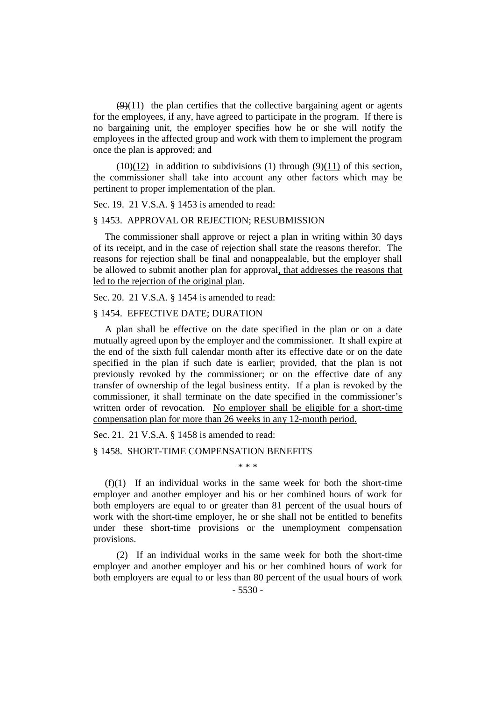$(9)(11)$  the plan certifies that the collective bargaining agent or agents for the employees, if any, have agreed to participate in the program. If there is no bargaining unit, the employer specifies how he or she will notify the employees in the affected group and work with them to implement the program once the plan is approved; and

 $(10)(12)$  in addition to subdivisions (1) through  $(9)(11)$  of this section, the commissioner shall take into account any other factors which may be pertinent to proper implementation of the plan.

Sec. 19. 21 V.S.A. § 1453 is amended to read:

#### § 1453. APPROVAL OR REJECTION; RESUBMISSION

The commissioner shall approve or reject a plan in writing within 30 days of its receipt, and in the case of rejection shall state the reasons therefor. The reasons for rejection shall be final and nonappealable, but the employer shall be allowed to submit another plan for approval, that addresses the reasons that led to the rejection of the original plan.

Sec. 20. 21 V.S.A. § 1454 is amended to read:

## § 1454. EFFECTIVE DATE; DURATION

A plan shall be effective on the date specified in the plan or on a date mutually agreed upon by the employer and the commissioner. It shall expire at the end of the sixth full calendar month after its effective date or on the date specified in the plan if such date is earlier; provided, that the plan is not previously revoked by the commissioner; or on the effective date of any transfer of ownership of the legal business entity. If a plan is revoked by the commissioner, it shall terminate on the date specified in the commissioner's written order of revocation. No employer shall be eligible for a short-time compensation plan for more than 26 weeks in any 12-month period.

Sec. 21. 21 V.S.A. § 1458 is amended to read:

#### § 1458. SHORT-TIME COMPENSATION BENEFITS

\* \* \*

(f)(1) If an individual works in the same week for both the short-time employer and another employer and his or her combined hours of work for both employers are equal to or greater than 81 percent of the usual hours of work with the short-time employer, he or she shall not be entitled to benefits under these short-time provisions or the unemployment compensation provisions.

(2) If an individual works in the same week for both the short-time employer and another employer and his or her combined hours of work for both employers are equal to or less than 80 percent of the usual hours of work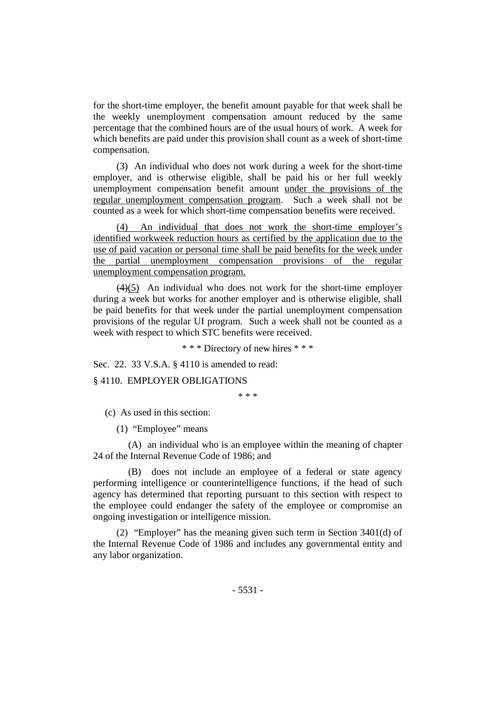for the short-time employer, the benefit amount payable for that week shall be the weekly unemployment compensation amount reduced by the same percentage that the combined hours are of the usual hours of work. A week for which benefits are paid under this provision shall count as a week of short-time compensation.

(3) An individual who does not work during a week for the short-time employer, and is otherwise eligible, shall be paid his or her full weekly unemployment compensation benefit amount under the provisions of the regular unemployment compensation program. Such a week shall not be counted as a week for which short-time compensation benefits were received.

(4) An individual that does not work the short-time employer's identified workweek reduction hours as certified by the application due to the use of paid vacation or personal time shall be paid benefits for the week under the partial unemployment compensation provisions of the regular unemployment compensation program.

(4)(5) An individual who does not work for the short-time employer during a week but works for another employer and is otherwise eligible, shall be paid benefits for that week under the partial unemployment compensation provisions of the regular UI program. Such a week shall not be counted as a week with respect to which STC benefits were received.

\* \* \* Directory of new hires \* \* \*

Sec. 22. 33 V.S.A. § 4110 is amended to read:

§ 4110. EMPLOYER OBLIGATIONS

\* \* \*

(c) As used in this section:

(1) "Employee" means

(A) an individual who is an employee within the meaning of chapter 24 of the Internal Revenue Code of 1986; and

(B) does not include an employee of a federal or state agency performing intelligence or counterintelligence functions, if the head of such agency has determined that reporting pursuant to this section with respect to the employee could endanger the safety of the employee or compromise an ongoing investigation or intelligence mission.

(2) "Employer" has the meaning given such term in Section 3401(d) of the Internal Revenue Code of 1986 and includes any governmental entity and any labor organization.

- 5531 -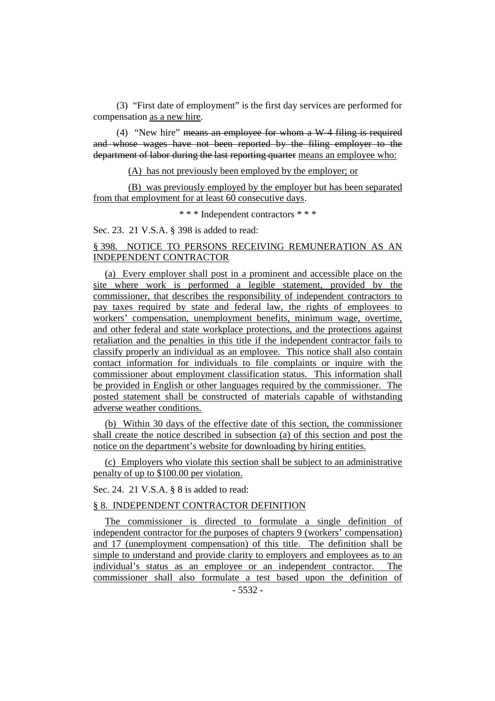(3) "First date of employment" is the first day services are performed for compensation as a new hire.

(4) "New hire" means an employee for whom a W-4 filing is required and whose wages have not been reported by the filing employer to the department of labor during the last reporting quarter means an employee who:

(A) has not previously been employed by the employer; or

(B) was previously employed by the employer but has been separated from that employment for at least 60 consecutive days.

\* \* \* Independent contractors \* \* \*

Sec. 23. 21 V.S.A. § 398 is added to read:

# § 398. NOTICE TO PERSONS RECEIVING REMUNERATION AS AN INDEPENDENT CONTRACTOR

(a) Every employer shall post in a prominent and accessible place on the site where work is performed a legible statement, provided by the commissioner, that describes the responsibility of independent contractors to pay taxes required by state and federal law, the rights of employees to workers' compensation, unemployment benefits, minimum wage, overtime, and other federal and state workplace protections, and the protections against retaliation and the penalties in this title if the independent contractor fails to classify properly an individual as an employee. This notice shall also contain contact information for individuals to file complaints or inquire with the commissioner about employment classification status. This information shall be provided in English or other languages required by the commissioner. The posted statement shall be constructed of materials capable of withstanding adverse weather conditions.

(b) Within 30 days of the effective date of this section, the commissioner shall create the notice described in subsection (a) of this section and post the notice on the department's website for downloading by hiring entities.

(c) Employers who violate this section shall be subject to an administrative penalty of up to \$100.00 per violation.

Sec. 24. 21 V.S.A. § 8 is added to read:

# § 8. INDEPENDENT CONTRACTOR DEFINITION

The commissioner is directed to formulate a single definition of independent contractor for the purposes of chapters 9 (workers' compensation) and 17 (unemployment compensation) of this title. The definition shall be simple to understand and provide clarity to employers and employees as to an individual's status as an employee or an independent contractor. The commissioner shall also formulate a test based upon the definition of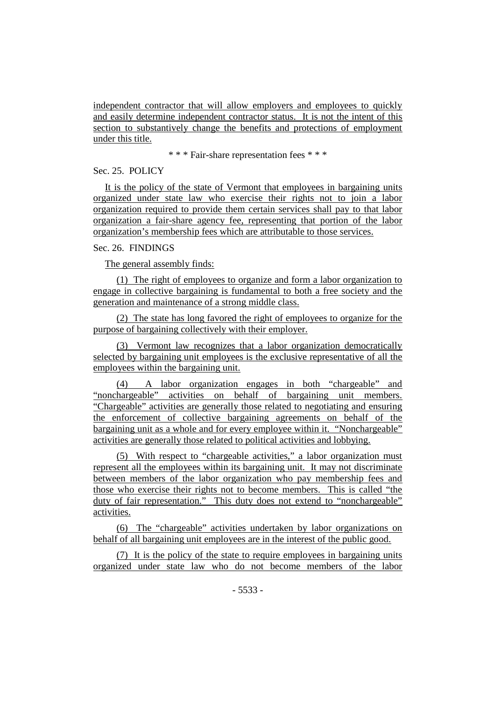independent contractor that will allow employers and employees to quickly and easily determine independent contractor status. It is not the intent of this section to substantively change the benefits and protections of employment under this title.

\* \* \* Fair-share representation fees \* \* \*

Sec. 25. POLICY

It is the policy of the state of Vermont that employees in bargaining units organized under state law who exercise their rights not to join a labor organization required to provide them certain services shall pay to that labor organization a fair-share agency fee, representing that portion of the labor organization's membership fees which are attributable to those services.

Sec. 26. FINDINGS

The general assembly finds:

(1) The right of employees to organize and form a labor organization to engage in collective bargaining is fundamental to both a free society and the generation and maintenance of a strong middle class.

(2) The state has long favored the right of employees to organize for the purpose of bargaining collectively with their employer.

(3) Vermont law recognizes that a labor organization democratically selected by bargaining unit employees is the exclusive representative of all the employees within the bargaining unit.

(4) A labor organization engages in both "chargeable" and "nonchargeable" activities on behalf of bargaining unit members. "Chargeable" activities are generally those related to negotiating and ensuring the enforcement of collective bargaining agreements on behalf of the bargaining unit as a whole and for every employee within it. "Nonchargeable" activities are generally those related to political activities and lobbying.

(5) With respect to "chargeable activities," a labor organization must represent all the employees within its bargaining unit. It may not discriminate between members of the labor organization who pay membership fees and those who exercise their rights not to become members. This is called "the duty of fair representation." This duty does not extend to "nonchargeable" activities.

(6) The "chargeable" activities undertaken by labor organizations on behalf of all bargaining unit employees are in the interest of the public good.

(7) It is the policy of the state to require employees in bargaining units organized under state law who do not become members of the labor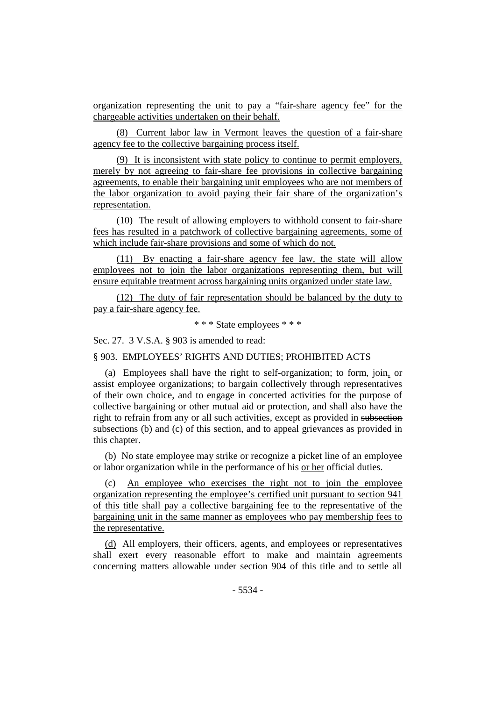organization representing the unit to pay a "fair-share agency fee" for the chargeable activities undertaken on their behalf.

(8) Current labor law in Vermont leaves the question of a fair-share agency fee to the collective bargaining process itself.

(9) It is inconsistent with state policy to continue to permit employers, merely by not agreeing to fair-share fee provisions in collective bargaining agreements, to enable their bargaining unit employees who are not members of the labor organization to avoid paying their fair share of the organization's representation.

(10) The result of allowing employers to withhold consent to fair-share fees has resulted in a patchwork of collective bargaining agreements, some of which include fair-share provisions and some of which do not.

(11) By enacting a fair-share agency fee law, the state will allow employees not to join the labor organizations representing them, but will ensure equitable treatment across bargaining units organized under state law.

(12) The duty of fair representation should be balanced by the duty to pay a fair-share agency fee.

\* \* \* State employees \* \* \*

Sec. 27. 3 V.S.A. § 903 is amended to read:

§ 903. EMPLOYEES' RIGHTS AND DUTIES; PROHIBITED ACTS

(a) Employees shall have the right to self-organization; to form, join, or assist employee organizations; to bargain collectively through representatives of their own choice, and to engage in concerted activities for the purpose of collective bargaining or other mutual aid or protection, and shall also have the right to refrain from any or all such activities, except as provided in subsection subsections (b) and (c) of this section, and to appeal grievances as provided in this chapter.

(b) No state employee may strike or recognize a picket line of an employee or labor organization while in the performance of his or her official duties.

(c) An employee who exercises the right not to join the employee organization representing the employee's certified unit pursuant to section 941 of this title shall pay a collective bargaining fee to the representative of the bargaining unit in the same manner as employees who pay membership fees to the representative.

(d) All employers, their officers, agents, and employees or representatives shall exert every reasonable effort to make and maintain agreements concerning matters allowable under section 904 of this title and to settle all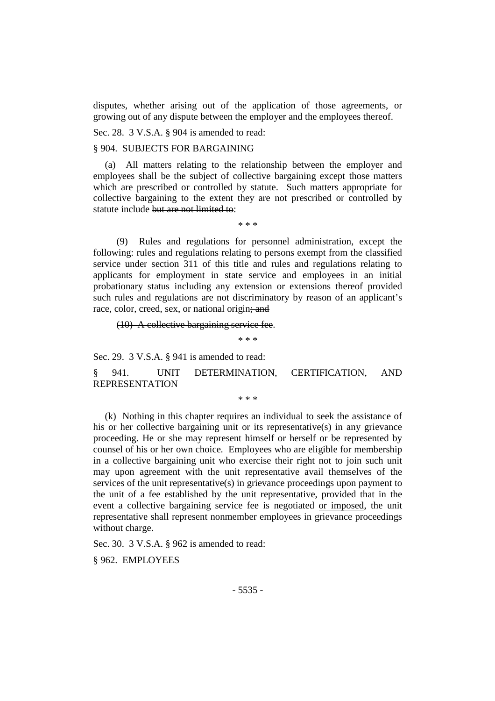disputes, whether arising out of the application of those agreements, or growing out of any dispute between the employer and the employees thereof.

Sec. 28. 3 V.S.A. § 904 is amended to read:

## § 904. SUBJECTS FOR BARGAINING

(a) All matters relating to the relationship between the employer and employees shall be the subject of collective bargaining except those matters which are prescribed or controlled by statute. Such matters appropriate for collective bargaining to the extent they are not prescribed or controlled by statute include but are not limited to:

\* \* \*

(9) Rules and regulations for personnel administration, except the following: rules and regulations relating to persons exempt from the classified service under section 311 of this title and rules and regulations relating to applicants for employment in state service and employees in an initial probationary status including any extension or extensions thereof provided such rules and regulations are not discriminatory by reason of an applicant's race, color, creed, sex, or national origin; and

(10) A collective bargaining service fee.

\* \* \*

Sec. 29. 3 V.S.A. § 941 is amended to read:

§ 941. UNIT DETERMINATION, CERTIFICATION, AND REPRESENTATION

\* \* \*

(k) Nothing in this chapter requires an individual to seek the assistance of his or her collective bargaining unit or its representative(s) in any grievance proceeding. He or she may represent himself or herself or be represented by counsel of his or her own choice. Employees who are eligible for membership in a collective bargaining unit who exercise their right not to join such unit may upon agreement with the unit representative avail themselves of the services of the unit representative(s) in grievance proceedings upon payment to the unit of a fee established by the unit representative, provided that in the event a collective bargaining service fee is negotiated or imposed, the unit representative shall represent nonmember employees in grievance proceedings without charge.

Sec. 30. 3 V.S.A. § 962 is amended to read:

§ 962. EMPLOYEES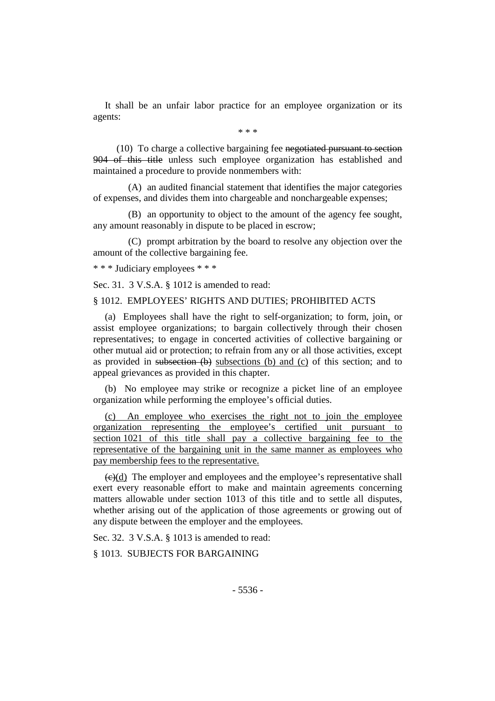It shall be an unfair labor practice for an employee organization or its agents:

\* \* \*

(10) To charge a collective bargaining fee negotiated pursuant to section 904 of this title unless such employee organization has established and maintained a procedure to provide nonmembers with:

(A) an audited financial statement that identifies the major categories of expenses, and divides them into chargeable and nonchargeable expenses;

(B) an opportunity to object to the amount of the agency fee sought, any amount reasonably in dispute to be placed in escrow;

(C) prompt arbitration by the board to resolve any objection over the amount of the collective bargaining fee.

\* \* \* Judiciary employees \* \* \*

Sec. 31. 3 V.S.A. § 1012 is amended to read:

§ 1012. EMPLOYEES' RIGHTS AND DUTIES; PROHIBITED ACTS

(a) Employees shall have the right to self-organization; to form, join, or assist employee organizations; to bargain collectively through their chosen representatives; to engage in concerted activities of collective bargaining or other mutual aid or protection; to refrain from any or all those activities, except as provided in subsection  $(b)$  subsections  $(b)$  and  $(c)$  of this section; and to appeal grievances as provided in this chapter.

(b) No employee may strike or recognize a picket line of an employee organization while performing the employee's official duties.

(c) An employee who exercises the right not to join the employee organization representing the employee's certified unit pursuant to section 1021 of this title shall pay a collective bargaining fee to the representative of the bargaining unit in the same manner as employees who pay membership fees to the representative.

 $\left(\frac{c}{c}\right)$  The employer and employees and the employee's representative shall exert every reasonable effort to make and maintain agreements concerning matters allowable under section 1013 of this title and to settle all disputes, whether arising out of the application of those agreements or growing out of any dispute between the employer and the employees.

Sec. 32. 3 V.S.A. § 1013 is amended to read:

§ 1013. SUBJECTS FOR BARGAINING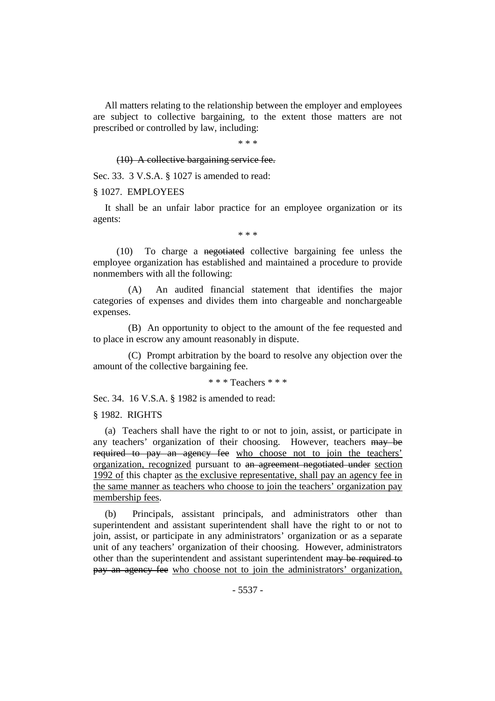All matters relating to the relationship between the employer and employees are subject to collective bargaining, to the extent those matters are not prescribed or controlled by law, including:

\* \* \*

(10) A collective bargaining service fee.

Sec. 33. 3 V.S.A. § 1027 is amended to read:

§ 1027. EMPLOYEES

It shall be an unfair labor practice for an employee organization or its agents:

\* \* \*

(10) To charge a negotiated collective bargaining fee unless the employee organization has established and maintained a procedure to provide nonmembers with all the following:

(A) An audited financial statement that identifies the major categories of expenses and divides them into chargeable and nonchargeable expenses.

(B) An opportunity to object to the amount of the fee requested and to place in escrow any amount reasonably in dispute.

(C) Prompt arbitration by the board to resolve any objection over the amount of the collective bargaining fee.

\* \* \* Teachers \* \* \*

Sec. 34. 16 V.S.A. § 1982 is amended to read:

§ 1982. RIGHTS

(a) Teachers shall have the right to or not to join, assist, or participate in any teachers' organization of their choosing. However, teachers may be required to pay an agency fee who choose not to join the teachers' organization, recognized pursuant to an agreement negotiated under section 1992 of this chapter as the exclusive representative, shall pay an agency fee in the same manner as teachers who choose to join the teachers' organization pay membership fees.

(b) Principals, assistant principals, and administrators other than superintendent and assistant superintendent shall have the right to or not to join, assist, or participate in any administrators' organization or as a separate unit of any teachers' organization of their choosing. However, administrators other than the superintendent and assistant superintendent may be required to pay an agency fee who choose not to join the administrators' organization,

- 5537 -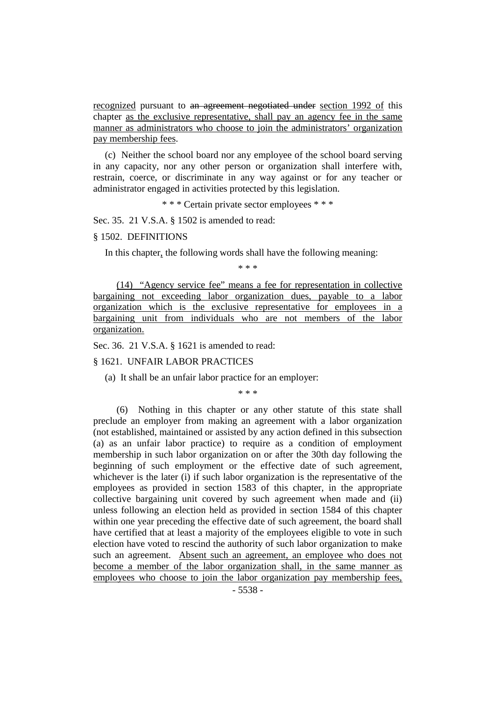recognized pursuant to an agreement negotiated under section 1992 of this chapter as the exclusive representative, shall pay an agency fee in the same manner as administrators who choose to join the administrators' organization pay membership fees.

(c) Neither the school board nor any employee of the school board serving in any capacity, nor any other person or organization shall interfere with, restrain, coerce, or discriminate in any way against or for any teacher or administrator engaged in activities protected by this legislation.

\* \* \* Certain private sector employees \* \* \*

Sec. 35. 21 V.S.A. § 1502 is amended to read:

§ 1502. DEFINITIONS

In this chapter, the following words shall have the following meaning:

\* \* \*

(14) "Agency service fee" means a fee for representation in collective bargaining not exceeding labor organization dues, payable to a labor organization which is the exclusive representative for employees in a bargaining unit from individuals who are not members of the labor organization.

Sec. 36. 21 V.S.A. § 1621 is amended to read:

§ 1621. UNFAIR LABOR PRACTICES

(a) It shall be an unfair labor practice for an employer:

\* \* \*

(6) Nothing in this chapter or any other statute of this state shall preclude an employer from making an agreement with a labor organization (not established, maintained or assisted by any action defined in this subsection (a) as an unfair labor practice) to require as a condition of employment membership in such labor organization on or after the 30th day following the beginning of such employment or the effective date of such agreement, whichever is the later (i) if such labor organization is the representative of the employees as provided in section 1583 of this chapter, in the appropriate collective bargaining unit covered by such agreement when made and (ii) unless following an election held as provided in section 1584 of this chapter within one year preceding the effective date of such agreement, the board shall have certified that at least a majority of the employees eligible to vote in such election have voted to rescind the authority of such labor organization to make such an agreement. Absent such an agreement, an employee who does not become a member of the labor organization shall, in the same manner as employees who choose to join the labor organization pay membership fees,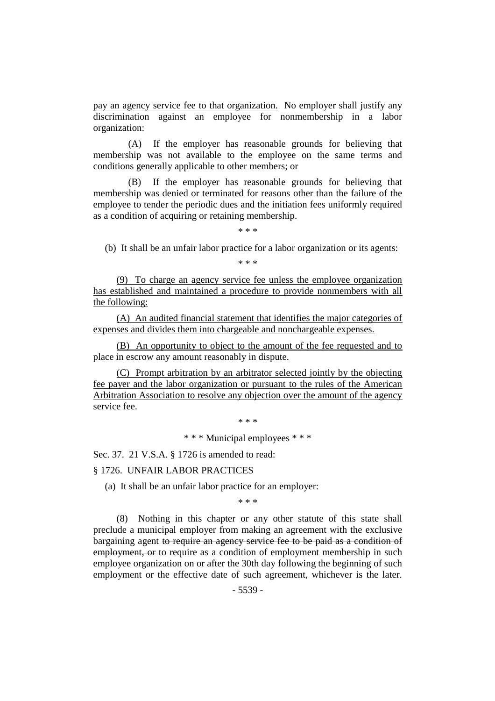pay an agency service fee to that organization. No employer shall justify any discrimination against an employee for nonmembership in a labor organization:

(A) If the employer has reasonable grounds for believing that membership was not available to the employee on the same terms and conditions generally applicable to other members; or

(B) If the employer has reasonable grounds for believing that membership was denied or terminated for reasons other than the failure of the employee to tender the periodic dues and the initiation fees uniformly required as a condition of acquiring or retaining membership.

\* \* \*

(b) It shall be an unfair labor practice for a labor organization or its agents:

\* \* \*

(9) To charge an agency service fee unless the employee organization has established and maintained a procedure to provide nonmembers with all the following:

(A) An audited financial statement that identifies the major categories of expenses and divides them into chargeable and nonchargeable expenses.

(B) An opportunity to object to the amount of the fee requested and to place in escrow any amount reasonably in dispute.

(C) Prompt arbitration by an arbitrator selected jointly by the objecting fee payer and the labor organization or pursuant to the rules of the American Arbitration Association to resolve any objection over the amount of the agency service fee.

 $* * *$ 

\* \* \* Municipal employees \* \* \*

Sec. 37. 21 V.S.A. § 1726 is amended to read:

§ 1726. UNFAIR LABOR PRACTICES

(a) It shall be an unfair labor practice for an employer:

\* \* \*

(8) Nothing in this chapter or any other statute of this state shall preclude a municipal employer from making an agreement with the exclusive bargaining agent to require an agency service fee to be paid as a condition of employment, or to require as a condition of employment membership in such employee organization on or after the 30th day following the beginning of such employment or the effective date of such agreement, whichever is the later.

- 5539 -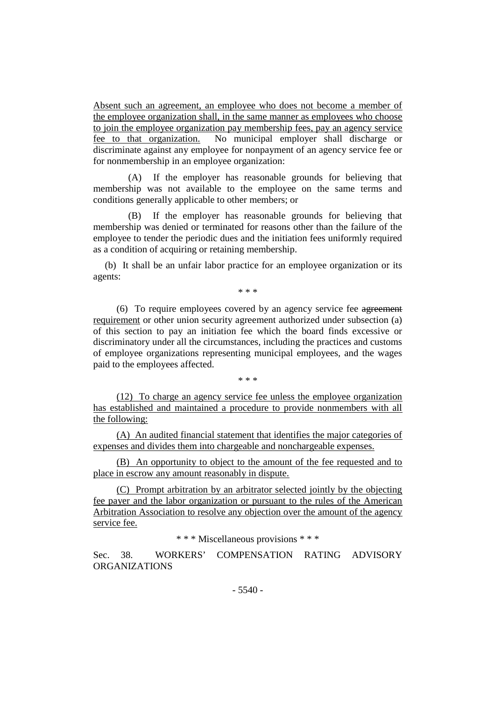Absent such an agreement, an employee who does not become a member of the employee organization shall, in the same manner as employees who choose to join the employee organization pay membership fees, pay an agency service fee to that organization. No municipal employer shall discharge or discriminate against any employee for nonpayment of an agency service fee or for nonmembership in an employee organization:

(A) If the employer has reasonable grounds for believing that membership was not available to the employee on the same terms and conditions generally applicable to other members; or

(B) If the employer has reasonable grounds for believing that membership was denied or terminated for reasons other than the failure of the employee to tender the periodic dues and the initiation fees uniformly required as a condition of acquiring or retaining membership.

(b) It shall be an unfair labor practice for an employee organization or its agents:

\* \* \*

(6) To require employees covered by an agency service fee agreement requirement or other union security agreement authorized under subsection (a) of this section to pay an initiation fee which the board finds excessive or discriminatory under all the circumstances, including the practices and customs of employee organizations representing municipal employees, and the wages paid to the employees affected.

\* \* \*

(12) To charge an agency service fee unless the employee organization has established and maintained a procedure to provide nonmembers with all the following:

(A) An audited financial statement that identifies the major categories of expenses and divides them into chargeable and nonchargeable expenses.

(B) An opportunity to object to the amount of the fee requested and to place in escrow any amount reasonably in dispute.

(C) Prompt arbitration by an arbitrator selected jointly by the objecting fee payer and the labor organization or pursuant to the rules of the American Arbitration Association to resolve any objection over the amount of the agency service fee.

\* \* \* Miscellaneous provisions \* \* \*

Sec. 38. WORKERS' COMPENSATION RATING ADVISORY ORGANIZATIONS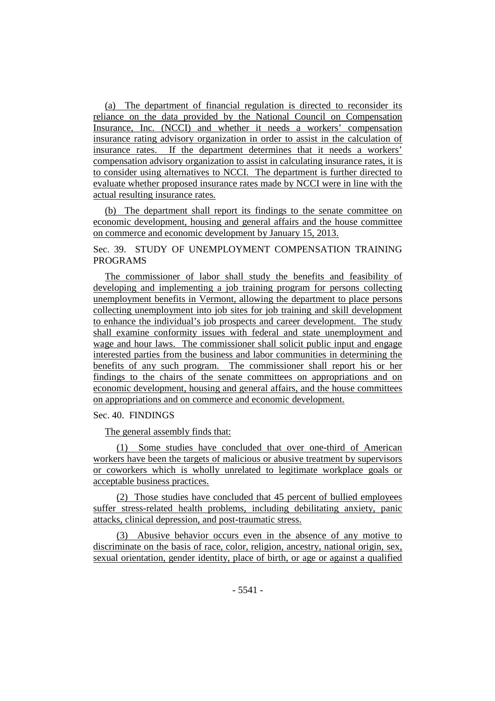(a) The department of financial regulation is directed to reconsider its reliance on the data provided by the National Council on Compensation Insurance, Inc. (NCCI) and whether it needs a workers' compensation insurance rating advisory organization in order to assist in the calculation of insurance rates. If the department determines that it needs a workers' compensation advisory organization to assist in calculating insurance rates, it is to consider using alternatives to NCCI. The department is further directed to evaluate whether proposed insurance rates made by NCCI were in line with the actual resulting insurance rates.

(b) The department shall report its findings to the senate committee on economic development, housing and general affairs and the house committee on commerce and economic development by January 15, 2013.

Sec. 39. STUDY OF UNEMPLOYMENT COMPENSATION TRAINING PROGRAMS

The commissioner of labor shall study the benefits and feasibility of developing and implementing a job training program for persons collecting unemployment benefits in Vermont, allowing the department to place persons collecting unemployment into job sites for job training and skill development to enhance the individual's job prospects and career development. The study shall examine conformity issues with federal and state unemployment and wage and hour laws. The commissioner shall solicit public input and engage interested parties from the business and labor communities in determining the benefits of any such program. The commissioner shall report his or her findings to the chairs of the senate committees on appropriations and on economic development, housing and general affairs, and the house committees on appropriations and on commerce and economic development.

# Sec. 40. FINDINGS

The general assembly finds that:

(1) Some studies have concluded that over one-third of American workers have been the targets of malicious or abusive treatment by supervisors or coworkers which is wholly unrelated to legitimate workplace goals or acceptable business practices.

(2) Those studies have concluded that 45 percent of bullied employees suffer stress-related health problems, including debilitating anxiety, panic attacks, clinical depression, and post-traumatic stress.

(3) Abusive behavior occurs even in the absence of any motive to discriminate on the basis of race, color, religion, ancestry, national origin, sex, sexual orientation, gender identity, place of birth, or age or against a qualified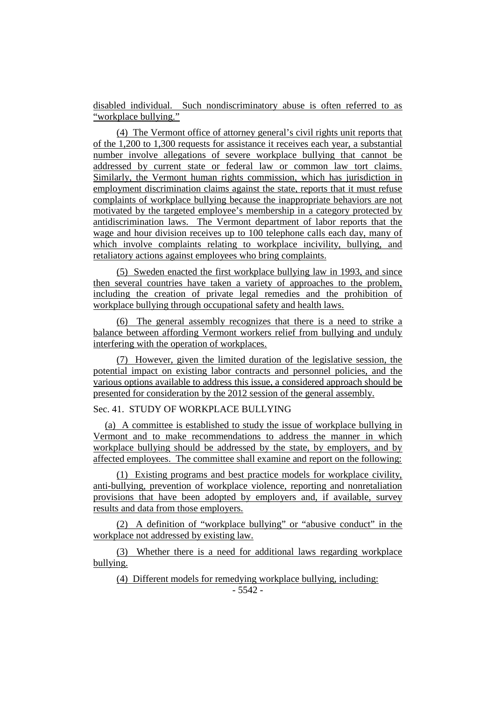disabled individual. Such nondiscriminatory abuse is often referred to as "workplace bullying."

(4) The Vermont office of attorney general's civil rights unit reports that of the 1,200 to 1,300 requests for assistance it receives each year, a substantial number involve allegations of severe workplace bullying that cannot be addressed by current state or federal law or common law tort claims. Similarly, the Vermont human rights commission, which has jurisdiction in employment discrimination claims against the state, reports that it must refuse complaints of workplace bullying because the inappropriate behaviors are not motivated by the targeted employee's membership in a category protected by antidiscrimination laws. The Vermont department of labor reports that the wage and hour division receives up to 100 telephone calls each day, many of which involve complaints relating to workplace incivility, bullying, and retaliatory actions against employees who bring complaints.

(5) Sweden enacted the first workplace bullying law in 1993, and since then several countries have taken a variety of approaches to the problem, including the creation of private legal remedies and the prohibition of workplace bullying through occupational safety and health laws.

(6) The general assembly recognizes that there is a need to strike a balance between affording Vermont workers relief from bullying and unduly interfering with the operation of workplaces.

(7) However, given the limited duration of the legislative session, the potential impact on existing labor contracts and personnel policies, and the various options available to address this issue, a considered approach should be presented for consideration by the 2012 session of the general assembly.

# Sec. 41. STUDY OF WORKPLACE BULLYING

(a) A committee is established to study the issue of workplace bullying in Vermont and to make recommendations to address the manner in which workplace bullying should be addressed by the state, by employers, and by affected employees. The committee shall examine and report on the following:

(1) Existing programs and best practice models for workplace civility, anti-bullying, prevention of workplace violence, reporting and nonretaliation provisions that have been adopted by employers and, if available, survey results and data from those employers.

(2) A definition of "workplace bullying" or "abusive conduct" in the workplace not addressed by existing law.

(3) Whether there is a need for additional laws regarding workplace bullying.

(4) Different models for remedying workplace bullying, including: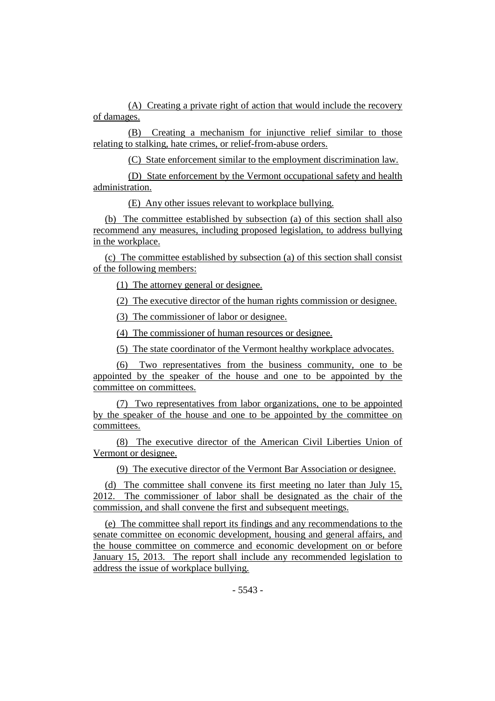(A) Creating a private right of action that would include the recovery of damages.

(B) Creating a mechanism for injunctive relief similar to those relating to stalking, hate crimes, or relief-from-abuse orders.

(C) State enforcement similar to the employment discrimination law.

(D) State enforcement by the Vermont occupational safety and health administration.

(E) Any other issues relevant to workplace bullying.

(b) The committee established by subsection (a) of this section shall also recommend any measures, including proposed legislation, to address bullying in the workplace.

(c) The committee established by subsection (a) of this section shall consist of the following members:

(1) The attorney general or designee.

(2) The executive director of the human rights commission or designee.

(3) The commissioner of labor or designee.

(4) The commissioner of human resources or designee.

(5) The state coordinator of the Vermont healthy workplace advocates.

(6) Two representatives from the business community, one to be appointed by the speaker of the house and one to be appointed by the committee on committees.

(7) Two representatives from labor organizations, one to be appointed by the speaker of the house and one to be appointed by the committee on committees.

(8) The executive director of the American Civil Liberties Union of Vermont or designee.

(9) The executive director of the Vermont Bar Association or designee.

(d) The committee shall convene its first meeting no later than July 15, 2012. The commissioner of labor shall be designated as the chair of the commission, and shall convene the first and subsequent meetings.

(e) The committee shall report its findings and any recommendations to the senate committee on economic development, housing and general affairs, and the house committee on commerce and economic development on or before January 15, 2013. The report shall include any recommended legislation to address the issue of workplace bullying.

 $-5543 -$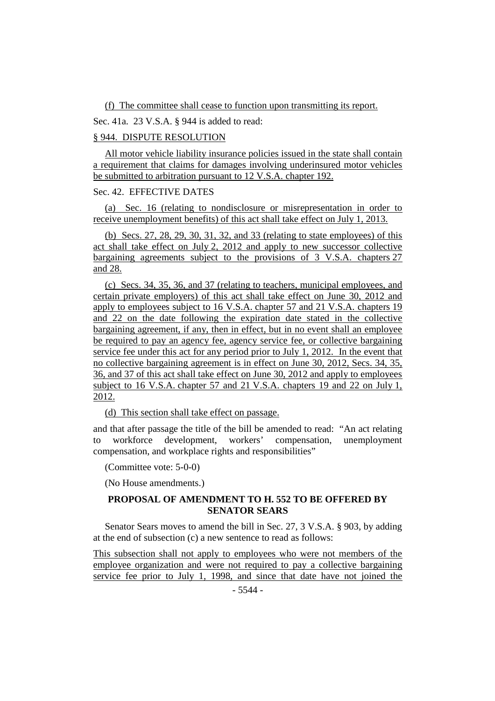(f) The committee shall cease to function upon transmitting its report.

Sec. 41a. 23 V.S.A. § 944 is added to read:

## § 944. DISPUTE RESOLUTION

All motor vehicle liability insurance policies issued in the state shall contain a requirement that claims for damages involving underinsured motor vehicles be submitted to arbitration pursuant to 12 V.S.A. chapter 192.

## Sec. 42. EFFECTIVE DATES

(a) Sec. 16 (relating to nondisclosure or misrepresentation in order to receive unemployment benefits) of this act shall take effect on July 1, 2013.

(b) Secs. 27, 28, 29, 30, 31, 32, and 33 (relating to state employees) of this act shall take effect on July 2, 2012 and apply to new successor collective bargaining agreements subject to the provisions of 3 V.S.A. chapters 27 and 28.

(c) Secs. 34, 35, 36, and 37 (relating to teachers, municipal employees, and certain private employers) of this act shall take effect on June 30, 2012 and apply to employees subject to 16 V.S.A. chapter 57 and 21 V.S.A. chapters 19 and 22 on the date following the expiration date stated in the collective bargaining agreement, if any, then in effect, but in no event shall an employee be required to pay an agency fee, agency service fee, or collective bargaining service fee under this act for any period prior to July 1, 2012. In the event that no collective bargaining agreement is in effect on June 30, 2012, Secs. 34, 35, 36, and 37 of this act shall take effect on June 30, 2012 and apply to employees subject to 16 V.S.A. chapter 57 and 21 V.S.A. chapters 19 and 22 on July 1, 2012.

(d) This section shall take effect on passage.

and that after passage the title of the bill be amended to read: "An act relating to workforce development, workers' compensation, unemployment compensation, and workplace rights and responsibilities"

(Committee vote: 5-0-0)

(No House amendments.)

# **PROPOSAL OF AMENDMENT TO H. 552 TO BE OFFERED BY SENATOR SEARS**

Senator Sears moves to amend the bill in Sec. 27, 3 V.S.A. § 903, by adding at the end of subsection (c) a new sentence to read as follows:

This subsection shall not apply to employees who were not members of the employee organization and were not required to pay a collective bargaining service fee prior to July 1, 1998, and since that date have not joined the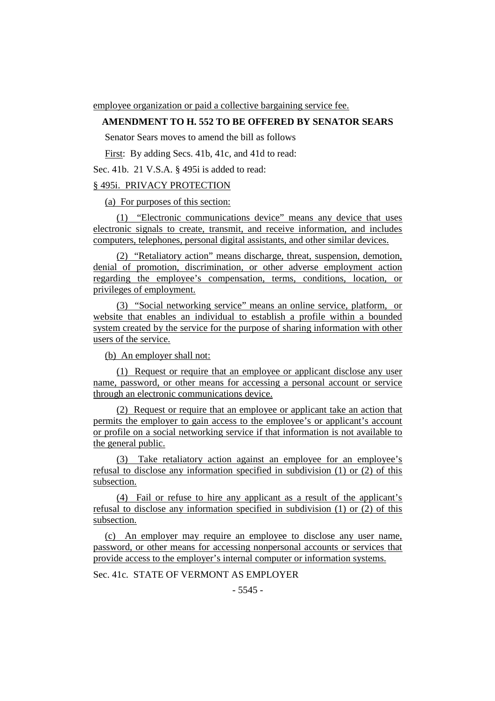employee organization or paid a collective bargaining service fee.

## **AMENDMENT TO H. 552 TO BE OFFERED BY SENATOR SEARS**

Senator Sears moves to amend the bill as follows

First: By adding Secs. 41b, 41c, and 41d to read:

Sec. 41b. 21 V.S.A. § 495i is added to read:

## § 495i. PRIVACY PROTECTION

(a) For purposes of this section:

(1) "Electronic communications device" means any device that uses electronic signals to create, transmit, and receive information, and includes computers, telephones, personal digital assistants, and other similar devices.

(2) "Retaliatory action" means discharge, threat, suspension, demotion, denial of promotion, discrimination, or other adverse employment action regarding the employee's compensation, terms, conditions, location, or privileges of employment.

(3) "Social networking service" means an online service, platform, or website that enables an individual to establish a profile within a bounded system created by the service for the purpose of sharing information with other users of the service.

(b) An employer shall not:

(1) Request or require that an employee or applicant disclose any user name, password, or other means for accessing a personal account or service through an electronic communications device.

(2) Request or require that an employee or applicant take an action that permits the employer to gain access to the employee's or applicant's account or profile on a social networking service if that information is not available to the general public.

(3) Take retaliatory action against an employee for an employee's refusal to disclose any information specified in subdivision (1) or (2) of this subsection.

(4) Fail or refuse to hire any applicant as a result of the applicant's refusal to disclose any information specified in subdivision (1) or (2) of this subsection.

(c) An employer may require an employee to disclose any user name, password, or other means for accessing nonpersonal accounts or services that provide access to the employer's internal computer or information systems.

Sec. 41c. STATE OF VERMONT AS EMPLOYER

 $-5545 -$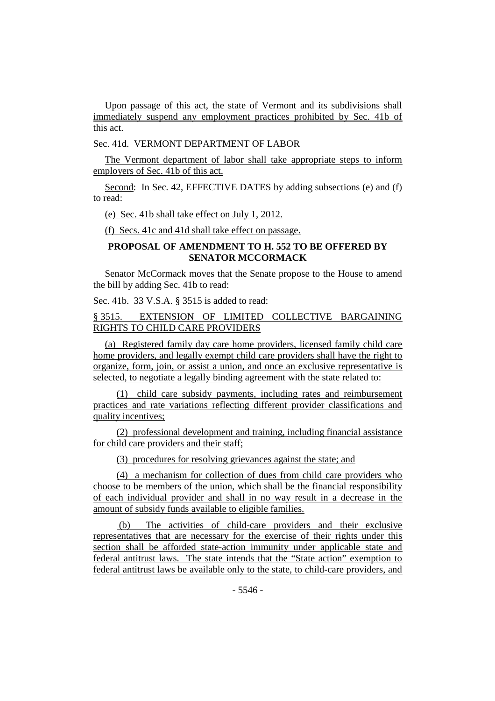Upon passage of this act, the state of Vermont and its subdivisions shall immediately suspend any employment practices prohibited by Sec. 41b of this act.

Sec. 41d. VERMONT DEPARTMENT OF LABOR

The Vermont department of labor shall take appropriate steps to inform employers of Sec. 41b of this act.

Second: In Sec. 42, EFFECTIVE DATES by adding subsections (e) and (f) to read:

(e) Sec. 41b shall take effect on July 1, 2012.

(f) Secs. 41c and 41d shall take effect on passage.

# **PROPOSAL OF AMENDMENT TO H. 552 TO BE OFFERED BY SENATOR MCCORMACK**

Senator McCormack moves that the Senate propose to the House to amend the bill by adding Sec. 41b to read:

Sec. 41b. 33 V.S.A. § 3515 is added to read:

# § 3515. EXTENSION OF LIMITED COLLECTIVE BARGAINING RIGHTS TO CHILD CARE PROVIDERS

(a) Registered family day care home providers, licensed family child care home providers, and legally exempt child care providers shall have the right to organize, form, join, or assist a union, and once an exclusive representative is selected, to negotiate a legally binding agreement with the state related to:

(1) child care subsidy payments, including rates and reimbursement practices and rate variations reflecting different provider classifications and quality incentives;

(2) professional development and training, including financial assistance for child care providers and their staff;

(3) procedures for resolving grievances against the state; and

(4) a mechanism for collection of dues from child care providers who choose to be members of the union, which shall be the financial responsibility of each individual provider and shall in no way result in a decrease in the amount of subsidy funds available to eligible families.

(b) The activities of child-care providers and their exclusive representatives that are necessary for the exercise of their rights under this section shall be afforded state-action immunity under applicable state and federal antitrust laws. The state intends that the "State action" exemption to federal antitrust laws be available only to the state, to child-care providers, and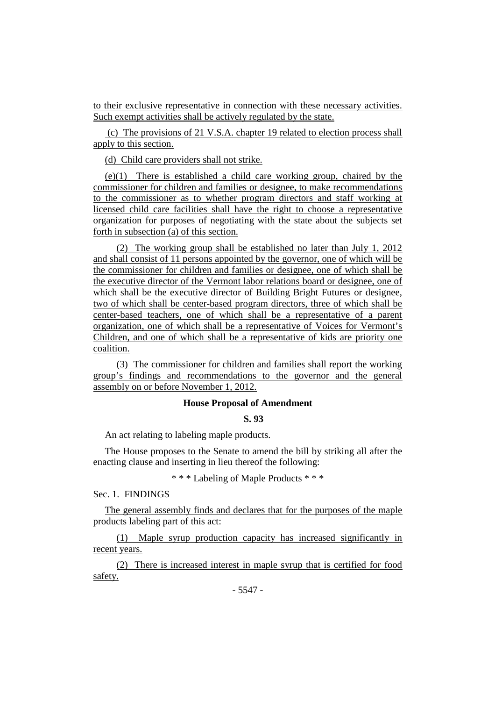to their exclusive representative in connection with these necessary activities. Such exempt activities shall be actively regulated by the state.

(c) The provisions of 21 V.S.A. chapter 19 related to election process shall apply to this section.

(d) Child care providers shall not strike.

(e)(1) There is established a child care working group, chaired by the commissioner for children and families or designee, to make recommendations to the commissioner as to whether program directors and staff working at licensed child care facilities shall have the right to choose a representative organization for purposes of negotiating with the state about the subjects set forth in subsection (a) of this section.

(2) The working group shall be established no later than July 1, 2012 and shall consist of 11 persons appointed by the governor, one of which will be the commissioner for children and families or designee, one of which shall be the executive director of the Vermont labor relations board or designee, one of which shall be the executive director of Building Bright Futures or designee, two of which shall be center-based program directors, three of which shall be center-based teachers, one of which shall be a representative of a parent organization, one of which shall be a representative of Voices for Vermont's Children, and one of which shall be a representative of kids are priority one coalition.

(3) The commissioner for children and families shall report the working group's findings and recommendations to the governor and the general assembly on or before November 1, 2012.

# **House Proposal of Amendment**

#### **S. 93**

An act relating to labeling maple products.

The House proposes to the Senate to amend the bill by striking all after the enacting clause and inserting in lieu thereof the following:

\* \* \* Labeling of Maple Products \* \* \*

Sec. 1. FINDINGS

The general assembly finds and declares that for the purposes of the maple products labeling part of this act:

(1) Maple syrup production capacity has increased significantly in recent years.

(2) There is increased interest in maple syrup that is certified for food safety.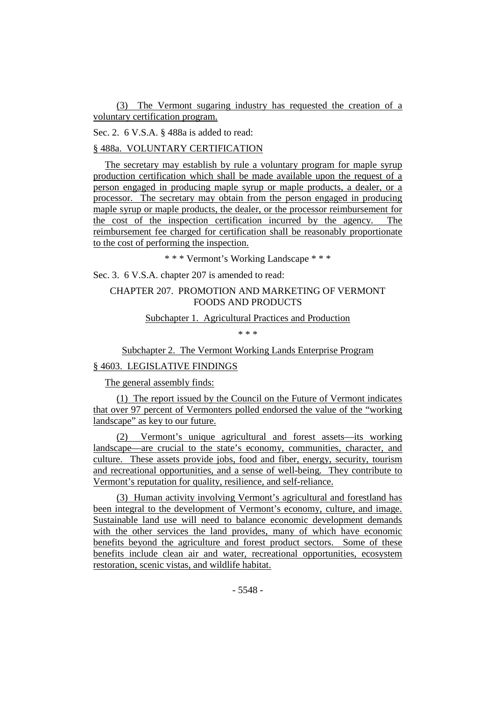(3) The Vermont sugaring industry has requested the creation of a voluntary certification program.

Sec. 2. 6 V.S.A. § 488a is added to read:

§ 488a. VOLUNTARY CERTIFICATION

The secretary may establish by rule a voluntary program for maple syrup production certification which shall be made available upon the request of a person engaged in producing maple syrup or maple products, a dealer, or a processor. The secretary may obtain from the person engaged in producing maple syrup or maple products, the dealer, or the processor reimbursement for the cost of the inspection certification incurred by the agency. The reimbursement fee charged for certification shall be reasonably proportionate to the cost of performing the inspection.

\* \* \* Vermont's Working Landscape \* \* \*

Sec. 3. 6 V.S.A. chapter 207 is amended to read:

# CHAPTER 207. PROMOTION AND MARKETING OF VERMONT FOODS AND PRODUCTS

Subchapter 1. Agricultural Practices and Production

\* \* \*

Subchapter 2. The Vermont Working Lands Enterprise Program

## § 4603. LEGISLATIVE FINDINGS

The general assembly finds:

(1) The report issued by the Council on the Future of Vermont indicates that over 97 percent of Vermonters polled endorsed the value of the "working landscape" as key to our future.

(2) Vermont's unique agricultural and forest assets—its working landscape—are crucial to the state's economy, communities, character, and culture. These assets provide jobs, food and fiber, energy, security, tourism and recreational opportunities, and a sense of well-being. They contribute to Vermont's reputation for quality, resilience, and self-reliance.

(3) Human activity involving Vermont's agricultural and forestland has been integral to the development of Vermont's economy, culture, and image. Sustainable land use will need to balance economic development demands with the other services the land provides, many of which have economic benefits beyond the agriculture and forest product sectors. Some of these benefits include clean air and water, recreational opportunities, ecosystem restoration, scenic vistas, and wildlife habitat.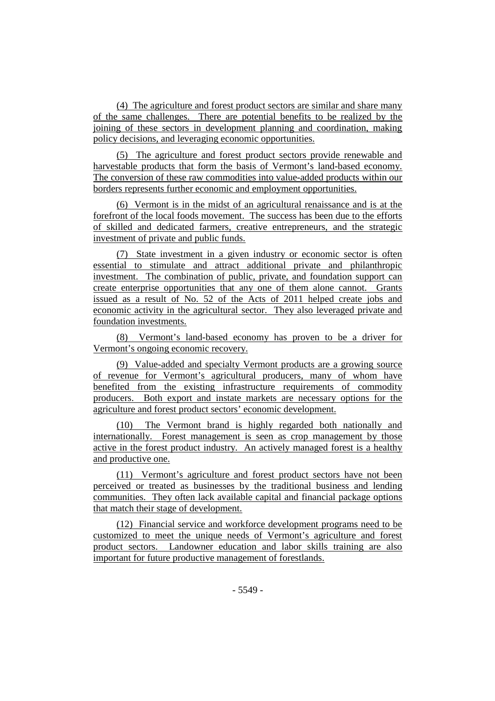(4) The agriculture and forest product sectors are similar and share many of the same challenges. There are potential benefits to be realized by the joining of these sectors in development planning and coordination, making policy decisions, and leveraging economic opportunities.

(5) The agriculture and forest product sectors provide renewable and harvestable products that form the basis of Vermont's land-based economy. The conversion of these raw commodities into value-added products within our borders represents further economic and employment opportunities.

(6) Vermont is in the midst of an agricultural renaissance and is at the forefront of the local foods movement. The success has been due to the efforts of skilled and dedicated farmers, creative entrepreneurs, and the strategic investment of private and public funds.

(7) State investment in a given industry or economic sector is often essential to stimulate and attract additional private and philanthropic investment. The combination of public, private, and foundation support can create enterprise opportunities that any one of them alone cannot. Grants issued as a result of No. 52 of the Acts of 2011 helped create jobs and economic activity in the agricultural sector. They also leveraged private and foundation investments.

(8) Vermont's land-based economy has proven to be a driver for Vermont's ongoing economic recovery.

(9) Value-added and specialty Vermont products are a growing source of revenue for Vermont's agricultural producers, many of whom have benefited from the existing infrastructure requirements of commodity producers. Both export and instate markets are necessary options for the agriculture and forest product sectors' economic development.

(10) The Vermont brand is highly regarded both nationally and internationally. Forest management is seen as crop management by those active in the forest product industry. An actively managed forest is a healthy and productive one.

(11) Vermont's agriculture and forest product sectors have not been perceived or treated as businesses by the traditional business and lending communities. They often lack available capital and financial package options that match their stage of development.

(12) Financial service and workforce development programs need to be customized to meet the unique needs of Vermont's agriculture and forest product sectors. Landowner education and labor skills training are also important for future productive management of forestlands.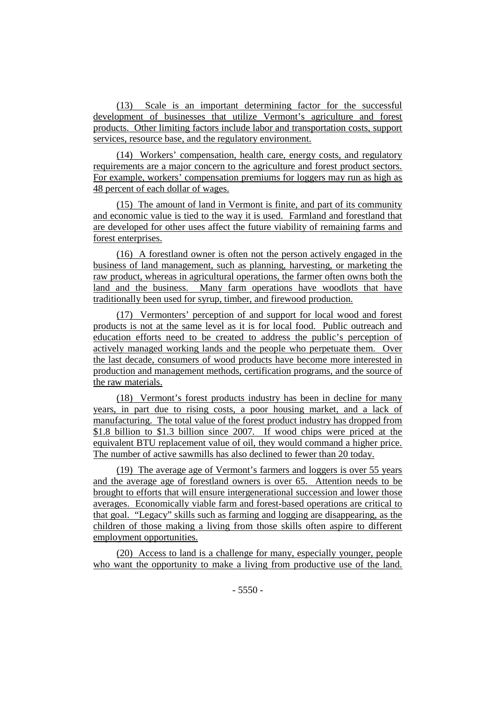(13) Scale is an important determining factor for the successful development of businesses that utilize Vermont's agriculture and forest products. Other limiting factors include labor and transportation costs, support services, resource base, and the regulatory environment.

(14) Workers' compensation, health care, energy costs, and regulatory requirements are a major concern to the agriculture and forest product sectors. For example, workers' compensation premiums for loggers may run as high as 48 percent of each dollar of wages.

(15) The amount of land in Vermont is finite, and part of its community and economic value is tied to the way it is used. Farmland and forestland that are developed for other uses affect the future viability of remaining farms and forest enterprises.

(16) A forestland owner is often not the person actively engaged in the business of land management, such as planning, harvesting, or marketing the raw product, whereas in agricultural operations, the farmer often owns both the land and the business. Many farm operations have woodlots that have traditionally been used for syrup, timber, and firewood production.

(17) Vermonters' perception of and support for local wood and forest products is not at the same level as it is for local food. Public outreach and education efforts need to be created to address the public's perception of actively managed working lands and the people who perpetuate them. Over the last decade, consumers of wood products have become more interested in production and management methods, certification programs, and the source of the raw materials.

(18) Vermont's forest products industry has been in decline for many years, in part due to rising costs, a poor housing market, and a lack of manufacturing. The total value of the forest product industry has dropped from \$1.8 billion to \$1.3 billion since 2007. If wood chips were priced at the equivalent BTU replacement value of oil, they would command a higher price. The number of active sawmills has also declined to fewer than 20 today.

(19) The average age of Vermont's farmers and loggers is over 55 years and the average age of forestland owners is over 65. Attention needs to be brought to efforts that will ensure intergenerational succession and lower those averages. Economically viable farm and forest-based operations are critical to that goal. "Legacy" skills such as farming and logging are disappearing, as the children of those making a living from those skills often aspire to different employment opportunities.

(20) Access to land is a challenge for many, especially younger, people who want the opportunity to make a living from productive use of the land.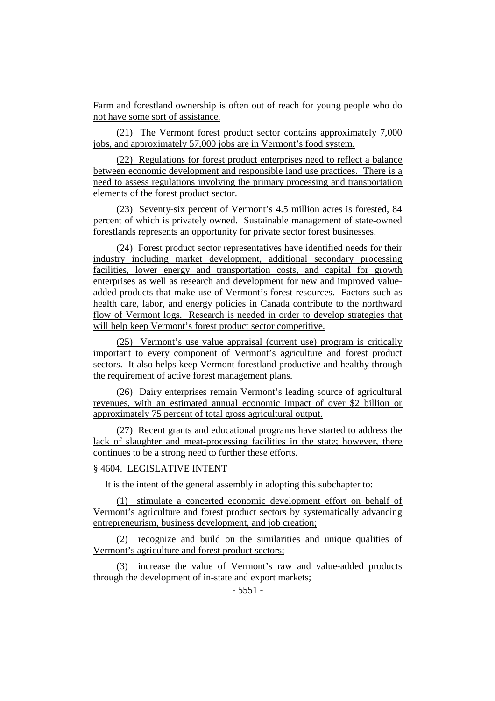Farm and forestland ownership is often out of reach for young people who do not have some sort of assistance.

(21) The Vermont forest product sector contains approximately 7,000 jobs, and approximately 57,000 jobs are in Vermont's food system.

(22) Regulations for forest product enterprises need to reflect a balance between economic development and responsible land use practices. There is a need to assess regulations involving the primary processing and transportation elements of the forest product sector.

(23) Seventy-six percent of Vermont's 4.5 million acres is forested, 84 percent of which is privately owned. Sustainable management of state-owned forestlands represents an opportunity for private sector forest businesses.

(24) Forest product sector representatives have identified needs for their industry including market development, additional secondary processing facilities, lower energy and transportation costs, and capital for growth enterprises as well as research and development for new and improved valueadded products that make use of Vermont's forest resources. Factors such as health care, labor, and energy policies in Canada contribute to the northward flow of Vermont logs. Research is needed in order to develop strategies that will help keep Vermont's forest product sector competitive.

(25) Vermont's use value appraisal (current use) program is critically important to every component of Vermont's agriculture and forest product sectors. It also helps keep Vermont forestland productive and healthy through the requirement of active forest management plans.

(26) Dairy enterprises remain Vermont's leading source of agricultural revenues, with an estimated annual economic impact of over \$2 billion or approximately 75 percent of total gross agricultural output.

(27) Recent grants and educational programs have started to address the lack of slaughter and meat-processing facilities in the state; however, there continues to be a strong need to further these efforts.

# § 4604. LEGISLATIVE INTENT

It is the intent of the general assembly in adopting this subchapter to:

(1) stimulate a concerted economic development effort on behalf of Vermont's agriculture and forest product sectors by systematically advancing entrepreneurism, business development, and job creation;

(2) recognize and build on the similarities and unique qualities of Vermont's agriculture and forest product sectors;

(3) increase the value of Vermont's raw and value-added products through the development of in-state and export markets;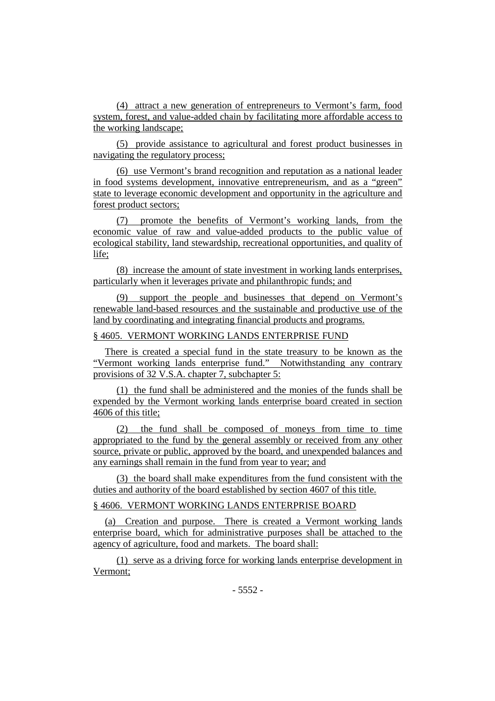(4) attract a new generation of entrepreneurs to Vermont's farm, food system, forest, and value-added chain by facilitating more affordable access to the working landscape;

(5) provide assistance to agricultural and forest product businesses in navigating the regulatory process;

(6) use Vermont's brand recognition and reputation as a national leader in food systems development, innovative entrepreneurism, and as a "green" state to leverage economic development and opportunity in the agriculture and forest product sectors;

(7) promote the benefits of Vermont's working lands, from the economic value of raw and value-added products to the public value of ecological stability, land stewardship, recreational opportunities, and quality of life;

(8) increase the amount of state investment in working lands enterprises, particularly when it leverages private and philanthropic funds; and

(9) support the people and businesses that depend on Vermont's renewable land-based resources and the sustainable and productive use of the land by coordinating and integrating financial products and programs.

# § 4605. VERMONT WORKING LANDS ENTERPRISE FUND

There is created a special fund in the state treasury to be known as the "Vermont working lands enterprise fund." Notwithstanding any contrary provisions of 32 V.S.A. chapter 7, subchapter 5:

(1) the fund shall be administered and the monies of the funds shall be expended by the Vermont working lands enterprise board created in section 4606 of this title;

(2) the fund shall be composed of moneys from time to time appropriated to the fund by the general assembly or received from any other source, private or public, approved by the board, and unexpended balances and any earnings shall remain in the fund from year to year; and

(3) the board shall make expenditures from the fund consistent with the duties and authority of the board established by section 4607 of this title.

# § 4606. VERMONT WORKING LANDS ENTERPRISE BOARD

(a) Creation and purpose. There is created a Vermont working lands enterprise board, which for administrative purposes shall be attached to the agency of agriculture, food and markets. The board shall:

(1) serve as a driving force for working lands enterprise development in Vermont;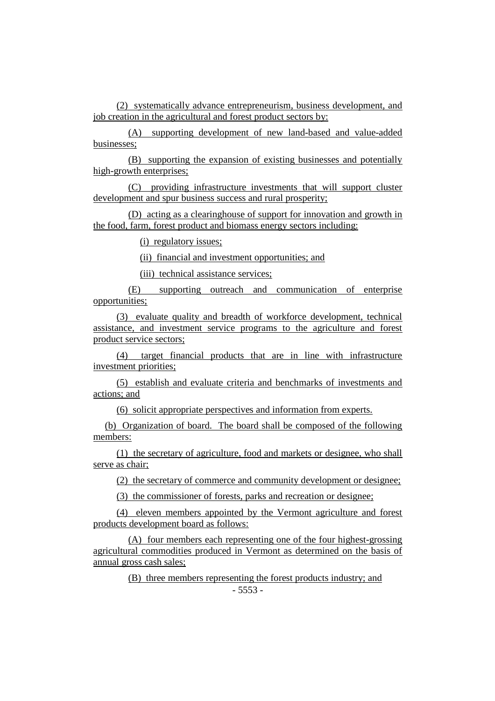(2) systematically advance entrepreneurism, business development, and job creation in the agricultural and forest product sectors by:

(A) supporting development of new land-based and value-added businesses;

(B) supporting the expansion of existing businesses and potentially high-growth enterprises;

(C) providing infrastructure investments that will support cluster development and spur business success and rural prosperity;

(D) acting as a clearinghouse of support for innovation and growth in the food, farm, forest product and biomass energy sectors including:

(i) regulatory issues;

(ii) financial and investment opportunities; and

(iii) technical assistance services;

(E) supporting outreach and communication of enterprise opportunities;

(3) evaluate quality and breadth of workforce development, technical assistance, and investment service programs to the agriculture and forest product service sectors;

(4) target financial products that are in line with infrastructure investment priorities;

(5) establish and evaluate criteria and benchmarks of investments and actions; and

(6) solicit appropriate perspectives and information from experts.

(b) Organization of board. The board shall be composed of the following members:

(1) the secretary of agriculture, food and markets or designee, who shall serve as chair;

(2) the secretary of commerce and community development or designee;

(3) the commissioner of forests, parks and recreation or designee;

(4) eleven members appointed by the Vermont agriculture and forest products development board as follows:

(A) four members each representing one of the four highest-grossing agricultural commodities produced in Vermont as determined on the basis of annual gross cash sales;

(B) three members representing the forest products industry; and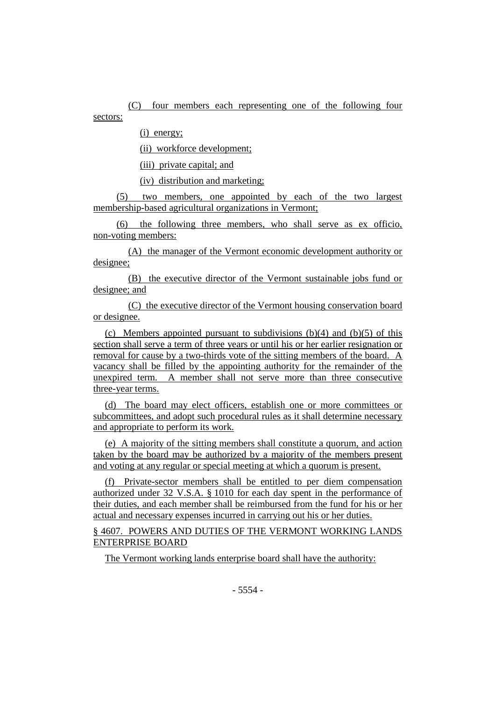(C) four members each representing one of the following four sectors:

(i) energy;

(ii) workforce development;

(iii) private capital; and

(iv) distribution and marketing;

(5) two members, one appointed by each of the two largest membership-based agricultural organizations in Vermont;

(6) the following three members, who shall serve as ex officio, non-voting members:

(A) the manager of the Vermont economic development authority or designee;

(B) the executive director of the Vermont sustainable jobs fund or designee; and

(C) the executive director of the Vermont housing conservation board or designee.

(c) Members appointed pursuant to subdivisions  $(b)(4)$  and  $(b)(5)$  of this section shall serve a term of three years or until his or her earlier resignation or removal for cause by a two-thirds vote of the sitting members of the board. A vacancy shall be filled by the appointing authority for the remainder of the unexpired term. A member shall not serve more than three consecutive three-year terms.

(d) The board may elect officers, establish one or more committees or subcommittees, and adopt such procedural rules as it shall determine necessary and appropriate to perform its work.

(e) A majority of the sitting members shall constitute a quorum, and action taken by the board may be authorized by a majority of the members present and voting at any regular or special meeting at which a quorum is present.

(f) Private-sector members shall be entitled to per diem compensation authorized under 32 V.S.A. § 1010 for each day spent in the performance of their duties, and each member shall be reimbursed from the fund for his or her actual and necessary expenses incurred in carrying out his or her duties.

§ 4607. POWERS AND DUTIES OF THE VERMONT WORKING LANDS ENTERPRISE BOARD

The Vermont working lands enterprise board shall have the authority: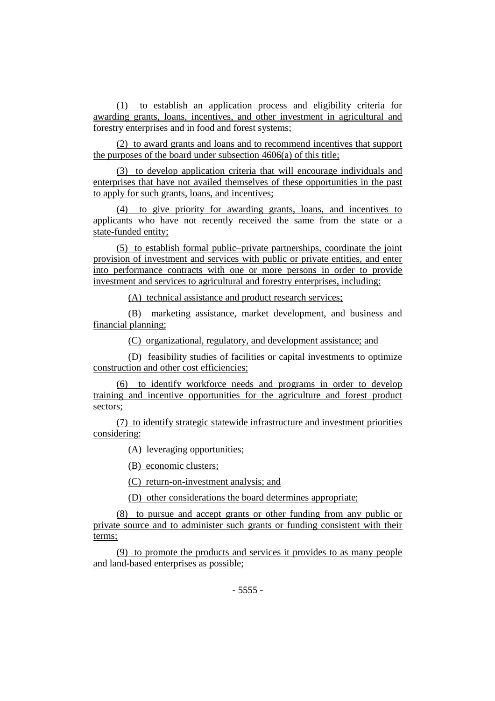(1) to establish an application process and eligibility criteria for awarding grants, loans, incentives, and other investment in agricultural and forestry enterprises and in food and forest systems;

(2) to award grants and loans and to recommend incentives that support the purposes of the board under subsection 4606(a) of this title;

(3) to develop application criteria that will encourage individuals and enterprises that have not availed themselves of these opportunities in the past to apply for such grants, loans, and incentives;

(4) to give priority for awarding grants, loans, and incentives to applicants who have not recently received the same from the state or a state-funded entity;

(5) to establish formal public–private partnerships, coordinate the joint provision of investment and services with public or private entities, and enter into performance contracts with one or more persons in order to provide investment and services to agricultural and forestry enterprises, including:

(A) technical assistance and product research services;

(B) marketing assistance, market development, and business and financial planning;

(C) organizational, regulatory, and development assistance; and

(D) feasibility studies of facilities or capital investments to optimize construction and other cost efficiencies;

(6) to identify workforce needs and programs in order to develop training and incentive opportunities for the agriculture and forest product sectors;

(7) to identify strategic statewide infrastructure and investment priorities considering:

(A) leveraging opportunities;

(B) economic clusters;

(C) return-on-investment analysis; and

(D) other considerations the board determines appropriate;

(8) to pursue and accept grants or other funding from any public or private source and to administer such grants or funding consistent with their terms;

(9) to promote the products and services it provides to as many people and land-based enterprises as possible;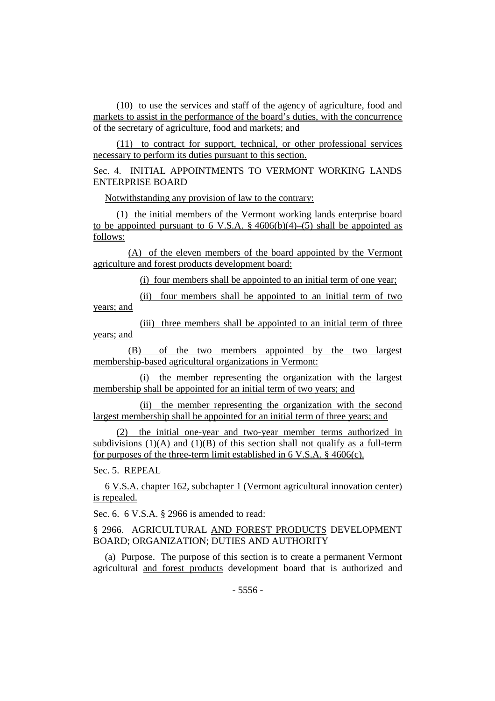(10) to use the services and staff of the agency of agriculture, food and markets to assist in the performance of the board's duties, with the concurrence of the secretary of agriculture, food and markets; and

(11) to contract for support, technical, or other professional services necessary to perform its duties pursuant to this section.

Sec. 4. INITIAL APPOINTMENTS TO VERMONT WORKING LANDS ENTERPRISE BOARD

Notwithstanding any provision of law to the contrary:

(1) the initial members of the Vermont working lands enterprise board to be appointed pursuant to 6 V.S.A.  $\S$  4606(b)(4)–(5) shall be appointed as follows:

(A) of the eleven members of the board appointed by the Vermont agriculture and forest products development board:

(i) four members shall be appointed to an initial term of one year;

(ii) four members shall be appointed to an initial term of two years; and

(iii) three members shall be appointed to an initial term of three years; and

(B) of the two members appointed by the two largest membership-based agricultural organizations in Vermont:

(i) the member representing the organization with the largest membership shall be appointed for an initial term of two years; and

(ii) the member representing the organization with the second largest membership shall be appointed for an initial term of three years; and

(2) the initial one-year and two-year member terms authorized in subdivisions  $(1)(A)$  and  $(1)(B)$  of this section shall not qualify as a full-term for purposes of the three-term limit established in 6 V.S.A.  $\S$  4606(c).

Sec. 5. REPEAL

6 V.S.A. chapter 162, subchapter 1 (Vermont agricultural innovation center) is repealed.

Sec. 6. 6 V.S.A. § 2966 is amended to read:

§ 2966. AGRICULTURAL AND FOREST PRODUCTS DEVELOPMENT BOARD; ORGANIZATION; DUTIES AND AUTHORITY

(a) Purpose. The purpose of this section is to create a permanent Vermont agricultural and forest products development board that is authorized and

- 5556 -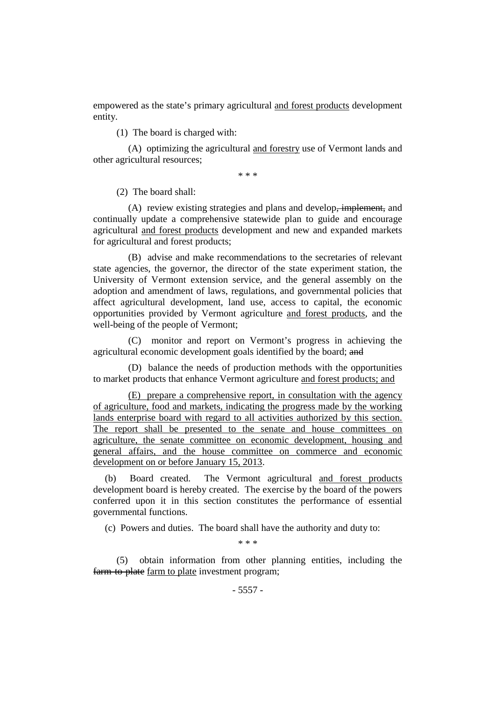empowered as the state's primary agricultural and forest products development entity.

(1) The board is charged with:

(A) optimizing the agricultural and forestry use of Vermont lands and other agricultural resources;

\* \* \*

(2) The board shall:

(A) review existing strategies and plans and develop, implement, and continually update a comprehensive statewide plan to guide and encourage agricultural and forest products development and new and expanded markets for agricultural and forest products;

(B) advise and make recommendations to the secretaries of relevant state agencies, the governor, the director of the state experiment station, the University of Vermont extension service, and the general assembly on the adoption and amendment of laws, regulations, and governmental policies that affect agricultural development, land use, access to capital, the economic opportunities provided by Vermont agriculture and forest products, and the well-being of the people of Vermont;

(C) monitor and report on Vermont's progress in achieving the agricultural economic development goals identified by the board; and

(D) balance the needs of production methods with the opportunities to market products that enhance Vermont agriculture and forest products; and

(E) prepare a comprehensive report, in consultation with the agency of agriculture, food and markets, indicating the progress made by the working lands enterprise board with regard to all activities authorized by this section. The report shall be presented to the senate and house committees on agriculture, the senate committee on economic development, housing and general affairs, and the house committee on commerce and economic development on or before January 15, 2013.

(b) Board created. The Vermont agricultural and forest products development board is hereby created. The exercise by the board of the powers conferred upon it in this section constitutes the performance of essential governmental functions.

(c) Powers and duties. The board shall have the authority and duty to:

\* \* \*

(5) obtain information from other planning entities, including the farm to plate farm to plate investment program;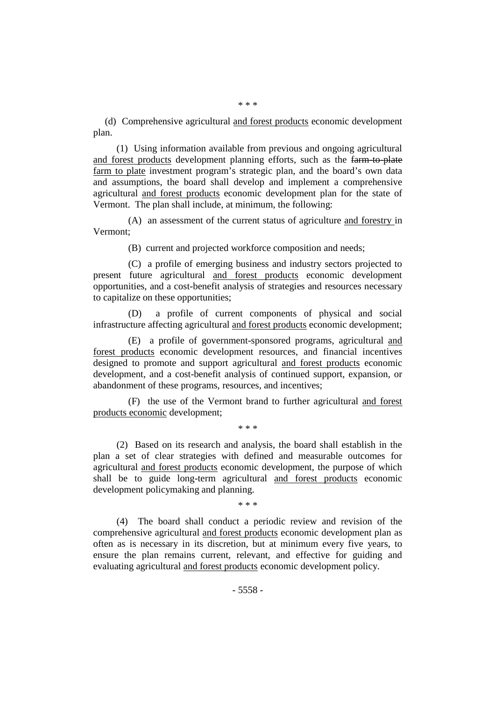\* \* \*

(d) Comprehensive agricultural and forest products economic development plan.

(1) Using information available from previous and ongoing agricultural and forest products development planning efforts, such as the farm to plate farm to plate investment program's strategic plan, and the board's own data and assumptions, the board shall develop and implement a comprehensive agricultural and forest products economic development plan for the state of Vermont. The plan shall include, at minimum, the following:

(A) an assessment of the current status of agriculture and forestry in Vermont;

(B) current and projected workforce composition and needs;

(C) a profile of emerging business and industry sectors projected to present future agricultural and forest products economic development opportunities, and a cost-benefit analysis of strategies and resources necessary to capitalize on these opportunities;

a profile of current components of physical and social infrastructure affecting agricultural and forest products economic development;

(E) a profile of government-sponsored programs, agricultural and forest products economic development resources, and financial incentives designed to promote and support agricultural and forest products economic development, and a cost-benefit analysis of continued support, expansion, or abandonment of these programs, resources, and incentives;

(F) the use of the Vermont brand to further agricultural and forest products economic development;

\* \* \*

(2) Based on its research and analysis, the board shall establish in the plan a set of clear strategies with defined and measurable outcomes for agricultural and forest products economic development, the purpose of which shall be to guide long-term agricultural and forest products economic development policymaking and planning.

\* \* \*

(4) The board shall conduct a periodic review and revision of the comprehensive agricultural and forest products economic development plan as often as is necessary in its discretion, but at minimum every five years, to ensure the plan remains current, relevant, and effective for guiding and evaluating agricultural and forest products economic development policy.

- 5558 -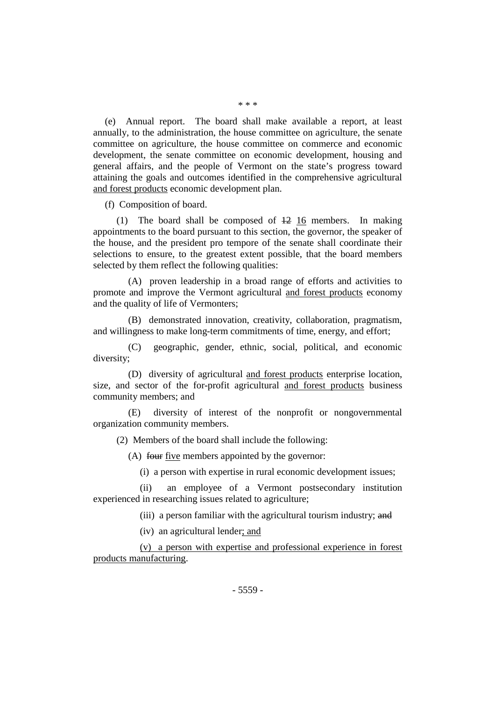(e) Annual report. The board shall make available a report, at least annually, to the administration, the house committee on agriculture, the senate committee on agriculture, the house committee on commerce and economic development, the senate committee on economic development, housing and general affairs, and the people of Vermont on the state's progress toward attaining the goals and outcomes identified in the comprehensive agricultural and forest products economic development plan.

(f) Composition of board.

(1) The board shall be composed of  $\frac{12}{16}$  members. In making appointments to the board pursuant to this section, the governor, the speaker of the house, and the president pro tempore of the senate shall coordinate their selections to ensure, to the greatest extent possible, that the board members selected by them reflect the following qualities:

(A) proven leadership in a broad range of efforts and activities to promote and improve the Vermont agricultural and forest products economy and the quality of life of Vermonters;

(B) demonstrated innovation, creativity, collaboration, pragmatism, and willingness to make long-term commitments of time, energy, and effort;

(C) geographic, gender, ethnic, social, political, and economic diversity;

(D) diversity of agricultural and forest products enterprise location, size, and sector of the for-profit agricultural and forest products business community members; and

(E) diversity of interest of the nonprofit or nongovernmental organization community members.

(2) Members of the board shall include the following:

(A) four five members appointed by the governor:

(i) a person with expertise in rural economic development issues;

(ii) an employee of a Vermont postsecondary institution experienced in researching issues related to agriculture;

(iii) a person familiar with the agricultural tourism industry; and

(iv) an agricultural lender; and

(v) a person with expertise and professional experience in forest products manufacturing.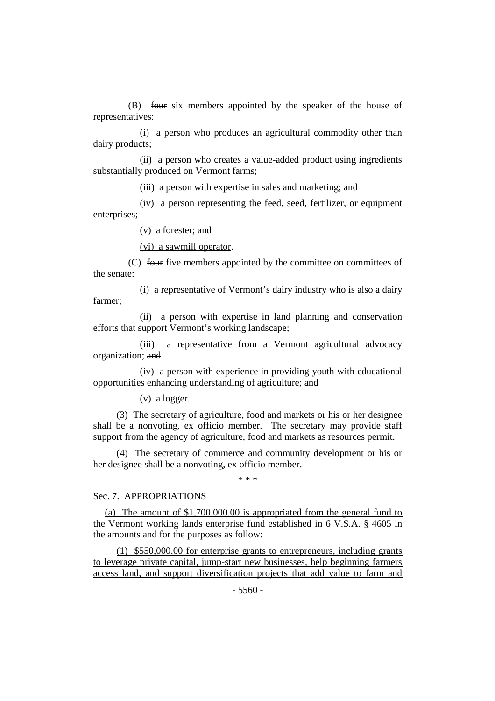(B) four six members appointed by the speaker of the house of representatives:

(i) a person who produces an agricultural commodity other than dairy products;

(ii) a person who creates a value-added product using ingredients substantially produced on Vermont farms;

(iii) a person with expertise in sales and marketing; and

(iv) a person representing the feed, seed, fertilizer, or equipment enterprises;

(v) a forester; and

(vi) a sawmill operator.

(C) four five members appointed by the committee on committees of the senate:

(i) a representative of Vermont's dairy industry who is also a dairy farmer;

(ii) a person with expertise in land planning and conservation efforts that support Vermont's working landscape;

(iii) a representative from a Vermont agricultural advocacy organization; and

(iv) a person with experience in providing youth with educational opportunities enhancing understanding of agriculture; and

(v) a logger.

(3) The secretary of agriculture, food and markets or his or her designee shall be a nonvoting, ex officio member. The secretary may provide staff support from the agency of agriculture, food and markets as resources permit.

(4) The secretary of commerce and community development or his or her designee shall be a nonvoting, ex officio member.

\* \* \*

## Sec. 7. APPROPRIATIONS

(a) The amount of \$1,700,000.00 is appropriated from the general fund to the Vermont working lands enterprise fund established in 6 V.S.A. § 4605 in the amounts and for the purposes as follow:

(1) \$550,000.00 for enterprise grants to entrepreneurs, including grants to leverage private capital, jump-start new businesses, help beginning farmers access land, and support diversification projects that add value to farm and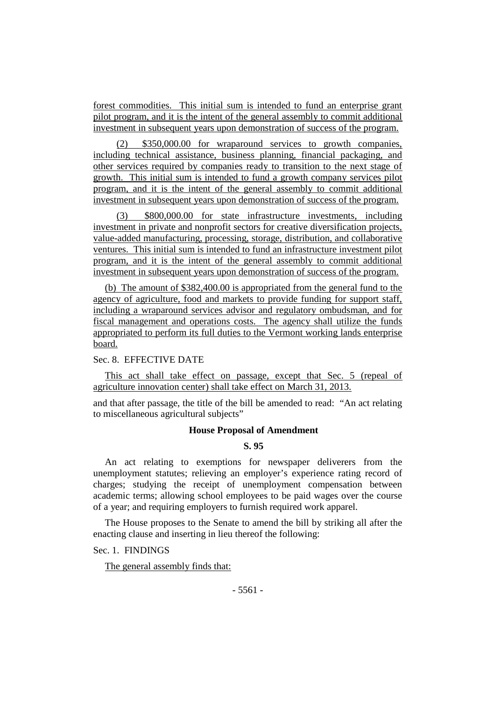forest commodities. This initial sum is intended to fund an enterprise grant pilot program, and it is the intent of the general assembly to commit additional investment in subsequent years upon demonstration of success of the program.

\$350,000.00 for wraparound services to growth companies, including technical assistance, business planning, financial packaging, and other services required by companies ready to transition to the next stage of growth. This initial sum is intended to fund a growth company services pilot program, and it is the intent of the general assembly to commit additional investment in subsequent years upon demonstration of success of the program.

(3) \$800,000.00 for state infrastructure investments, including investment in private and nonprofit sectors for creative diversification projects, value-added manufacturing, processing, storage, distribution, and collaborative ventures. This initial sum is intended to fund an infrastructure investment pilot program, and it is the intent of the general assembly to commit additional investment in subsequent years upon demonstration of success of the program.

(b) The amount of \$382,400.00 is appropriated from the general fund to the agency of agriculture, food and markets to provide funding for support staff, including a wraparound services advisor and regulatory ombudsman, and for fiscal management and operations costs. The agency shall utilize the funds appropriated to perform its full duties to the Vermont working lands enterprise board.

Sec. 8. EFFECTIVE DATE

This act shall take effect on passage, except that Sec. 5 (repeal of agriculture innovation center) shall take effect on March 31, 2013.

and that after passage, the title of the bill be amended to read: "An act relating to miscellaneous agricultural subjects"

#### **House Proposal of Amendment**

# **S. 95**

An act relating to exemptions for newspaper deliverers from the unemployment statutes; relieving an employer's experience rating record of charges; studying the receipt of unemployment compensation between academic terms; allowing school employees to be paid wages over the course of a year; and requiring employers to furnish required work apparel.

The House proposes to the Senate to amend the bill by striking all after the enacting clause and inserting in lieu thereof the following:

Sec. 1. FINDINGS

The general assembly finds that: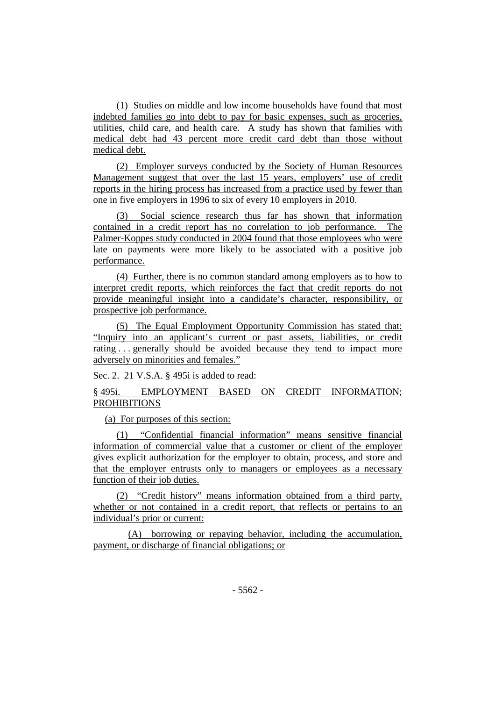(1) Studies on middle and low income households have found that most indebted families go into debt to pay for basic expenses, such as groceries, utilities, child care, and health care. A study has shown that families with medical debt had 43 percent more credit card debt than those without medical debt.

(2) Employer surveys conducted by the Society of Human Resources Management suggest that over the last 15 years, employers' use of credit reports in the hiring process has increased from a practice used by fewer than one in five employers in 1996 to six of every 10 employers in 2010.

(3) Social science research thus far has shown that information contained in a credit report has no correlation to job performance. The Palmer-Koppes study conducted in 2004 found that those employees who were late on payments were more likely to be associated with a positive job performance.

(4) Further, there is no common standard among employers as to how to interpret credit reports, which reinforces the fact that credit reports do not provide meaningful insight into a candidate's character, responsibility, or prospective job performance.

(5) The Equal Employment Opportunity Commission has stated that: "Inquiry into an applicant's current or past assets, liabilities, or credit rating . . . generally should be avoided because they tend to impact more adversely on minorities and females."

Sec. 2. 21 V.S.A. § 495i is added to read:

# § 495i. EMPLOYMENT BASED ON CREDIT INFORMATION; PROHIBITIONS

(a) For purposes of this section:

(1) "Confidential financial information" means sensitive financial information of commercial value that a customer or client of the employer gives explicit authorization for the employer to obtain, process, and store and that the employer entrusts only to managers or employees as a necessary function of their job duties.

(2) "Credit history" means information obtained from a third party, whether or not contained in a credit report, that reflects or pertains to an individual's prior or current:

(A) borrowing or repaying behavior, including the accumulation, payment, or discharge of financial obligations; or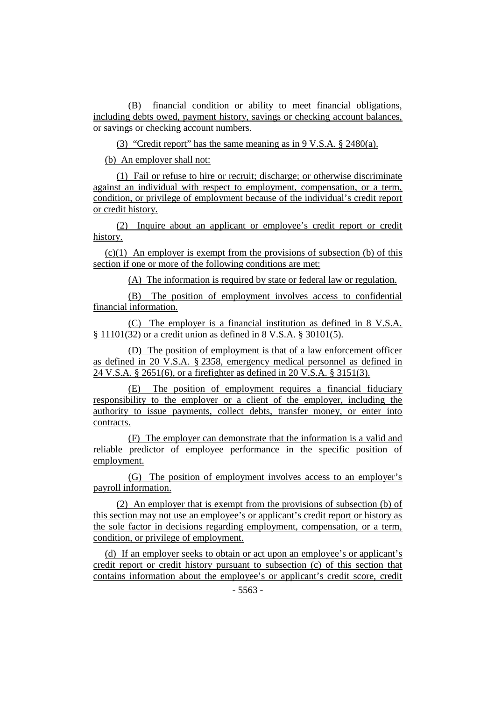(B) financial condition or ability to meet financial obligations, including debts owed, payment history, savings or checking account balances, or savings or checking account numbers.

(3) "Credit report" has the same meaning as in 9 V.S.A. § 2480(a).

(b) An employer shall not:

(1) Fail or refuse to hire or recruit; discharge; or otherwise discriminate against an individual with respect to employment, compensation, or a term, condition, or privilege of employment because of the individual's credit report or credit history.

(2) Inquire about an applicant or employee's credit report or credit history.

 $(c)(1)$  An employer is exempt from the provisions of subsection (b) of this section if one or more of the following conditions are met:

(A) The information is required by state or federal law or regulation.

(B) The position of employment involves access to confidential financial information.

(C) The employer is a financial institution as defined in 8 V.S.A. § 11101(32) or a credit union as defined in 8 V.S.A. § 30101(5).

(D) The position of employment is that of a law enforcement officer as defined in 20 V.S.A. § 2358, emergency medical personnel as defined in 24 V.S.A. § 2651(6), or a firefighter as defined in 20 V.S.A. § 3151(3).

(E) The position of employment requires a financial fiduciary responsibility to the employer or a client of the employer, including the authority to issue payments, collect debts, transfer money, or enter into contracts.

(F) The employer can demonstrate that the information is a valid and reliable predictor of employee performance in the specific position of employment.

(G) The position of employment involves access to an employer's payroll information.

(2) An employer that is exempt from the provisions of subsection (b) of this section may not use an employee's or applicant's credit report or history as the sole factor in decisions regarding employment, compensation, or a term, condition, or privilege of employment.

(d) If an employer seeks to obtain or act upon an employee's or applicant's credit report or credit history pursuant to subsection (c) of this section that contains information about the employee's or applicant's credit score, credit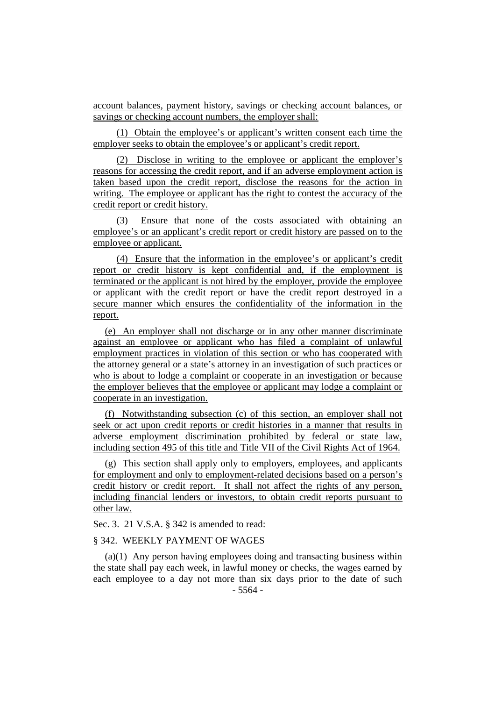account balances, payment history, savings or checking account balances, or savings or checking account numbers, the employer shall:

(1) Obtain the employee's or applicant's written consent each time the employer seeks to obtain the employee's or applicant's credit report.

(2) Disclose in writing to the employee or applicant the employer's reasons for accessing the credit report, and if an adverse employment action is taken based upon the credit report, disclose the reasons for the action in writing. The employee or applicant has the right to contest the accuracy of the credit report or credit history.

(3) Ensure that none of the costs associated with obtaining an employee's or an applicant's credit report or credit history are passed on to the employee or applicant.

(4) Ensure that the information in the employee's or applicant's credit report or credit history is kept confidential and, if the employment is terminated or the applicant is not hired by the employer, provide the employee or applicant with the credit report or have the credit report destroyed in a secure manner which ensures the confidentiality of the information in the report.

(e) An employer shall not discharge or in any other manner discriminate against an employee or applicant who has filed a complaint of unlawful employment practices in violation of this section or who has cooperated with the attorney general or a state's attorney in an investigation of such practices or who is about to lodge a complaint or cooperate in an investigation or because the employer believes that the employee or applicant may lodge a complaint or cooperate in an investigation.

(f) Notwithstanding subsection (c) of this section, an employer shall not seek or act upon credit reports or credit histories in a manner that results in adverse employment discrimination prohibited by federal or state law, including section 495 of this title and Title VII of the Civil Rights Act of 1964.

(g) This section shall apply only to employers, employees, and applicants for employment and only to employment-related decisions based on a person's credit history or credit report. It shall not affect the rights of any person, including financial lenders or investors, to obtain credit reports pursuant to other law.

Sec. 3. 21 V.S.A. § 342 is amended to read:

## § 342. WEEKLY PAYMENT OF WAGES

- 5564 - (a)(1) Any person having employees doing and transacting business within the state shall pay each week, in lawful money or checks, the wages earned by each employee to a day not more than six days prior to the date of such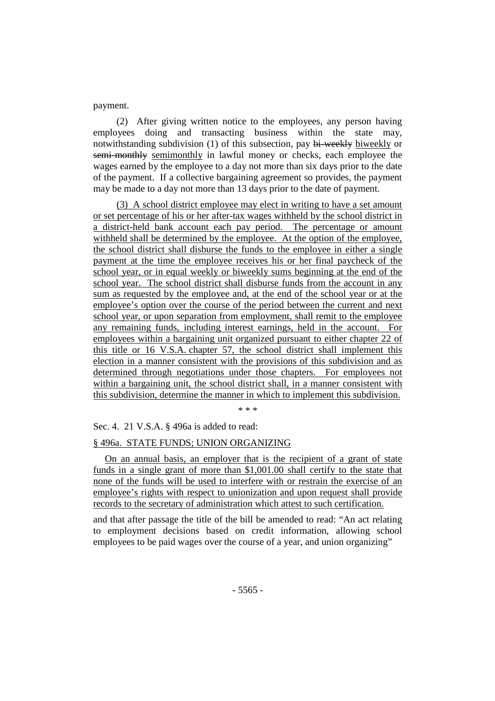payment.

(2) After giving written notice to the employees, any person having employees doing and transacting business within the state may, notwithstanding subdivision (1) of this subsection, pay bi-weekly biweekly or semi-monthly semimonthly in lawful money or checks, each employee the wages earned by the employee to a day not more than six days prior to the date of the payment. If a collective bargaining agreement so provides, the payment may be made to a day not more than 13 days prior to the date of payment.

(3) A school district employee may elect in writing to have a set amount or set percentage of his or her after-tax wages withheld by the school district in a district-held bank account each pay period. The percentage or amount withheld shall be determined by the employee. At the option of the employee, the school district shall disburse the funds to the employee in either a single payment at the time the employee receives his or her final paycheck of the school year, or in equal weekly or biweekly sums beginning at the end of the school year. The school district shall disburse funds from the account in any sum as requested by the employee and, at the end of the school year or at the employee's option over the course of the period between the current and next school year, or upon separation from employment, shall remit to the employee any remaining funds, including interest earnings, held in the account. For employees within a bargaining unit organized pursuant to either chapter 22 of this title or 16 V.S.A. chapter 57, the school district shall implement this election in a manner consistent with the provisions of this subdivision and as determined through negotiations under those chapters. For employees not within a bargaining unit, the school district shall, in a manner consistent with this subdivision, determine the manner in which to implement this subdivision.

\* \* \*

Sec. 4. 21 V.S.A. § 496a is added to read:

#### § 496a. STATE FUNDS; UNION ORGANIZING

On an annual basis, an employer that is the recipient of a grant of state funds in a single grant of more than \$1,001.00 shall certify to the state that none of the funds will be used to interfere with or restrain the exercise of an employee's rights with respect to unionization and upon request shall provide records to the secretary of administration which attest to such certification.

and that after passage the title of the bill be amended to read: "An act relating to employment decisions based on credit information, allowing school employees to be paid wages over the course of a year, and union organizing"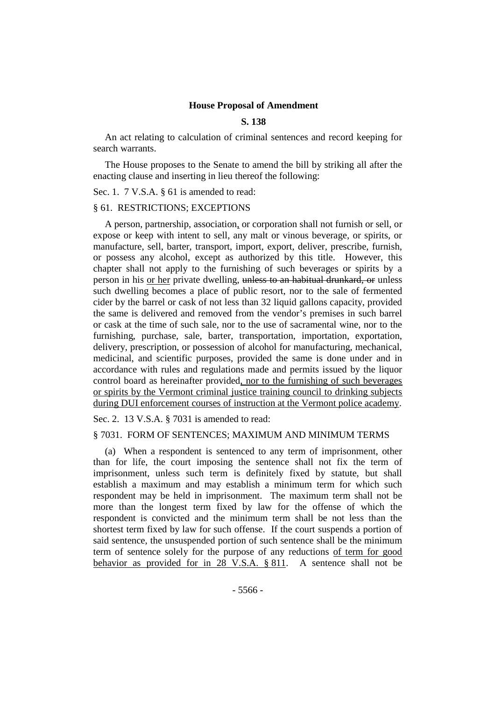### **House Proposal of Amendment**

#### **S. 138**

An act relating to calculation of criminal sentences and record keeping for search warrants.

The House proposes to the Senate to amend the bill by striking all after the enacting clause and inserting in lieu thereof the following:

Sec. 1. 7 V.S.A. § 61 is amended to read:

#### § 61. RESTRICTIONS; EXCEPTIONS

A person, partnership, association, or corporation shall not furnish or sell, or expose or keep with intent to sell, any malt or vinous beverage, or spirits, or manufacture, sell, barter, transport, import, export, deliver, prescribe, furnish, or possess any alcohol, except as authorized by this title. However, this chapter shall not apply to the furnishing of such beverages or spirits by a person in his or her private dwelling, unless to an habitual drunkard, or unless such dwelling becomes a place of public resort, nor to the sale of fermented cider by the barrel or cask of not less than 32 liquid gallons capacity, provided the same is delivered and removed from the vendor's premises in such barrel or cask at the time of such sale, nor to the use of sacramental wine, nor to the furnishing, purchase, sale, barter, transportation, importation, exportation, delivery, prescription, or possession of alcohol for manufacturing, mechanical, medicinal, and scientific purposes, provided the same is done under and in accordance with rules and regulations made and permits issued by the liquor control board as hereinafter provided, nor to the furnishing of such beverages or spirits by the Vermont criminal justice training council to drinking subjects during DUI enforcement courses of instruction at the Vermont police academy.

Sec. 2. 13 V.S.A. § 7031 is amended to read:

#### § 7031. FORM OF SENTENCES; MAXIMUM AND MINIMUM TERMS

(a) When a respondent is sentenced to any term of imprisonment, other than for life, the court imposing the sentence shall not fix the term of imprisonment, unless such term is definitely fixed by statute, but shall establish a maximum and may establish a minimum term for which such respondent may be held in imprisonment. The maximum term shall not be more than the longest term fixed by law for the offense of which the respondent is convicted and the minimum term shall be not less than the shortest term fixed by law for such offense. If the court suspends a portion of said sentence, the unsuspended portion of such sentence shall be the minimum term of sentence solely for the purpose of any reductions of term for good behavior as provided for in 28 V.S.A. § 811. A sentence shall not be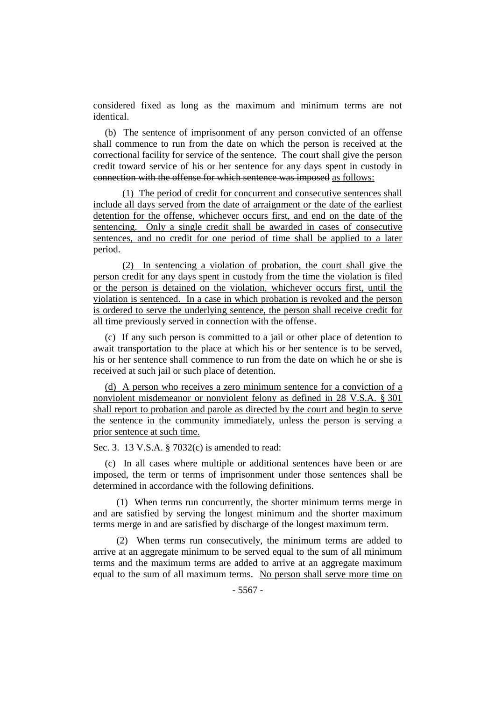considered fixed as long as the maximum and minimum terms are not identical.

(b) The sentence of imprisonment of any person convicted of an offense shall commence to run from the date on which the person is received at the correctional facility for service of the sentence. The court shall give the person credit toward service of his or her sentence for any days spent in custody in connection with the offense for which sentence was imposed as follows:

(1) The period of credit for concurrent and consecutive sentences shall include all days served from the date of arraignment or the date of the earliest detention for the offense, whichever occurs first, and end on the date of the sentencing. Only a single credit shall be awarded in cases of consecutive sentences, and no credit for one period of time shall be applied to a later period.

(2) In sentencing a violation of probation, the court shall give the person credit for any days spent in custody from the time the violation is filed or the person is detained on the violation, whichever occurs first, until the violation is sentenced. In a case in which probation is revoked and the person is ordered to serve the underlying sentence, the person shall receive credit for all time previously served in connection with the offense.

(c) If any such person is committed to a jail or other place of detention to await transportation to the place at which his or her sentence is to be served, his or her sentence shall commence to run from the date on which he or she is received at such jail or such place of detention.

(d) A person who receives a zero minimum sentence for a conviction of a nonviolent misdemeanor or nonviolent felony as defined in 28 V.S.A. § 301 shall report to probation and parole as directed by the court and begin to serve the sentence in the community immediately, unless the person is serving a prior sentence at such time.

Sec. 3. 13 V.S.A. § 7032(c) is amended to read:

(c) In all cases where multiple or additional sentences have been or are imposed, the term or terms of imprisonment under those sentences shall be determined in accordance with the following definitions.

(1) When terms run concurrently, the shorter minimum terms merge in and are satisfied by serving the longest minimum and the shorter maximum terms merge in and are satisfied by discharge of the longest maximum term.

(2) When terms run consecutively, the minimum terms are added to arrive at an aggregate minimum to be served equal to the sum of all minimum terms and the maximum terms are added to arrive at an aggregate maximum equal to the sum of all maximum terms. No person shall serve more time on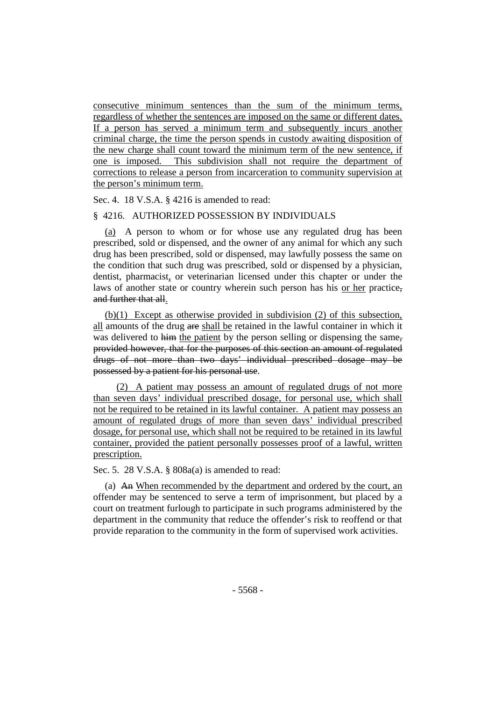consecutive minimum sentences than the sum of the minimum terms, regardless of whether the sentences are imposed on the same or different dates. If a person has served a minimum term and subsequently incurs another criminal charge, the time the person spends in custody awaiting disposition of the new charge shall count toward the minimum term of the new sentence, if one is imposed. This subdivision shall not require the department of corrections to release a person from incarceration to community supervision at the person's minimum term.

Sec. 4. 18 V.S.A. § 4216 is amended to read:

# § 4216. AUTHORIZED POSSESSION BY INDIVIDUALS

(a) A person to whom or for whose use any regulated drug has been prescribed, sold or dispensed, and the owner of any animal for which any such drug has been prescribed, sold or dispensed, may lawfully possess the same on the condition that such drug was prescribed, sold or dispensed by a physician, dentist, pharmacist, or veterinarian licensed under this chapter or under the laws of another state or country wherein such person has his or her practice, and further that all.

(b)(1) Except as otherwise provided in subdivision (2) of this subsection, all amounts of the drug are shall be retained in the lawful container in which it was delivered to him the patient by the person selling or dispensing the same, provided however, that for the purposes of this section an amount of regulated drugs of not more than two days' individual prescribed dosage may be possessed by a patient for his personal use.

(2) A patient may possess an amount of regulated drugs of not more than seven days' individual prescribed dosage, for personal use, which shall not be required to be retained in its lawful container. A patient may possess an amount of regulated drugs of more than seven days' individual prescribed dosage, for personal use, which shall not be required to be retained in its lawful container, provided the patient personally possesses proof of a lawful, written prescription.

Sec. 5. 28 V.S.A. § 808a(a) is amended to read:

(a) An When recommended by the department and ordered by the court, an offender may be sentenced to serve a term of imprisonment, but placed by a court on treatment furlough to participate in such programs administered by the department in the community that reduce the offender's risk to reoffend or that provide reparation to the community in the form of supervised work activities.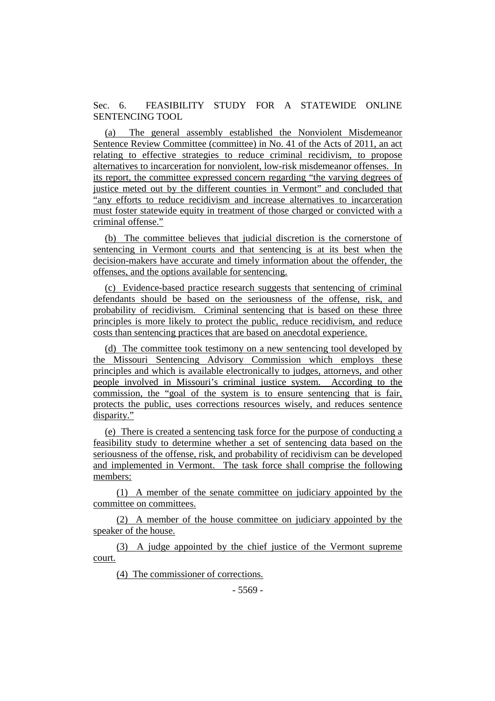Sec. 6. FEASIBILITY STUDY FOR A STATEWIDE ONLINE SENTENCING TOOL

(a) The general assembly established the Nonviolent Misdemeanor Sentence Review Committee (committee) in No. 41 of the Acts of 2011, an act relating to effective strategies to reduce criminal recidivism, to propose alternatives to incarceration for nonviolent, low-risk misdemeanor offenses. In its report, the committee expressed concern regarding "the varying degrees of justice meted out by the different counties in Vermont" and concluded that "any efforts to reduce recidivism and increase alternatives to incarceration must foster statewide equity in treatment of those charged or convicted with a criminal offense."

(b) The committee believes that judicial discretion is the cornerstone of sentencing in Vermont courts and that sentencing is at its best when the decision-makers have accurate and timely information about the offender, the offenses, and the options available for sentencing.

(c) Evidence-based practice research suggests that sentencing of criminal defendants should be based on the seriousness of the offense, risk, and probability of recidivism. Criminal sentencing that is based on these three principles is more likely to protect the public, reduce recidivism, and reduce costs than sentencing practices that are based on anecdotal experience.

(d) The committee took testimony on a new sentencing tool developed by the Missouri Sentencing Advisory Commission which employs these principles and which is available electronically to judges, attorneys, and other people involved in Missouri's criminal justice system. According to the commission, the "goal of the system is to ensure sentencing that is fair, protects the public, uses corrections resources wisely, and reduces sentence disparity."

(e) There is created a sentencing task force for the purpose of conducting a feasibility study to determine whether a set of sentencing data based on the seriousness of the offense, risk, and probability of recidivism can be developed and implemented in Vermont. The task force shall comprise the following members:

(1) A member of the senate committee on judiciary appointed by the committee on committees.

(2) A member of the house committee on judiciary appointed by the speaker of the house.

(3) A judge appointed by the chief justice of the Vermont supreme court.

(4) The commissioner of corrections.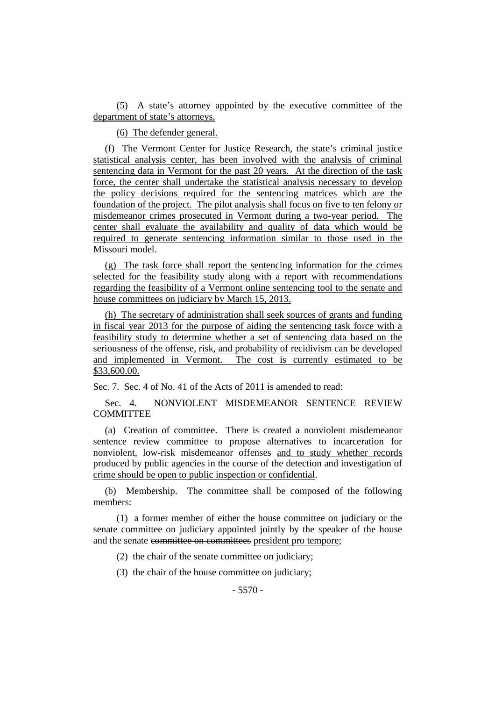(5) A state's attorney appointed by the executive committee of the department of state's attorneys.

(6) The defender general.

(f) The Vermont Center for Justice Research, the state's criminal justice statistical analysis center, has been involved with the analysis of criminal sentencing data in Vermont for the past 20 years. At the direction of the task force, the center shall undertake the statistical analysis necessary to develop the policy decisions required for the sentencing matrices which are the foundation of the project. The pilot analysis shall focus on five to ten felony or misdemeanor crimes prosecuted in Vermont during a two-year period. The center shall evaluate the availability and quality of data which would be required to generate sentencing information similar to those used in the Missouri model.

(g) The task force shall report the sentencing information for the crimes selected for the feasibility study along with a report with recommendations regarding the feasibility of a Vermont online sentencing tool to the senate and house committees on judiciary by March 15, 2013.

(h) The secretary of administration shall seek sources of grants and funding in fiscal year 2013 for the purpose of aiding the sentencing task force with a feasibility study to determine whether a set of sentencing data based on the seriousness of the offense, risk, and probability of recidivism can be developed and implemented in Vermont. The cost is currently estimated to be \$33,600.00.

Sec. 7. Sec. 4 of No. 41 of the Acts of 2011 is amended to read:

Sec. 4. NONVIOLENT MISDEMEANOR SENTENCE REVIEW **COMMITTEE** 

(a) Creation of committee. There is created a nonviolent misdemeanor sentence review committee to propose alternatives to incarceration for nonviolent, low-risk misdemeanor offenses and to study whether records produced by public agencies in the course of the detection and investigation of crime should be open to public inspection or confidential.

(b) Membership. The committee shall be composed of the following members:

(1) a former member of either the house committee on judiciary or the senate committee on judiciary appointed jointly by the speaker of the house and the senate committee on committees president pro tempore;

(2) the chair of the senate committee on judiciary;

(3) the chair of the house committee on judiciary;

 $-5570 -$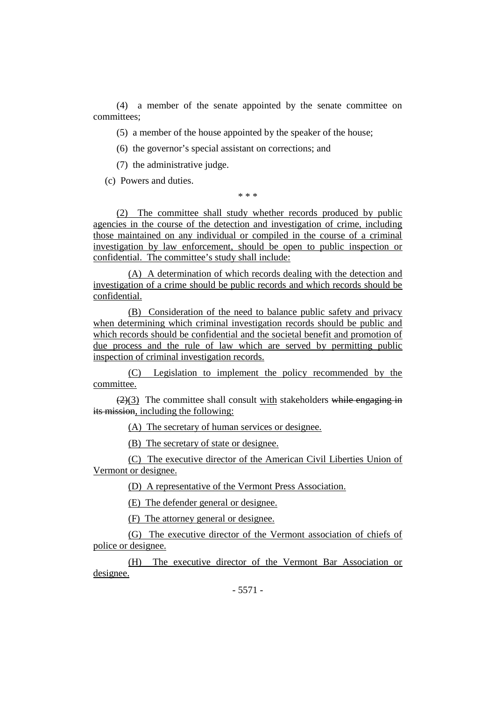(4) a member of the senate appointed by the senate committee on committees;

(5) a member of the house appointed by the speaker of the house;

(6) the governor's special assistant on corrections; and

(7) the administrative judge.

(c) Powers and duties.

\* \* \*

(2) The committee shall study whether records produced by public agencies in the course of the detection and investigation of crime, including those maintained on any individual or compiled in the course of a criminal investigation by law enforcement, should be open to public inspection or confidential. The committee's study shall include:

(A) A determination of which records dealing with the detection and investigation of a crime should be public records and which records should be confidential.

(B) Consideration of the need to balance public safety and privacy when determining which criminal investigation records should be public and which records should be confidential and the societal benefit and promotion of due process and the rule of law which are served by permitting public inspection of criminal investigation records.

(C) Legislation to implement the policy recommended by the committee.

 $(2)(3)$  The committee shall consult with stakeholders while engaging in its mission, including the following:

(A) The secretary of human services or designee.

(B) The secretary of state or designee.

(C) The executive director of the American Civil Liberties Union of Vermont or designee.

(D) A representative of the Vermont Press Association.

(E) The defender general or designee.

(F) The attorney general or designee.

(G) The executive director of the Vermont association of chiefs of police or designee.

(H) The executive director of the Vermont Bar Association or designee.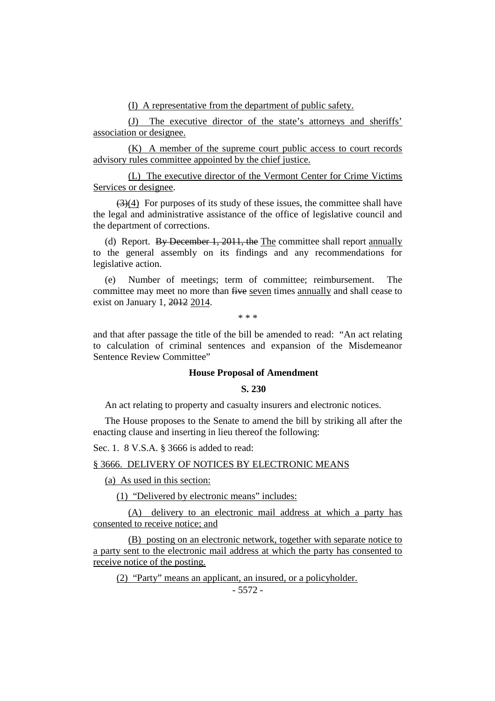(I) A representative from the department of public safety.

(J) The executive director of the state's attorneys and sheriffs' association or designee.

(K) A member of the supreme court public access to court records advisory rules committee appointed by the chief justice.

(L) The executive director of the Vermont Center for Crime Victims Services or designee.

 $(3)(4)$  For purposes of its study of these issues, the committee shall have the legal and administrative assistance of the office of legislative council and the department of corrections.

(d) Report. By December 1, 2011, the The committee shall report annually to the general assembly on its findings and any recommendations for legislative action.

(e) Number of meetings; term of committee; reimbursement. The committee may meet no more than five seven times annually and shall cease to exist on January 1, 2012 2014.

\* \* \*

and that after passage the title of the bill be amended to read: "An act relating to calculation of criminal sentences and expansion of the Misdemeanor Sentence Review Committee"

# **House Proposal of Amendment**

## **S. 230**

An act relating to property and casualty insurers and electronic notices.

The House proposes to the Senate to amend the bill by striking all after the enacting clause and inserting in lieu thereof the following:

Sec. 1. 8 V.S.A. § 3666 is added to read:

### § 3666. DELIVERY OF NOTICES BY ELECTRONIC MEANS

(a) As used in this section:

(1) "Delivered by electronic means" includes:

(A) delivery to an electronic mail address at which a party has consented to receive notice; and

(B) posting on an electronic network, together with separate notice to a party sent to the electronic mail address at which the party has consented to receive notice of the posting.

(2) "Party" means an applicant, an insured, or a policyholder.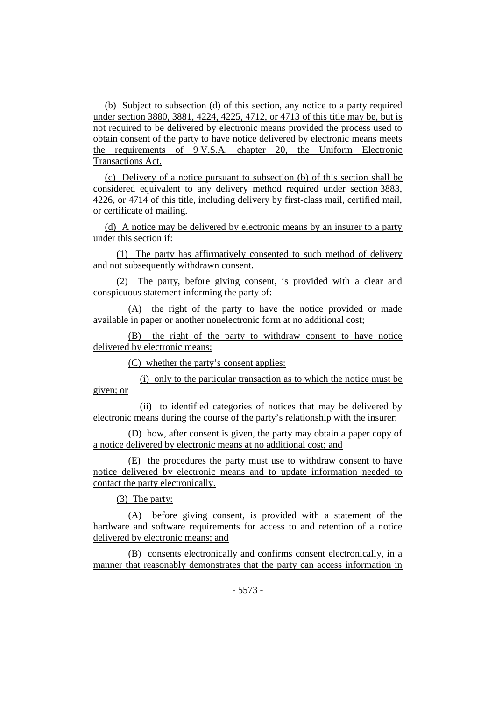(b) Subject to subsection (d) of this section, any notice to a party required under section 3880, 3881, 4224, 4225, 4712, or 4713 of this title may be, but is not required to be delivered by electronic means provided the process used to obtain consent of the party to have notice delivered by electronic means meets the requirements of 9 V.S.A. chapter 20, the Uniform Electronic Transactions Act.

(c) Delivery of a notice pursuant to subsection (b) of this section shall be considered equivalent to any delivery method required under section 3883, 4226, or 4714 of this title, including delivery by first-class mail, certified mail, or certificate of mailing.

(d) A notice may be delivered by electronic means by an insurer to a party under this section if:

(1) The party has affirmatively consented to such method of delivery and not subsequently withdrawn consent.

(2) The party, before giving consent, is provided with a clear and conspicuous statement informing the party of:

(A) the right of the party to have the notice provided or made available in paper or another nonelectronic form at no additional cost;

(B) the right of the party to withdraw consent to have notice delivered by electronic means;

(C) whether the party's consent applies:

(i) only to the particular transaction as to which the notice must be given; or

(ii) to identified categories of notices that may be delivered by electronic means during the course of the party's relationship with the insurer;

(D) how, after consent is given, the party may obtain a paper copy of a notice delivered by electronic means at no additional cost; and

(E) the procedures the party must use to withdraw consent to have notice delivered by electronic means and to update information needed to contact the party electronically.

(3) The party:

(A) before giving consent, is provided with a statement of the hardware and software requirements for access to and retention of a notice delivered by electronic means; and

(B) consents electronically and confirms consent electronically, in a manner that reasonably demonstrates that the party can access information in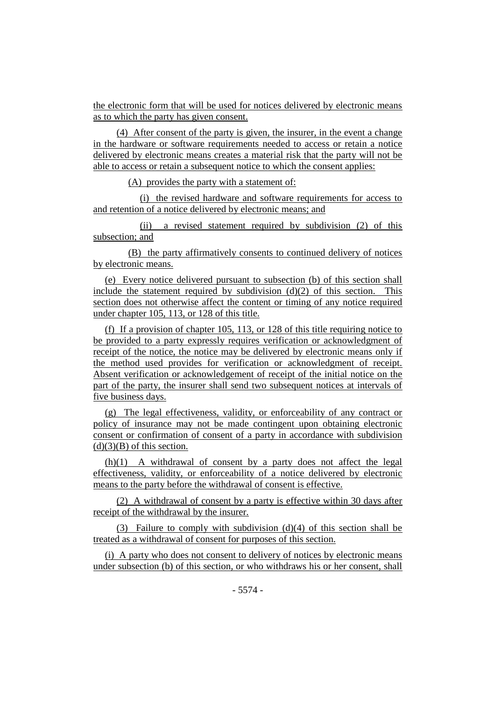the electronic form that will be used for notices delivered by electronic means as to which the party has given consent.

(4) After consent of the party is given, the insurer, in the event a change in the hardware or software requirements needed to access or retain a notice delivered by electronic means creates a material risk that the party will not be able to access or retain a subsequent notice to which the consent applies:

(A) provides the party with a statement of:

(i) the revised hardware and software requirements for access to and retention of a notice delivered by electronic means; and

(ii) a revised statement required by subdivision (2) of this subsection; and

(B) the party affirmatively consents to continued delivery of notices by electronic means.

(e) Every notice delivered pursuant to subsection (b) of this section shall include the statement required by subdivision  $(d)(2)$  of this section. This section does not otherwise affect the content or timing of any notice required under chapter 105, 113, or 128 of this title.

(f) If a provision of chapter 105, 113, or 128 of this title requiring notice to be provided to a party expressly requires verification or acknowledgment of receipt of the notice, the notice may be delivered by electronic means only if the method used provides for verification or acknowledgment of receipt. Absent verification or acknowledgement of receipt of the initial notice on the part of the party, the insurer shall send two subsequent notices at intervals of five business days.

(g) The legal effectiveness, validity, or enforceability of any contract or policy of insurance may not be made contingent upon obtaining electronic consent or confirmation of consent of a party in accordance with subdivision  $(d)(3)(B)$  of this section.

(h)(1) A withdrawal of consent by a party does not affect the legal effectiveness, validity, or enforceability of a notice delivered by electronic means to the party before the withdrawal of consent is effective.

(2) A withdrawal of consent by a party is effective within 30 days after receipt of the withdrawal by the insurer.

(3) Failure to comply with subdivision  $(d)(4)$  of this section shall be treated as a withdrawal of consent for purposes of this section.

(i) A party who does not consent to delivery of notices by electronic means under subsection (b) of this section, or who withdraws his or her consent, shall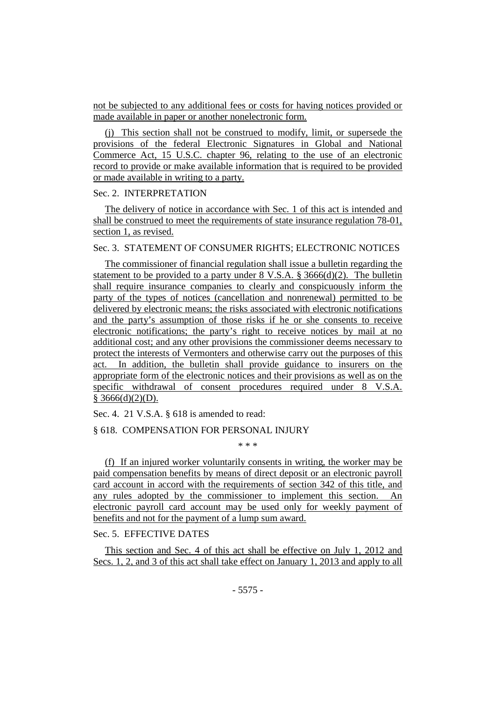not be subjected to any additional fees or costs for having notices provided or made available in paper or another nonelectronic form.

(j) This section shall not be construed to modify, limit, or supersede the provisions of the federal Electronic Signatures in Global and National Commerce Act, 15 U.S.C. chapter 96, relating to the use of an electronic record to provide or make available information that is required to be provided or made available in writing to a party.

### Sec. 2. INTERPRETATION

The delivery of notice in accordance with Sec. 1 of this act is intended and shall be construed to meet the requirements of state insurance regulation 78-01, section 1, as revised.

Sec. 3. STATEMENT OF CONSUMER RIGHTS; ELECTRONIC NOTICES

The commissioner of financial regulation shall issue a bulletin regarding the statement to be provided to a party under  $8 \text{ V.S.A. } § 3666(d)(2)$ . The bulletin shall require insurance companies to clearly and conspicuously inform the party of the types of notices (cancellation and nonrenewal) permitted to be delivered by electronic means; the risks associated with electronic notifications and the party's assumption of those risks if he or she consents to receive electronic notifications; the party's right to receive notices by mail at no additional cost; and any other provisions the commissioner deems necessary to protect the interests of Vermonters and otherwise carry out the purposes of this act. In addition, the bulletin shall provide guidance to insurers on the appropriate form of the electronic notices and their provisions as well as on the specific withdrawal of consent procedures required under 8 V.S.A.  $§$  3666(d)(2)(D).

Sec. 4. 21 V.S.A. § 618 is amended to read:

#### § 618. COMPENSATION FOR PERSONAL INJURY

\* \* \*

(f) If an injured worker voluntarily consents in writing, the worker may be paid compensation benefits by means of direct deposit or an electronic payroll card account in accord with the requirements of section 342 of this title, and any rules adopted by the commissioner to implement this section. An electronic payroll card account may be used only for weekly payment of benefits and not for the payment of a lump sum award.

# Sec. 5. EFFECTIVE DATES

This section and Sec. 4 of this act shall be effective on July 1, 2012 and Secs. 1, 2, and 3 of this act shall take effect on January 1, 2013 and apply to all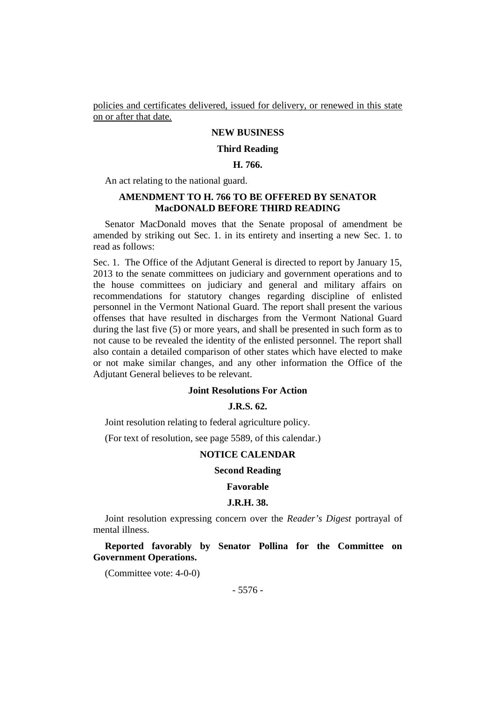policies and certificates delivered, issued for delivery, or renewed in this state on or after that date.

# **NEW BUSINESS**

### **Third Reading**

### **H. 766.**

An act relating to the national guard.

# **AMENDMENT TO H. 766 TO BE OFFERED BY SENATOR MacDONALD BEFORE THIRD READING**

Senator MacDonald moves that the Senate proposal of amendment be amended by striking out Sec. 1. in its entirety and inserting a new Sec. 1. to read as follows:

Sec. 1. The Office of the Adjutant General is directed to report by January 15, 2013 to the senate committees on judiciary and government operations and to the house committees on judiciary and general and military affairs on recommendations for statutory changes regarding discipline of enlisted personnel in the Vermont National Guard. The report shall present the various offenses that have resulted in discharges from the Vermont National Guard during the last five (5) or more years, and shall be presented in such form as to not cause to be revealed the identity of the enlisted personnel. The report shall also contain a detailed comparison of other states which have elected to make or not make similar changes, and any other information the Office of the Adjutant General believes to be relevant.

### **Joint Resolutions For Action**

# **J.R.S. 62.**

Joint resolution relating to federal agriculture policy.

(For text of resolution, see page 5589, of this calendar.)

# **NOTICE CALENDAR**

#### **Second Reading**

#### **Favorable**

#### **J.R.H. 38.**

Joint resolution expressing concern over the *Reader's Digest* portrayal of mental illness.

**Reported favorably by Senator Pollina for the Committee on Government Operations.**

(Committee vote: 4-0-0)

- 5576 -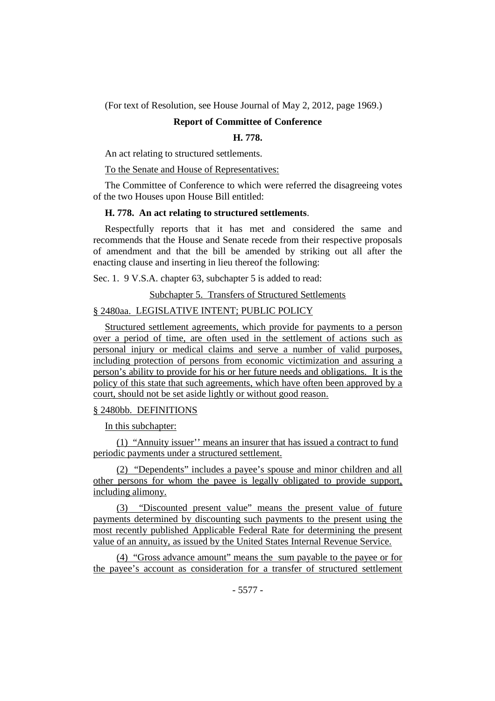(For text of Resolution, see House Journal of May 2, 2012, page 1969.)

# **Report of Committee of Conference**

## **H. 778.**

An act relating to structured settlements.

To the Senate and House of Representatives:

The Committee of Conference to which were referred the disagreeing votes of the two Houses upon House Bill entitled:

### **H. 778. An act relating to structured settlements**.

Respectfully reports that it has met and considered the same and recommends that the House and Senate recede from their respective proposals of amendment and that the bill be amended by striking out all after the enacting clause and inserting in lieu thereof the following:

Sec. 1. 9 V.S.A. chapter 63, subchapter 5 is added to read:

Subchapter 5. Transfers of Structured Settlements

# § 2480aa. LEGISLATIVE INTENT; PUBLIC POLICY

Structured settlement agreements, which provide for payments to a person over a period of time, are often used in the settlement of actions such as personal injury or medical claims and serve a number of valid purposes, including protection of persons from economic victimization and assuring a person's ability to provide for his or her future needs and obligations. It is the policy of this state that such agreements, which have often been approved by a court, should not be set aside lightly or without good reason.

## § 2480bb. DEFINITIONS

In this subchapter:

(1) "Annuity issuer'' means an insurer that has issued a contract to fund periodic payments under a structured settlement.

(2) "Dependents" includes a payee's spouse and minor children and all other persons for whom the payee is legally obligated to provide support, including alimony.

(3) "Discounted present value" means the present value of future payments determined by discounting such payments to the present using the most recently published Applicable Federal Rate for determining the present value of an annuity, as issued by the United States Internal Revenue Service.

(4) "Gross advance amount" means the sum payable to the payee or for the payee's account as consideration for a transfer of structured settlement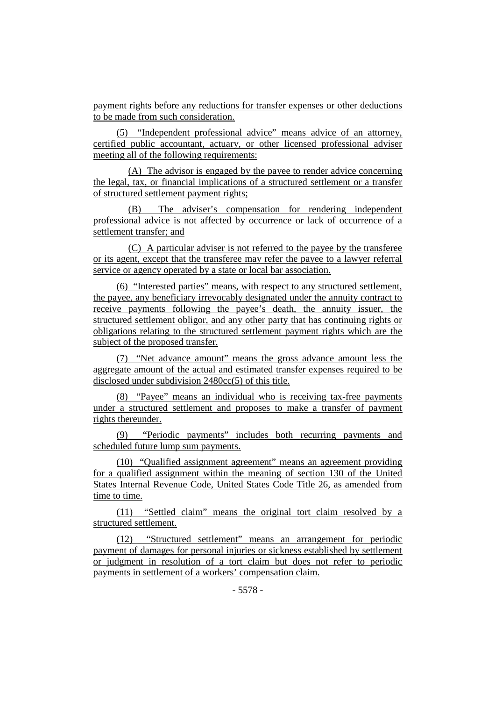payment rights before any reductions for transfer expenses or other deductions to be made from such consideration.

(5) "Independent professional advice" means advice of an attorney, certified public accountant, actuary, or other licensed professional adviser meeting all of the following requirements:

(A) The advisor is engaged by the payee to render advice concerning the legal, tax, or financial implications of a structured settlement or a transfer of structured settlement payment rights;

(B) The adviser's compensation for rendering independent professional advice is not affected by occurrence or lack of occurrence of a settlement transfer; and

(C) A particular adviser is not referred to the payee by the transferee or its agent, except that the transferee may refer the payee to a lawyer referral service or agency operated by a state or local bar association.

(6) "Interested parties" means, with respect to any structured settlement, the payee, any beneficiary irrevocably designated under the annuity contract to receive payments following the payee's death, the annuity issuer, the structured settlement obligor, and any other party that has continuing rights or obligations relating to the structured settlement payment rights which are the subject of the proposed transfer.

(7) "Net advance amount" means the gross advance amount less the aggregate amount of the actual and estimated transfer expenses required to be disclosed under subdivision 2480cc(5) of this title.

(8) "Payee" means an individual who is receiving tax-free payments under a structured settlement and proposes to make a transfer of payment rights thereunder.

(9) "Periodic payments" includes both recurring payments and scheduled future lump sum payments.

(10) "Qualified assignment agreement" means an agreement providing for a qualified assignment within the meaning of section 130 of the United States Internal Revenue Code, United States Code Title 26, as amended from time to time.

(11) "Settled claim" means the original tort claim resolved by a structured settlement.

(12) "Structured settlement" means an arrangement for periodic payment of damages for personal injuries or sickness established by settlement or judgment in resolution of a tort claim but does not refer to periodic payments in settlement of a workers' compensation claim.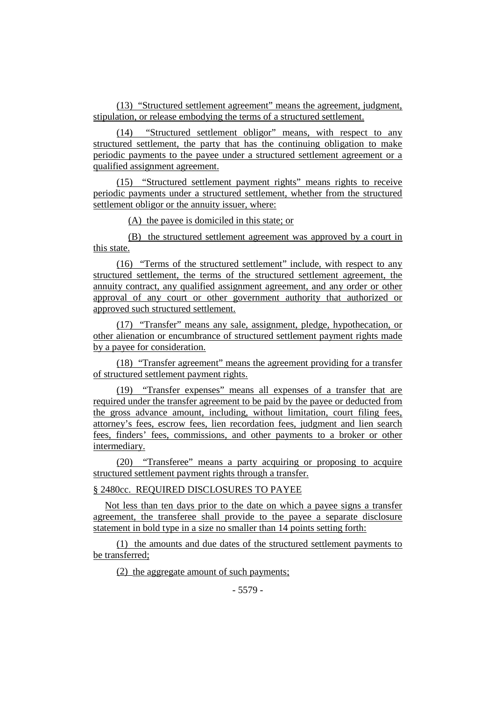(13) "Structured settlement agreement" means the agreement, judgment, stipulation, or release embodying the terms of a structured settlement.

(14) "Structured settlement obligor" means, with respect to any structured settlement, the party that has the continuing obligation to make periodic payments to the payee under a structured settlement agreement or a qualified assignment agreement.

(15) "Structured settlement payment rights" means rights to receive periodic payments under a structured settlement, whether from the structured settlement obligor or the annuity issuer, where:

(A) the payee is domiciled in this state; or

(B) the structured settlement agreement was approved by a court in this state.

(16) "Terms of the structured settlement" include, with respect to any structured settlement, the terms of the structured settlement agreement, the annuity contract, any qualified assignment agreement, and any order or other approval of any court or other government authority that authorized or approved such structured settlement.

(17) "Transfer" means any sale, assignment, pledge, hypothecation, or other alienation or encumbrance of structured settlement payment rights made by a payee for consideration.

(18) "Transfer agreement" means the agreement providing for a transfer of structured settlement payment rights.

(19) "Transfer expenses" means all expenses of a transfer that are required under the transfer agreement to be paid by the payee or deducted from the gross advance amount, including, without limitation, court filing fees, attorney's fees, escrow fees, lien recordation fees, judgment and lien search fees, finders' fees, commissions, and other payments to a broker or other intermediary.

(20) "Transferee" means a party acquiring or proposing to acquire structured settlement payment rights through a transfer.

§ 2480cc. REQUIRED DISCLOSURES TO PAYEE

Not less than ten days prior to the date on which a payee signs a transfer agreement, the transferee shall provide to the payee a separate disclosure statement in bold type in a size no smaller than 14 points setting forth:

(1) the amounts and due dates of the structured settlement payments to be transferred;

(2) the aggregate amount of such payments;

- 5579 -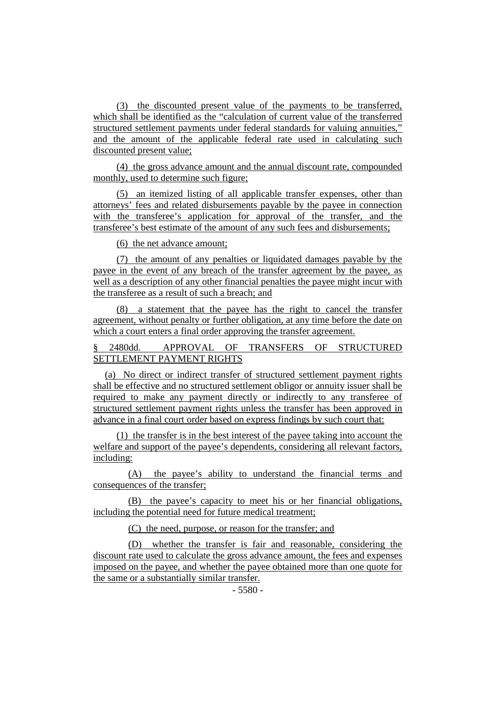(3) the discounted present value of the payments to be transferred, which shall be identified as the "calculation of current value of the transferred structured settlement payments under federal standards for valuing annuities," and the amount of the applicable federal rate used in calculating such discounted present value;

(4) the gross advance amount and the annual discount rate, compounded monthly, used to determine such figure;

(5) an itemized listing of all applicable transfer expenses, other than attorneys' fees and related disbursements payable by the payee in connection with the transferee's application for approval of the transfer, and the transferee's best estimate of the amount of any such fees and disbursements;

(6) the net advance amount;

(7) the amount of any penalties or liquidated damages payable by the payee in the event of any breach of the transfer agreement by the payee, as well as a description of any other financial penalties the payee might incur with the transferee as a result of such a breach; and

(8) a statement that the payee has the right to cancel the transfer agreement, without penalty or further obligation, at any time before the date on which a court enters a final order approving the transfer agreement.

# § 2480dd. APPROVAL OF TRANSFERS OF STRUCTURED SETTLEMENT PAYMENT RIGHTS

(a) No direct or indirect transfer of structured settlement payment rights shall be effective and no structured settlement obligor or annuity issuer shall be required to make any payment directly or indirectly to any transferee of structured settlement payment rights unless the transfer has been approved in advance in a final court order based on express findings by such court that:

(1) the transfer is in the best interest of the payee taking into account the welfare and support of the payee's dependents, considering all relevant factors, including:

(A) the payee's ability to understand the financial terms and consequences of the transfer;

(B) the payee's capacity to meet his or her financial obligations, including the potential need for future medical treatment;

(C) the need, purpose, or reason for the transfer; and

(D) whether the transfer is fair and reasonable, considering the discount rate used to calculate the gross advance amount, the fees and expenses imposed on the payee, and whether the payee obtained more than one quote for the same or a substantially similar transfer.

 $-5580 -$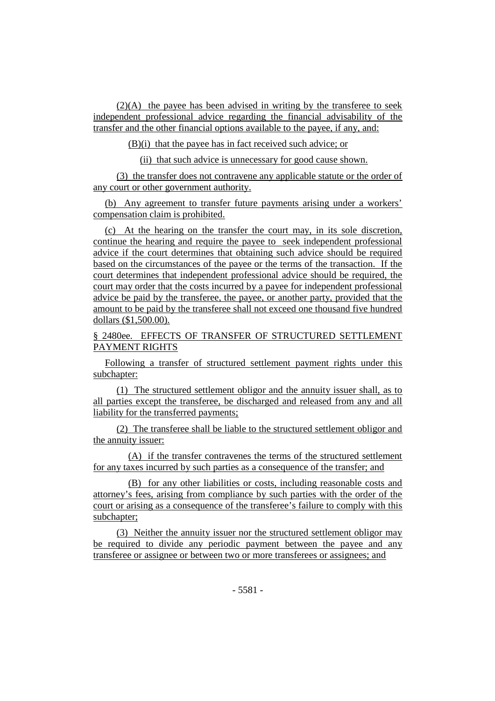(2)(A) the payee has been advised in writing by the transferee to seek independent professional advice regarding the financial advisability of the transfer and the other financial options available to the payee, if any, and:

(B)(i) that the payee has in fact received such advice; or

(ii) that such advice is unnecessary for good cause shown.

(3) the transfer does not contravene any applicable statute or the order of any court or other government authority.

(b) Any agreement to transfer future payments arising under a workers' compensation claim is prohibited.

(c) At the hearing on the transfer the court may, in its sole discretion, continue the hearing and require the payee to seek independent professional advice if the court determines that obtaining such advice should be required based on the circumstances of the payee or the terms of the transaction. If the court determines that independent professional advice should be required, the court may order that the costs incurred by a payee for independent professional advice be paid by the transferee, the payee, or another party, provided that the amount to be paid by the transferee shall not exceed one thousand five hundred dollars (\$1,500.00).

§ 2480ee. EFFECTS OF TRANSFER OF STRUCTURED SETTLEMENT PAYMENT RIGHTS

Following a transfer of structured settlement payment rights under this subchapter:

(1) The structured settlement obligor and the annuity issuer shall, as to all parties except the transferee, be discharged and released from any and all liability for the transferred payments;

(2) The transferee shall be liable to the structured settlement obligor and the annuity issuer:

(A) if the transfer contravenes the terms of the structured settlement for any taxes incurred by such parties as a consequence of the transfer; and

(B) for any other liabilities or costs, including reasonable costs and attorney's fees, arising from compliance by such parties with the order of the court or arising as a consequence of the transferee's failure to comply with this subchapter;

(3) Neither the annuity issuer nor the structured settlement obligor may be required to divide any periodic payment between the payee and any transferee or assignee or between two or more transferees or assignees; and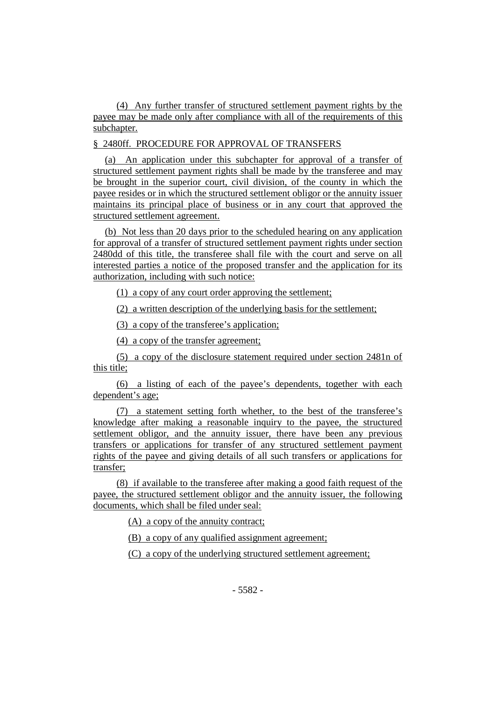(4) Any further transfer of structured settlement payment rights by the payee may be made only after compliance with all of the requirements of this subchapter.

§ 2480ff. PROCEDURE FOR APPROVAL OF TRANSFERS

(a) An application under this subchapter for approval of a transfer of structured settlement payment rights shall be made by the transferee and may be brought in the superior court, civil division, of the county in which the payee resides or in which the structured settlement obligor or the annuity issuer maintains its principal place of business or in any court that approved the structured settlement agreement.

(b) Not less than 20 days prior to the scheduled hearing on any application for approval of a transfer of structured settlement payment rights under section 2480dd of this title, the transferee shall file with the court and serve on all interested parties a notice of the proposed transfer and the application for its authorization, including with such notice:

(1) a copy of any court order approving the settlement;

(2) a written description of the underlying basis for the settlement;

(3) a copy of the transferee's application;

(4) a copy of the transfer agreement;

(5) a copy of the disclosure statement required under section 2481n of this title;

(6) a listing of each of the payee's dependents, together with each dependent's age;

(7) a statement setting forth whether, to the best of the transferee's knowledge after making a reasonable inquiry to the payee, the structured settlement obligor, and the annuity issuer, there have been any previous transfers or applications for transfer of any structured settlement payment rights of the payee and giving details of all such transfers or applications for transfer;

(8) if available to the transferee after making a good faith request of the payee, the structured settlement obligor and the annuity issuer, the following documents, which shall be filed under seal:

(A) a copy of the annuity contract;

(B) a copy of any qualified assignment agreement;

(C) a copy of the underlying structured settlement agreement;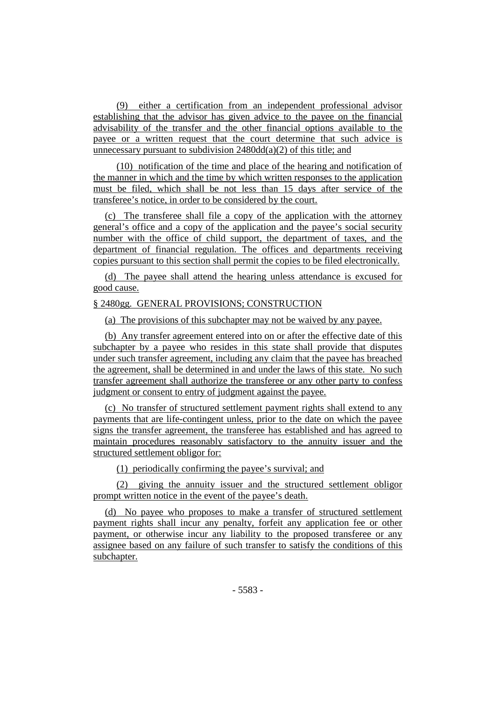(9) either a certification from an independent professional advisor establishing that the advisor has given advice to the payee on the financial advisability of the transfer and the other financial options available to the payee or a written request that the court determine that such advice is unnecessary pursuant to subdivision 2480dd(a)(2) of this title; and

(10) notification of the time and place of the hearing and notification of the manner in which and the time by which written responses to the application must be filed, which shall be not less than 15 days after service of the transferee's notice, in order to be considered by the court.

(c) The transferee shall file a copy of the application with the attorney general's office and a copy of the application and the payee's social security number with the office of child support, the department of taxes, and the department of financial regulation. The offices and departments receiving copies pursuant to this section shall permit the copies to be filed electronically.

(d) The payee shall attend the hearing unless attendance is excused for good cause.

# § 2480gg. GENERAL PROVISIONS; CONSTRUCTION

(a) The provisions of this subchapter may not be waived by any payee.

(b) Any transfer agreement entered into on or after the effective date of this subchapter by a payee who resides in this state shall provide that disputes under such transfer agreement, including any claim that the payee has breached the agreement, shall be determined in and under the laws of this state. No such transfer agreement shall authorize the transferee or any other party to confess judgment or consent to entry of judgment against the payee.

(c) No transfer of structured settlement payment rights shall extend to any payments that are life-contingent unless, prior to the date on which the payee signs the transfer agreement, the transferee has established and has agreed to maintain procedures reasonably satisfactory to the annuity issuer and the structured settlement obligor for:

(1) periodically confirming the payee's survival; and

(2) giving the annuity issuer and the structured settlement obligor prompt written notice in the event of the payee's death.

(d) No payee who proposes to make a transfer of structured settlement payment rights shall incur any penalty, forfeit any application fee or other payment, or otherwise incur any liability to the proposed transferee or any assignee based on any failure of such transfer to satisfy the conditions of this subchapter.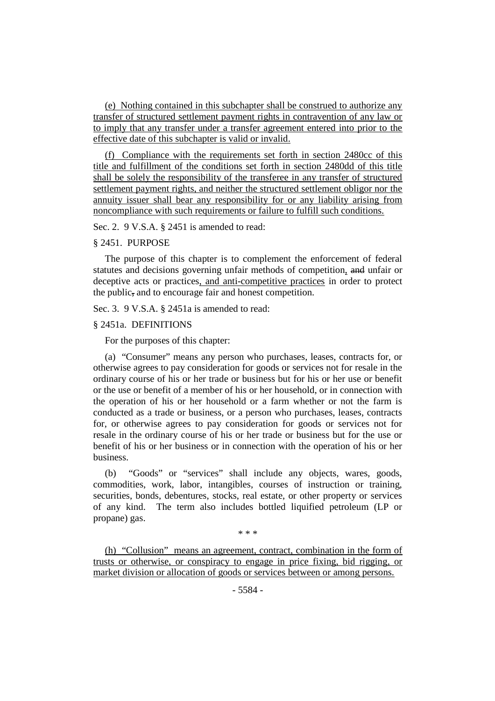(e) Nothing contained in this subchapter shall be construed to authorize any transfer of structured settlement payment rights in contravention of any law or to imply that any transfer under a transfer agreement entered into prior to the effective date of this subchapter is valid or invalid.

(f) Compliance with the requirements set forth in section 2480cc of this title and fulfillment of the conditions set forth in section 2480dd of this title shall be solely the responsibility of the transferee in any transfer of structured settlement payment rights, and neither the structured settlement obligor nor the annuity issuer shall bear any responsibility for or any liability arising from noncompliance with such requirements or failure to fulfill such conditions.

Sec. 2. 9 V.S.A. § 2451 is amended to read:

#### § 2451. PURPOSE

The purpose of this chapter is to complement the enforcement of federal statutes and decisions governing unfair methods of competition, and unfair or deceptive acts or practices, and anti-competitive practices in order to protect the public, and to encourage fair and honest competition.

Sec. 3. 9 V.S.A. § 2451a is amended to read:

## § 2451a. DEFINITIONS

For the purposes of this chapter:

(a) "Consumer" means any person who purchases, leases, contracts for, or otherwise agrees to pay consideration for goods or services not for resale in the ordinary course of his or her trade or business but for his or her use or benefit or the use or benefit of a member of his or her household, or in connection with the operation of his or her household or a farm whether or not the farm is conducted as a trade or business, or a person who purchases, leases, contracts for, or otherwise agrees to pay consideration for goods or services not for resale in the ordinary course of his or her trade or business but for the use or benefit of his or her business or in connection with the operation of his or her business.

(b) "Goods" or "services" shall include any objects, wares, goods, commodities, work, labor, intangibles, courses of instruction or training, securities, bonds, debentures, stocks, real estate, or other property or services of any kind. The term also includes bottled liquified petroleum (LP or propane) gas.

\* \* \*

(h) "Collusion" means an agreement, contract, combination in the form of trusts or otherwise, or conspiracy to engage in price fixing, bid rigging, or market division or allocation of goods or services between or among persons.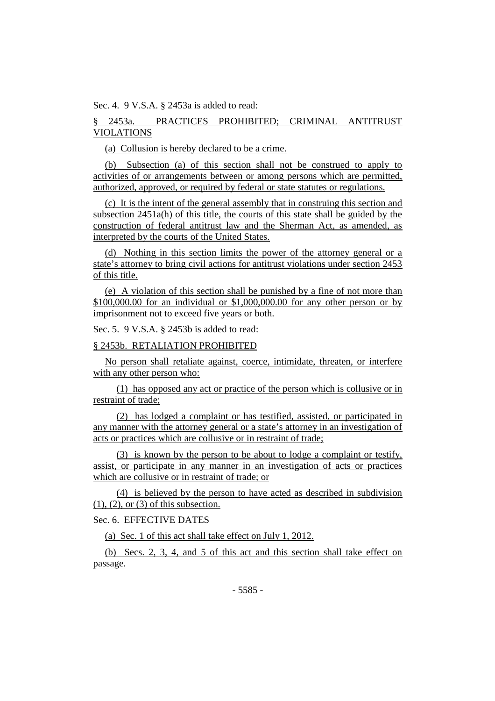Sec. 4. 9 V.S.A. § 2453a is added to read:

# § 2453a. PRACTICES PROHIBITED; CRIMINAL ANTITRUST VIOLATIONS

(a) Collusion is hereby declared to be a crime.

(b) Subsection (a) of this section shall not be construed to apply to activities of or arrangements between or among persons which are permitted, authorized, approved, or required by federal or state statutes or regulations.

(c) It is the intent of the general assembly that in construing this section and subsection 2451a(h) of this title, the courts of this state shall be guided by the construction of federal antitrust law and the Sherman Act, as amended, as interpreted by the courts of the United States.

(d) Nothing in this section limits the power of the attorney general or a state's attorney to bring civil actions for antitrust violations under section 2453 of this title.

(e) A violation of this section shall be punished by a fine of not more than \$100,000.00 for an individual or \$1,000,000.00 for any other person or by imprisonment not to exceed five years or both.

Sec. 5. 9 V.S.A. § 2453b is added to read:

### § 2453b. RETALIATION PROHIBITED

No person shall retaliate against, coerce, intimidate, threaten, or interfere with any other person who:

(1) has opposed any act or practice of the person which is collusive or in restraint of trade;

(2) has lodged a complaint or has testified, assisted, or participated in any manner with the attorney general or a state's attorney in an investigation of acts or practices which are collusive or in restraint of trade;

(3) is known by the person to be about to lodge a complaint or testify, assist, or participate in any manner in an investigation of acts or practices which are collusive or in restraint of trade; or

(4) is believed by the person to have acted as described in subdivision  $(1)$ ,  $(2)$ , or  $(3)$  of this subsection.

Sec. 6. EFFECTIVE DATES

(a) Sec. 1 of this act shall take effect on July 1, 2012.

(b) Secs. 2, 3, 4, and 5 of this act and this section shall take effect on passage.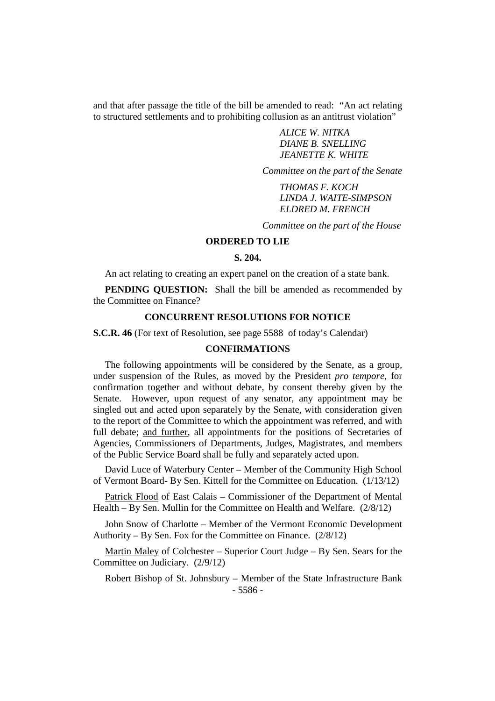and that after passage the title of the bill be amended to read: "An act relating to structured settlements and to prohibiting collusion as an antitrust violation"

> *ALICE W. NITKA DIANE B. SNELLING JEANETTE K. WHITE*

*Committee on the part of the Senate*

*THOMAS F. KOCH LINDA J. WAITE-SIMPSON ELDRED M. FRENCH*

*Committee on the part of the House*

## **ORDERED TO LIE**

## **S. 204.**

An act relating to creating an expert panel on the creation of a state bank.

**PENDING OUESTION:** Shall the bill be amended as recommended by the Committee on Finance?

## **CONCURRENT RESOLUTIONS FOR NOTICE**

**S.C.R. 46** (For text of Resolution, see page 5588 of today's Calendar)

### **CONFIRMATIONS**

The following appointments will be considered by the Senate, as a group, under suspension of the Rules, as moved by the President *pro tempore,* for confirmation together and without debate, by consent thereby given by the Senate. However, upon request of any senator, any appointment may be singled out and acted upon separately by the Senate, with consideration given to the report of the Committee to which the appointment was referred, and with full debate; and further, all appointments for the positions of Secretaries of Agencies, Commissioners of Departments, Judges, Magistrates, and members of the Public Service Board shall be fully and separately acted upon.

David Luce of Waterbury Center – Member of the Community High School of Vermont Board- By Sen. Kittell for the Committee on Education. (1/13/12)

Patrick Flood of East Calais – Commissioner of the Department of Mental Health – By Sen. Mullin for the Committee on Health and Welfare. (2/8/12)

John Snow of Charlotte – Member of the Vermont Economic Development Authority – By Sen. Fox for the Committee on Finance. (2/8/12)

Martin Maley of Colchester – Superior Court Judge – By Sen. Sears for the Committee on Judiciary. (2/9/12)

- 5586 - Robert Bishop of St. Johnsbury – Member of the State Infrastructure Bank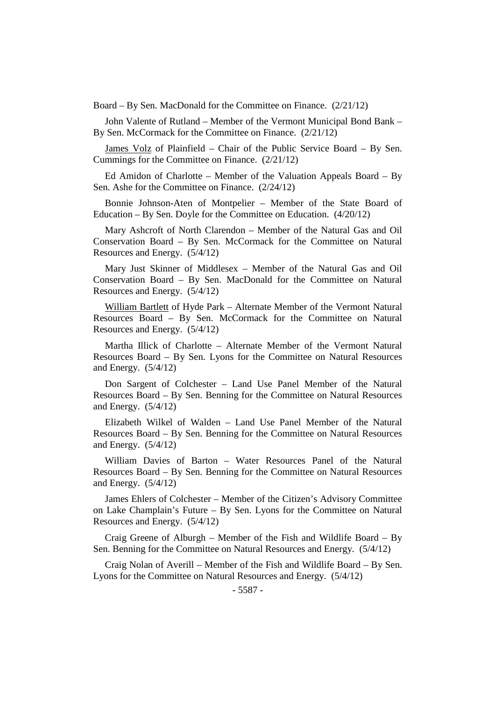Board – By Sen. MacDonald for the Committee on Finance. (2/21/12)

John Valente of Rutland – Member of the Vermont Municipal Bond Bank – By Sen. McCormack for the Committee on Finance. (2/21/12)

James Volz of Plainfield – Chair of the Public Service Board – By Sen. Cummings for the Committee on Finance. (2/21/12)

Ed Amidon of Charlotte – Member of the Valuation Appeals Board – By Sen. Ashe for the Committee on Finance. (2/24/12)

Bonnie Johnson-Aten of Montpelier – Member of the State Board of Education – By Sen. Doyle for the Committee on Education. (4/20/12)

Mary Ashcroft of North Clarendon – Member of the Natural Gas and Oil Conservation Board – By Sen. McCormack for the Committee on Natural Resources and Energy. (5/4/12)

Mary Just Skinner of Middlesex – Member of the Natural Gas and Oil Conservation Board – By Sen. MacDonald for the Committee on Natural Resources and Energy. (5/4/12)

William Bartlett of Hyde Park – Alternate Member of the Vermont Natural Resources Board – By Sen. McCormack for the Committee on Natural Resources and Energy. (5/4/12)

Martha Illick of Charlotte – Alternate Member of the Vermont Natural Resources Board – By Sen. Lyons for the Committee on Natural Resources and Energy. (5/4/12)

Don Sargent of Colchester – Land Use Panel Member of the Natural Resources Board – By Sen. Benning for the Committee on Natural Resources and Energy. (5/4/12)

Elizabeth Wilkel of Walden – Land Use Panel Member of the Natural Resources Board – By Sen. Benning for the Committee on Natural Resources and Energy. (5/4/12)

William Davies of Barton – Water Resources Panel of the Natural Resources Board – By Sen. Benning for the Committee on Natural Resources and Energy. (5/4/12)

James Ehlers of Colchester – Member of the Citizen's Advisory Committee on Lake Champlain's Future – By Sen. Lyons for the Committee on Natural Resources and Energy. (5/4/12)

Craig Greene of Alburgh – Member of the Fish and Wildlife Board – By Sen. Benning for the Committee on Natural Resources and Energy. (5/4/12)

Craig Nolan of Averill – Member of the Fish and Wildlife Board – By Sen. Lyons for the Committee on Natural Resources and Energy. (5/4/12)

- 5587 -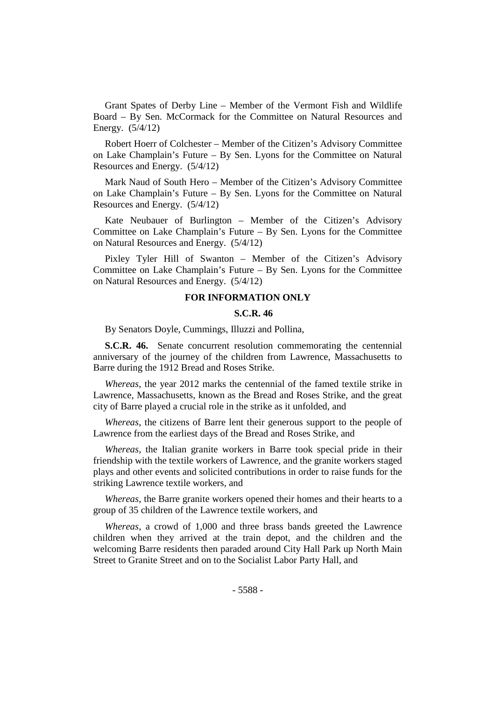Grant Spates of Derby Line – Member of the Vermont Fish and Wildlife Board – By Sen. McCormack for the Committee on Natural Resources and Energy. (5/4/12)

Robert Hoerr of Colchester – Member of the Citizen's Advisory Committee on Lake Champlain's Future – By Sen. Lyons for the Committee on Natural Resources and Energy. (5/4/12)

Mark Naud of South Hero – Member of the Citizen's Advisory Committee on Lake Champlain's Future – By Sen. Lyons for the Committee on Natural Resources and Energy. (5/4/12)

Kate Neubauer of Burlington – Member of the Citizen's Advisory Committee on Lake Champlain's Future – By Sen. Lyons for the Committee on Natural Resources and Energy. (5/4/12)

Pixley Tyler Hill of Swanton – Member of the Citizen's Advisory Committee on Lake Champlain's Future – By Sen. Lyons for the Committee on Natural Resources and Energy. (5/4/12)

# **FOR INFORMATION ONLY**

## **S.C.R. 46**

By Senators Doyle, Cummings, Illuzzi and Pollina,

**S.C.R. 46.** Senate concurrent resolution commemorating the centennial anniversary of the journey of the children from Lawrence, Massachusetts to Barre during the 1912 Bread and Roses Strike.

*Whereas*, the year 2012 marks the centennial of the famed textile strike in Lawrence, Massachusetts, known as the Bread and Roses Strike, and the great city of Barre played a crucial role in the strike as it unfolded, and

*Whereas*, the citizens of Barre lent their generous support to the people of Lawrence from the earliest days of the Bread and Roses Strike, and

*Whereas*, the Italian granite workers in Barre took special pride in their friendship with the textile workers of Lawrence, and the granite workers staged plays and other events and solicited contributions in order to raise funds for the striking Lawrence textile workers, and

*Whereas*, the Barre granite workers opened their homes and their hearts to a group of 35 children of the Lawrence textile workers, and

*Whereas*, a crowd of 1,000 and three brass bands greeted the Lawrence children when they arrived at the train depot, and the children and the welcoming Barre residents then paraded around City Hall Park up North Main Street to Granite Street and on to the Socialist Labor Party Hall, and

- 5588 -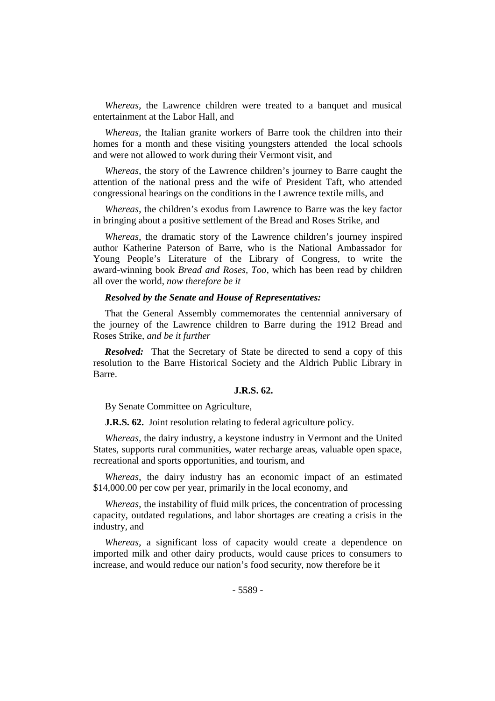*Whereas*, the Lawrence children were treated to a banquet and musical entertainment at the Labor Hall, and

*Whereas*, the Italian granite workers of Barre took the children into their homes for a month and these visiting youngsters attended the local schools and were not allowed to work during their Vermont visit, and

*Whereas*, the story of the Lawrence children's journey to Barre caught the attention of the national press and the wife of President Taft, who attended congressional hearings on the conditions in the Lawrence textile mills, and

*Whereas*, the children's exodus from Lawrence to Barre was the key factor in bringing about a positive settlement of the Bread and Roses Strike, and

*Whereas*, the dramatic story of the Lawrence children's journey inspired author Katherine Paterson of Barre, who is the National Ambassador for Young People's Literature of the Library of Congress, to write the award-winning book *Bread and Roses, Too*, which has been read by children all over the world, *now therefore be it*

## *Resolved by the Senate and House of Representatives:*

That the General Assembly commemorates the centennial anniversary of the journey of the Lawrence children to Barre during the 1912 Bread and Roses Strike, *and be it further*

*Resolved:* That the Secretary of State be directed to send a copy of this resolution to the Barre Historical Society and the Aldrich Public Library in Barre.

### **J.R.S. 62.**

By Senate Committee on Agriculture,

**J.R.S. 62.** Joint resolution relating to federal agriculture policy.

*Whereas*, the dairy industry, a keystone industry in Vermont and the United States, supports rural communities, water recharge areas, valuable open space, recreational and sports opportunities, and tourism, and

*Whereas*, the dairy industry has an economic impact of an estimated \$14,000.00 per cow per year, primarily in the local economy, and

*Whereas*, the instability of fluid milk prices, the concentration of processing capacity, outdated regulations, and labor shortages are creating a crisis in the industry, and

*Whereas*, a significant loss of capacity would create a dependence on imported milk and other dairy products, would cause prices to consumers to increase, and would reduce our nation's food security, now therefore be it